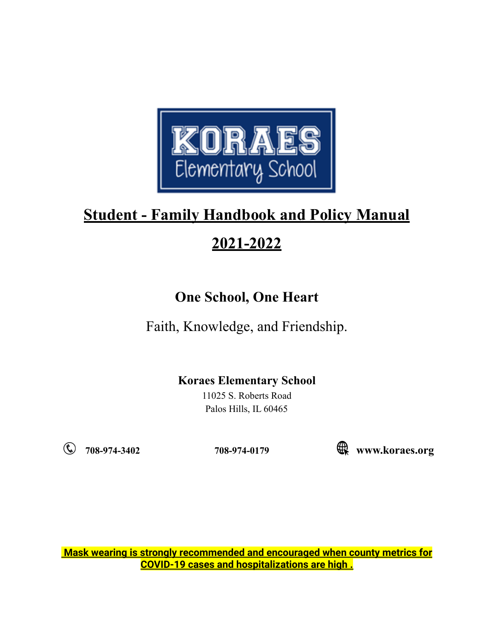

# **2021-2022**

# **One School, One Heart**

Faith, Knowledge, and Friendship.

## **Koraes Elementary School**

11025 S. Roberts Road Palos Hills, IL 60465

**708-974-3402 708-974-0179 www.koraes.org**

**Mask wearing is strongly recommended and encouraged when county metrics for COVID-19 cases and hospitalizations are high .**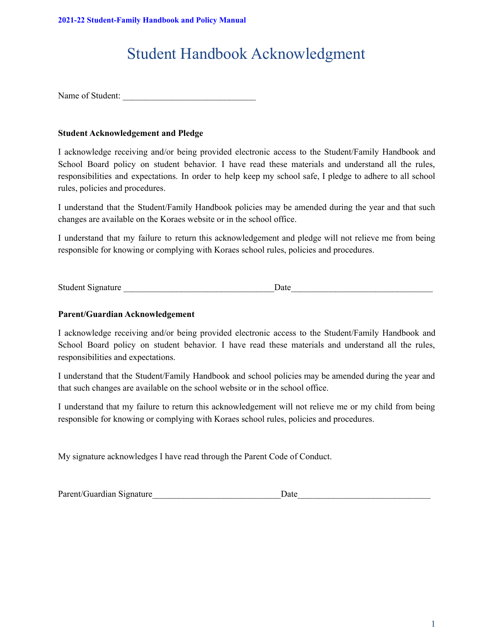# Student Handbook Acknowledgment

Name of Student:

#### **Student Acknowledgement and Pledge**

I acknowledge receiving and/or being provided electronic access to the Student/Family Handbook and School Board policy on student behavior. I have read these materials and understand all the rules, responsibilities and expectations. In order to help keep my school safe, I pledge to adhere to all school rules, policies and procedures.

I understand that the Student/Family Handbook policies may be amended during the year and that such changes are available on the Koraes website or in the school office.

I understand that my failure to return this acknowledgement and pledge will not relieve me from being responsible for knowing or complying with Koraes school rules, policies and procedures.

Student Signature \_\_\_\_\_\_\_\_\_\_\_\_\_\_\_\_\_\_\_\_\_\_\_\_\_\_\_\_\_\_\_\_\_\_Date\_\_\_\_\_\_\_\_\_\_\_\_\_\_\_\_\_\_\_\_\_\_\_\_\_\_\_\_\_\_\_\_

#### **Parent/Guardian Acknowledgement**

I acknowledge receiving and/or being provided electronic access to the Student/Family Handbook and School Board policy on student behavior. I have read these materials and understand all the rules, responsibilities and expectations.

I understand that the Student/Family Handbook and school policies may be amended during the year and that such changes are available on the school website or in the school office.

I understand that my failure to return this acknowledgement will not relieve me or my child from being responsible for knowing or complying with Koraes school rules, policies and procedures.

My signature acknowledges I have read through the Parent Code of Conduct.

| Parent/Guardian Signature | Date |  |
|---------------------------|------|--|
|                           |      |  |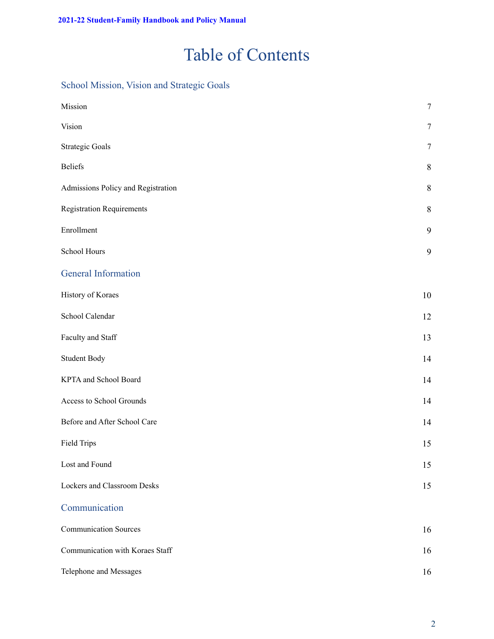# Table of Contents

### School Mission, Vision and Strategic Goals

| Mission                            | $\tau$           |
|------------------------------------|------------------|
| Vision                             | $\boldsymbol{7}$ |
| <b>Strategic Goals</b>             | $\boldsymbol{7}$ |
| <b>Beliefs</b>                     | $\,8\,$          |
| Admissions Policy and Registration | $8\,$            |
| <b>Registration Requirements</b>   | $\,8\,$          |
| Enrollment                         | 9                |
| School Hours                       | $\boldsymbol{9}$ |
| <b>General Information</b>         |                  |
| History of Koraes                  | 10               |
| School Calendar                    | 12               |
| Faculty and Staff                  | 13               |
| Student Body                       | 14               |
| KPTA and School Board              | 14               |
| Access to School Grounds           | 14               |
| Before and After School Care       | 14               |
| <b>Field Trips</b>                 | 15               |
| Lost and Found                     | 15               |
| Lockers and Classroom Desks        | 15               |
| Communication                      |                  |
| <b>Communication Sources</b>       | 16               |
| Communication with Koraes Staff    | 16               |
| Telephone and Messages             | 16               |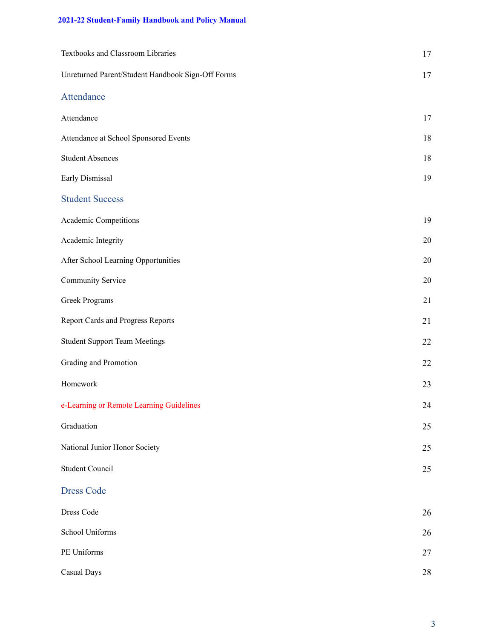| Textbooks and Classroom Libraries                 | 17     |
|---------------------------------------------------|--------|
| Unreturned Parent/Student Handbook Sign-Off Forms | 17     |
| Attendance                                        |        |
| Attendance                                        | 17     |
| Attendance at School Sponsored Events             | 18     |
| <b>Student Absences</b>                           | 18     |
| Early Dismissal                                   | 19     |
| <b>Student Success</b>                            |        |
| Academic Competitions                             | 19     |
| Academic Integrity                                | $20\,$ |
| After School Learning Opportunities               | $20\,$ |
| Community Service                                 | $20\,$ |
| Greek Programs                                    | 21     |
| <b>Report Cards and Progress Reports</b>          | 21     |
| <b>Student Support Team Meetings</b>              | 22     |
| Grading and Promotion                             | 22     |
| Homework                                          | 23     |
| e-Learning or Remote Learning Guidelines          | 24     |
| Graduation                                        | 25     |
| National Junior Honor Society                     | 25     |
| <b>Student Council</b>                            | $25\,$ |
| <b>Dress Code</b>                                 |        |
| Dress Code                                        | 26     |
| School Uniforms                                   | 26     |
| PE Uniforms                                       | 27     |
| Casual Days                                       | $28\,$ |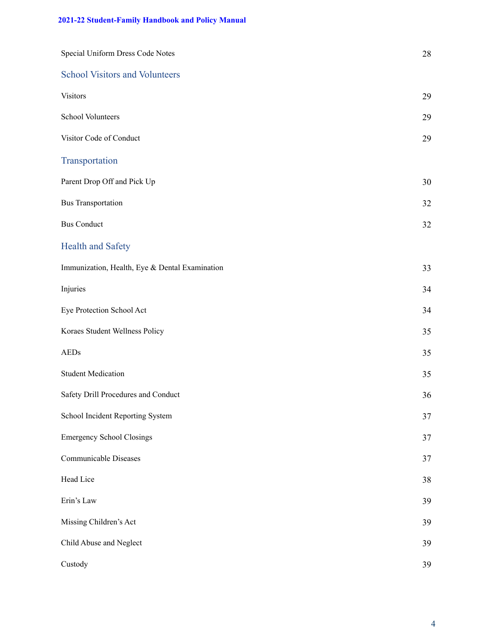| Special Uniform Dress Code Notes               | 28 |
|------------------------------------------------|----|
| <b>School Visitors and Volunteers</b>          |    |
| <b>Visitors</b>                                | 29 |
| School Volunteers                              | 29 |
| Visitor Code of Conduct                        | 29 |
| Transportation                                 |    |
| Parent Drop Off and Pick Up                    | 30 |
| <b>Bus Transportation</b>                      | 32 |
| <b>Bus Conduct</b>                             | 32 |
| <b>Health and Safety</b>                       |    |
| Immunization, Health, Eye & Dental Examination | 33 |
| Injuries                                       | 34 |
| Eye Protection School Act                      | 34 |
| Koraes Student Wellness Policy                 | 35 |
| <b>AEDs</b>                                    | 35 |
| <b>Student Medication</b>                      | 35 |
| Safety Drill Procedures and Conduct            | 36 |
| School Incident Reporting System               | 37 |
| <b>Emergency School Closings</b>               | 37 |
| Communicable Diseases                          | 37 |
| Head Lice                                      | 38 |
| Erin's Law                                     | 39 |
| Missing Children's Act                         | 39 |
| Child Abuse and Neglect                        | 39 |
| Custody                                        | 39 |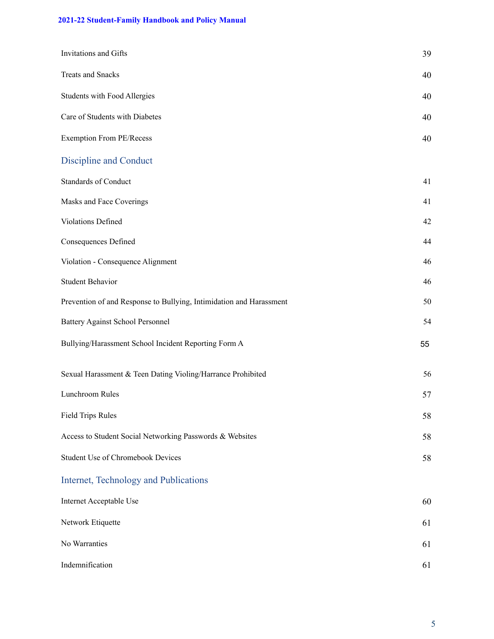| Invitations and Gifts                                               | 39 |
|---------------------------------------------------------------------|----|
| <b>Treats and Snacks</b>                                            | 40 |
| Students with Food Allergies                                        | 40 |
| Care of Students with Diabetes                                      | 40 |
| Exemption From PE/Recess                                            | 40 |
| <b>Discipline and Conduct</b>                                       |    |
| <b>Standards of Conduct</b>                                         | 41 |
| Masks and Face Coverings                                            | 41 |
| Violations Defined                                                  | 42 |
| Consequences Defined                                                | 44 |
| Violation - Consequence Alignment                                   | 46 |
| <b>Student Behavior</b>                                             | 46 |
| Prevention of and Response to Bullying, Intimidation and Harassment | 50 |
| <b>Battery Against School Personnel</b>                             | 54 |
| Bullying/Harassment School Incident Reporting Form A                | 55 |
| Sexual Harassment & Teen Dating Violing/Harrance Prohibited         | 56 |
| Lunchroom Rules                                                     | 57 |
| <b>Field Trips Rules</b>                                            | 58 |
| Access to Student Social Networking Passwords & Websites            | 58 |
| Student Use of Chromebook Devices                                   | 58 |
| Internet, Technology and Publications                               |    |
| Internet Acceptable Use                                             | 60 |
| Network Etiquette                                                   | 61 |
| No Warranties                                                       | 61 |
| Indemnification                                                     | 61 |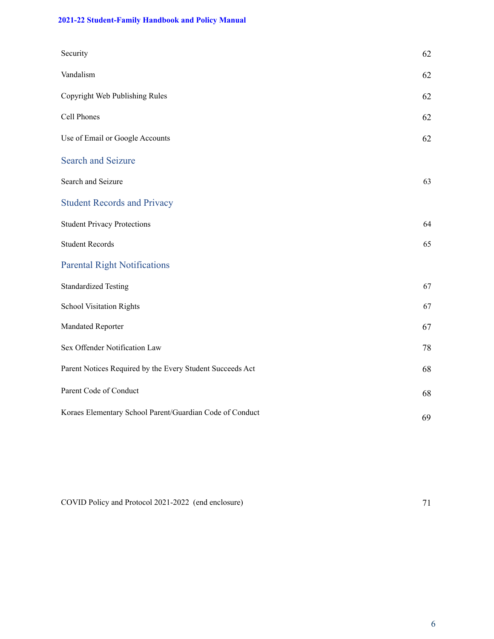| Security                                                  | 62 |
|-----------------------------------------------------------|----|
| Vandalism                                                 | 62 |
| Copyright Web Publishing Rules                            | 62 |
| Cell Phones                                               | 62 |
| Use of Email or Google Accounts                           | 62 |
| <b>Search and Seizure</b>                                 |    |
| Search and Seizure                                        | 63 |
| <b>Student Records and Privacy</b>                        |    |
| <b>Student Privacy Protections</b>                        | 64 |
| <b>Student Records</b>                                    | 65 |
| <b>Parental Right Notifications</b>                       |    |
| <b>Standardized Testing</b>                               | 67 |
| <b>School Visitation Rights</b>                           | 67 |
| Mandated Reporter                                         | 67 |
| Sex Offender Notification Law                             | 78 |
| Parent Notices Required by the Every Student Succeeds Act | 68 |
| Parent Code of Conduct                                    | 68 |
| Koraes Elementary School Parent/Guardian Code of Conduct  | 69 |

COVID Policy and Protocol 2021-2022 (end enclosure) 71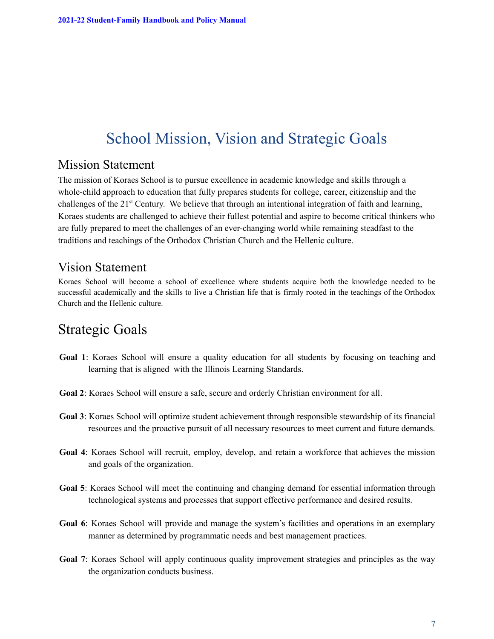# School Mission, Vision and Strategic Goals

### Mission Statement

The mission of Koraes School is to pursue excellence in academic knowledge and skills through a whole-child approach to education that fully prepares students for college, career, citizenship and the challenges of the 21<sup>st</sup> Century. We believe that through an intentional integration of faith and learning, Koraes students are challenged to achieve their fullest potential and aspire to become critical thinkers who are fully prepared to meet the challenges of an ever-changing world while remaining steadfast to the traditions and teachings of the Orthodox Christian Church and the Hellenic culture.

### Vision Statement

Koraes School will become a school of excellence where students acquire both the knowledge needed to be successful academically and the skills to live a Christian life that is firmly rooted in the teachings of the Orthodox Church and the Hellenic culture.

# Strategic Goals

- **Goal 1**: Koraes School will ensure a quality education for all students by focusing on teaching and learning that is aligned with the Illinois Learning Standards.
- **Goal 2**: Koraes School will ensure a safe, secure and orderly Christian environment for all.
- **Goal 3**: Koraes School will optimize student achievement through responsible stewardship of its financial resources and the proactive pursuit of all necessary resources to meet current and future demands.
- **Goal 4**: Koraes School will recruit, employ, develop, and retain a workforce that achieves the mission and goals of the organization.
- **Goal 5**: Koraes School will meet the continuing and changing demand for essential information through technological systems and processes that support effective performance and desired results.
- **Goal 6**: Koraes School will provide and manage the system's facilities and operations in an exemplary manner as determined by programmatic needs and best management practices.
- **Goal 7**: Koraes School will apply continuous quality improvement strategies and principles as the way the organization conducts business.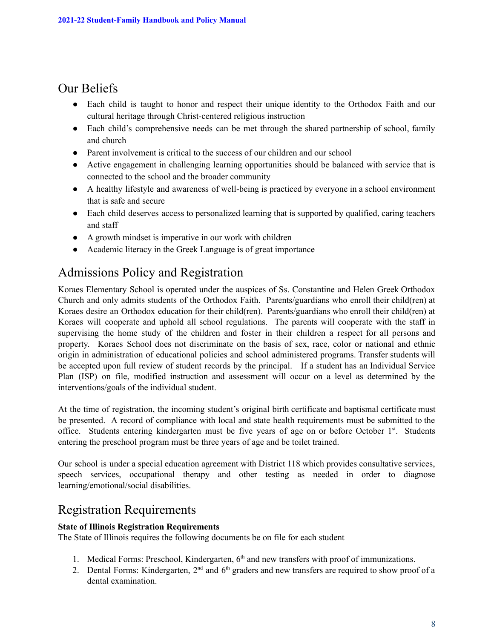### Our Beliefs

- Each child is taught to honor and respect their unique identity to the Orthodox Faith and our cultural heritage through Christ-centered religious instruction
- Each child's comprehensive needs can be met through the shared partnership of school, family and church
- Parent involvement is critical to the success of our children and our school
- Active engagement in challenging learning opportunities should be balanced with service that is connected to the school and the broader community
- A healthy lifestyle and awareness of well-being is practiced by everyone in a school environment that is safe and secure
- Each child deserves access to personalized learning that is supported by qualified, caring teachers and staff
- A growth mindset is imperative in our work with children
- Academic literacy in the Greek Language is of great importance

# Admissions Policy and Registration

Koraes Elementary School is operated under the auspices of Ss. Constantine and Helen Greek Orthodox Church and only admits students of the Orthodox Faith. Parents/guardians who enroll their child(ren) at Koraes desire an Orthodox education for their child(ren). Parents/guardians who enroll their child(ren) at Koraes will cooperate and uphold all school regulations. The parents will cooperate with the staff in supervising the home study of the children and foster in their children a respect for all persons and property. Koraes School does not discriminate on the basis of sex, race, color or national and ethnic origin in administration of educational policies and school administered programs. Transfer students will be accepted upon full review of student records by the principal. If a student has an Individual Service Plan (ISP) on file, modified instruction and assessment will occur on a level as determined by the interventions/goals of the individual student.

At the time of registration, the incoming student's original birth certificate and baptismal certificate must be presented. A record of compliance with local and state health requirements must be submitted to the office. Students entering kindergarten must be five years of age on or before October 1<sup>st</sup>. Students entering the preschool program must be three years of age and be toilet trained.

Our school is under a special education agreement with District 118 which provides consultative services, speech services, occupational therapy and other testing as needed in order to diagnose learning/emotional/social disabilities.

## Registration Requirements

#### **State of Illinois Registration Requirements**

The State of Illinois requires the following documents be on file for each student

- 1. Medical Forms: Preschool, Kindergarten, 6<sup>th</sup> and new transfers with proof of immunizations.
- 2. Dental Forms: Kindergarten,  $2<sup>nd</sup>$  and  $6<sup>th</sup>$  graders and new transfers are required to show proof of a dental examination.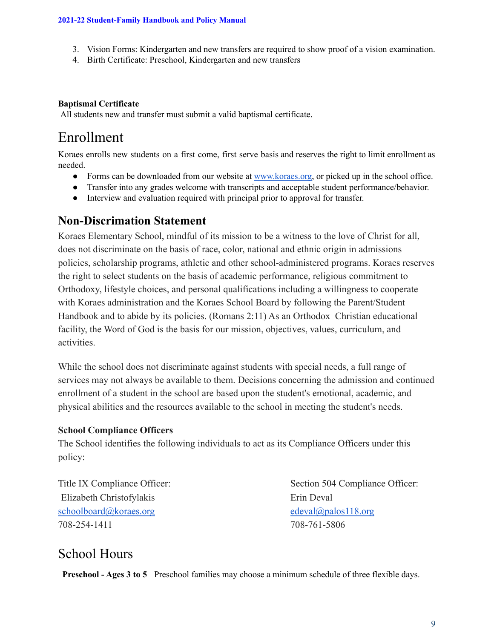- 3. Vision Forms: Kindergarten and new transfers are required to show proof of a vision examination.
- 4. Birth Certificate: Preschool, Kindergarten and new transfers

#### **Baptismal Certificate**

All students new and transfer must submit a valid baptismal certificate.

# Enrollment

Koraes enrolls new students on a first come, first serve basis and reserves the right to limit enrollment as needed.

- Forms can be downloaded from our website at [www.koraes.org,](http://www.koraes.org) or picked up in the school office.
- Transfer into any grades welcome with transcripts and acceptable student performance/behavior.
- Interview and evaluation required with principal prior to approval for transfer.

### **Non-Discrimation Statement**

Koraes Elementary School, mindful of its mission to be a witness to the love of Christ for all, does not discriminate on the basis of race, color, national and ethnic origin in admissions policies, scholarship programs, athletic and other school-administered programs. Koraes reserves the right to select students on the basis of academic performance, religious commitment to Orthodoxy, lifestyle choices, and personal qualifications including a willingness to cooperate with Koraes administration and the Koraes School Board by following the Parent/Student Handbook and to abide by its policies. (Romans 2:11) As an Orthodox Christian educational facility, the Word of God is the basis for our mission, objectives, values, curriculum, and activities.

While the school does not discriminate against students with special needs, a full range of services may not always be available to them. Decisions concerning the admission and continued enrollment of a student in the school are based upon the student's emotional, academic, and physical abilities and the resources available to the school in meeting the student's needs.

#### **School Compliance Officers**

The School identifies the following individuals to act as its Compliance Officers under this policy:

[Elizabeth Christofylakis](mailto:petrosandliz@icloud.com) Erin Deval [schoolboard@koraes.org](mailto:schoolboard@koraes.org) [edeval@palos118.org](mailto:edeval@palos118.org) edeval@palos118.org 708-254-1411 708-761-5806

Title IX Compliance Officer: Section 504 Compliance Officer:

## School Hours

**Preschool - Ages 3 to 5** Preschool families may choose a minimum schedule of three flexible days.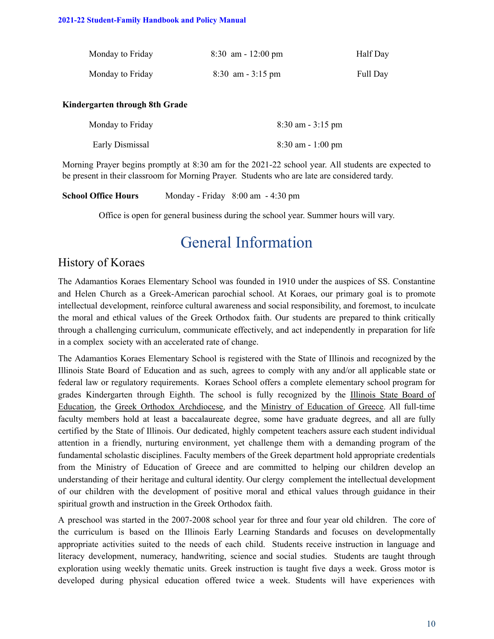| Monday to Friday | $8:30$ am - 12:00 pm | Half Day |
|------------------|----------------------|----------|
| Monday to Friday | $8:30$ am $-3:15$ pm | Full Day |

#### **Kindergarten through 8th Grade**

| Monday to Friday | $8:30$ am $-3:15$ pm |
|------------------|----------------------|
| Early Dismissal  | $8:30$ am - 1:00 pm  |

Morning Prayer begins promptly at 8:30 am for the 2021-22 school year. All students are expected to be present in their classroom for Morning Prayer. Students who are late are considered tardy.

| <b>School Office Hours</b> |  | Monday - Friday 8:00 am - 4:30 pm |
|----------------------------|--|-----------------------------------|
|----------------------------|--|-----------------------------------|

Office is open for general business during the school year. Summer hours will vary.

# General Information

### History of Koraes

The Adamantios Koraes Elementary School was founded in 1910 under the auspices of SS. Constantine and Helen Church as a Greek-American parochial school. At Koraes, our primary goal is to promote intellectual development, reinforce cultural awareness and social responsibility, and foremost, to inculcate the moral and ethical values of the Greek Orthodox faith. Our students are prepared to think critically through a challenging curriculum, communicate effectively, and act independently in preparation for life in a complex society with an accelerated rate of change.

The Adamantios Koraes Elementary School is registered with the State of Illinois and recognized by the Illinois State Board of Education and as such, agrees to comply with any and/or all applicable state or federal law or regulatory requirements. Koraes School offers a complete elementary school program for grades Kindergarten through Eighth. The school is fully recognized by the [Illinois](http://www.isbe.net/) State Board of [Education,](http://www.isbe.net/) the Greek Orthodox [Archdiocese,](http://www.goarch.org/) and the Ministry of [Education](http://www.ypepth.gr/) of Greece. All full-time faculty members hold at least a baccalaureate degree, some have graduate degrees, and all are fully certified by the State of Illinois. Our dedicated, highly competent teachers assure each student individual attention in a friendly, nurturing environment, yet challenge them with a demanding program of the fundamental scholastic disciplines. Faculty members of the Greek department hold appropriate credentials from the Ministry of Education of Greece and are committed to helping our children develop an understanding of their heritage and cultural identity. Our clergy complement the intellectual development of our children with the development of positive moral and ethical values through guidance in their spiritual growth and instruction in the Greek Orthodox faith.

A preschool was started in the 2007-2008 school year for three and four year old children. The core of the curriculum is based on the Illinois Early Learning Standards and focuses on developmentally appropriate activities suited to the needs of each child. Students receive instruction in language and literacy development, numeracy, handwriting, science and social studies. Students are taught through exploration using weekly thematic units. Greek instruction is taught five days a week. Gross motor is developed during physical education offered twice a week. Students will have experiences with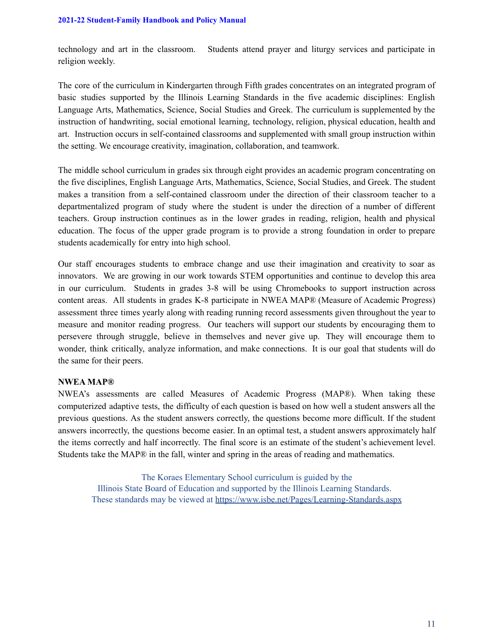technology and art in the classroom. Students attend prayer and liturgy services and participate in religion weekly.

The core of the curriculum in Kindergarten through Fifth grades concentrates on an integrated program of basic studies supported by the Illinois Learning Standards in the five academic disciplines: English Language Arts, Mathematics, Science, Social Studies and Greek. The curriculum is supplemented by the instruction of handwriting, social emotional learning, technology, religion, physical education, health and art. Instruction occurs in self-contained classrooms and supplemented with small group instruction within the setting. We encourage creativity, imagination, collaboration, and teamwork.

The middle school curriculum in grades six through eight provides an academic program concentrating on the five disciplines, English Language Arts, Mathematics, Science, Social Studies, and Greek. The student makes a transition from a self-contained classroom under the direction of their classroom teacher to a departmentalized program of study where the student is under the direction of a number of different teachers. Group instruction continues as in the lower grades in reading, religion, health and physical education. The focus of the upper grade program is to provide a strong foundation in order to prepare students academically for entry into high school.

Our staff encourages students to embrace change and use their imagination and creativity to soar as innovators. We are growing in our work towards STEM opportunities and continue to develop this area in our curriculum. Students in grades 3-8 will be using Chromebooks to support instruction across content areas. All students in grades K-8 participate in NWEA MAP® (Measure of Academic Progress) assessment three times yearly along with reading running record assessments given throughout the year to measure and monitor reading progress. Our teachers will support our students by encouraging them to persevere through struggle, believe in themselves and never give up. They will encourage them to wonder, think critically, analyze information, and make connections. It is our goal that students will do the same for their peers.

#### **NWEA MAP®**

NWEA's assessments are called Measures of Academic Progress (MAP®). When taking these computerized adaptive tests, the difficulty of each question is based on how well a student answers all the previous questions. As the student answers correctly, the questions become more difficult. If the student answers incorrectly, the questions become easier. In an optimal test, a student answers approximately half the items correctly and half incorrectly. The final score is an estimate of the student's achievement level. Students take the MAP® in the fall, winter and spring in the areas of reading and mathematics.

The Koraes Elementary School curriculum is guided by the Illinois State Board of Education and supported by the Illinois Learning Standards. These standards may be viewed at <https://www.isbe.net/Pages/Learning-Standards.aspx>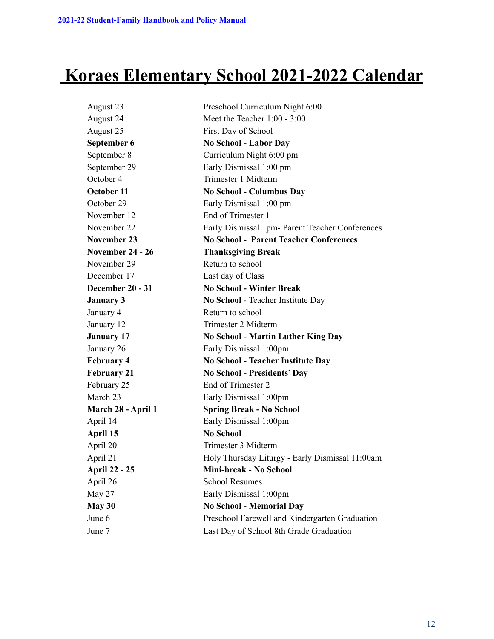# **Koraes Elementary School 2021-2022 Calendar**

| August 23            | Preschool Curriculum Night 6:00                 |
|----------------------|-------------------------------------------------|
| August 24            | Meet the Teacher 1:00 - 3:00                    |
| August 25            | First Day of School                             |
| September 6          | <b>No School - Labor Day</b>                    |
| September 8          | Curriculum Night 6:00 pm                        |
| September 29         | Early Dismissal 1:00 pm                         |
| October 4            | Trimester 1 Midterm                             |
| October 11           | <b>No School - Columbus Day</b>                 |
| October 29           | Early Dismissal 1:00 pm                         |
| November 12          | End of Trimester 1                              |
| November 22          | Early Dismissal 1pm- Parent Teacher Conferences |
| <b>November 23</b>   | <b>No School - Parent Teacher Conferences</b>   |
| November 24 - 26     | <b>Thanksgiving Break</b>                       |
| November 29          | Return to school                                |
| December 17          | Last day of Class                               |
| December 20 - 31     | <b>No School - Winter Break</b>                 |
| <b>January 3</b>     | No School - Teacher Institute Day               |
| January 4            | Return to school                                |
| January 12           | Trimester 2 Midterm                             |
| <b>January 17</b>    | <b>No School - Martin Luther King Day</b>       |
| January 26           | Early Dismissal 1:00pm                          |
| <b>February 4</b>    | <b>No School - Teacher Institute Day</b>        |
| <b>February 21</b>   | <b>No School - Presidents' Day</b>              |
| February 25          | End of Trimester 2                              |
| March 23             | Early Dismissal 1:00pm                          |
| March 28 - April 1   | <b>Spring Break - No School</b>                 |
| April 14             | Early Dismissal 1:00pm                          |
| April 15             | <b>No School</b>                                |
| April 20             | Trimester 3 Midterm                             |
| April 21             | Holy Thursday Liturgy - Early Dismissal 11:00am |
| <b>April 22 - 25</b> | Mini-break - No School                          |
| April 26             | <b>School Resumes</b>                           |
| May 27               | Early Dismissal 1:00pm                          |
| May 30               | <b>No School - Memorial Day</b>                 |
| June 6               | Preschool Farewell and Kindergarten Graduation  |
| June 7               | Last Day of School 8th Grade Graduation         |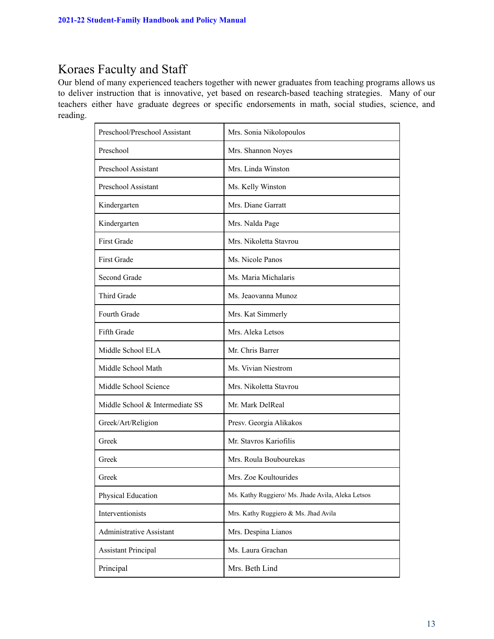## Koraes Faculty and Staff

Our blend of many experienced teachers together with newer graduates from teaching programs allows us to deliver instruction that is innovative, yet based on research-based teaching strategies. Many of our teachers either have graduate degrees or specific endorsements in math, social studies, science, and reading.

| Preschool/Preschool Assistant   | Mrs. Sonia Nikolopoulos                           |
|---------------------------------|---------------------------------------------------|
| Preschool                       | Mrs. Shannon Noyes                                |
| Preschool Assistant             | Mrs. Linda Winston                                |
| Preschool Assistant             | Ms. Kelly Winston                                 |
| Kindergarten                    | Mrs. Diane Garratt                                |
| Kindergarten                    | Mrs. Nalda Page                                   |
| <b>First Grade</b>              | Mrs. Nikoletta Stavrou                            |
| <b>First Grade</b>              | Ms. Nicole Panos                                  |
| Second Grade                    | Ms. Maria Michalaris                              |
| Third Grade                     | Ms. Jeaovanna Munoz                               |
| Fourth Grade                    | Mrs. Kat Simmerly                                 |
| Fifth Grade                     | Mrs. Aleka Letsos                                 |
| Middle School ELA               | Mr. Chris Barrer                                  |
| Middle School Math              | Ms. Vivian Niestrom                               |
| Middle School Science           | Mrs. Nikoletta Stavrou                            |
| Middle School & Intermediate SS | Mr. Mark DelReal                                  |
| Greek/Art/Religion              | Presv. Georgia Alikakos                           |
| Greek                           | Mr. Stavros Kariofilis                            |
| Greek                           | Mrs. Roula Boubourekas                            |
| Greek                           | Mrs. Zoe Koultourides                             |
| Physical Education              | Ms. Kathy Ruggiero/ Ms. Jhade Avila, Aleka Letsos |
| Interventionists                | Mrs. Kathy Ruggiero & Ms. Jhad Avila              |
| Administrative Assistant        | Mrs. Despina Lianos                               |
| <b>Assistant Principal</b>      | Ms. Laura Grachan                                 |
| Principal                       | Mrs. Beth Lind                                    |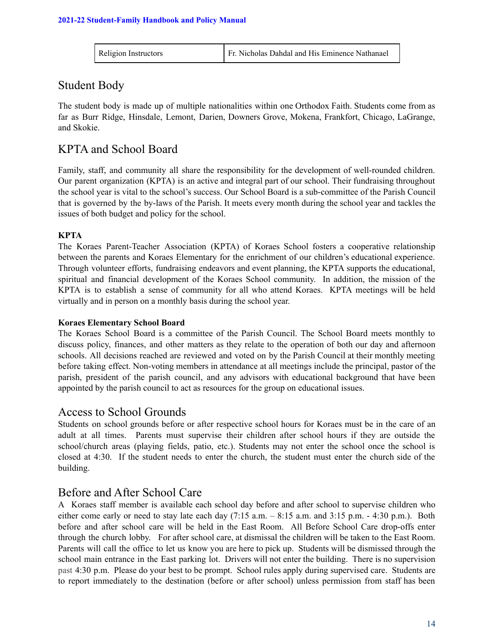| Fr. Nicholas Dahdal and His Eminence Nathanael<br>Religion Instructors |  |
|------------------------------------------------------------------------|--|
|------------------------------------------------------------------------|--|

### Student Body

The student body is made up of multiple nationalities within one Orthodox Faith. Students come from as far as Burr Ridge, Hinsdale, Lemont, Darien, Downers Grove, Mokena, Frankfort, Chicago, LaGrange, and Skokie.

### KPTA and School Board

Family, staff, and community all share the responsibility for the development of well-rounded children. Our parent organization (KPTA) is an active and integral part of our school. Their fundraising throughout the school year is vital to the school's success. Our School Board is a sub-committee of the Parish Council that is governed by the by-laws of the Parish. It meets every month during the school year and tackles the issues of both budget and policy for the school.

#### **KPTA**

The Koraes Parent-Teacher Association (KPTA) of Koraes School fosters a cooperative relationship between the parents and Koraes Elementary for the enrichment of our children's educational experience. Through volunteer efforts, fundraising endeavors and event planning, the KPTA supports the educational, spiritual and financial development of the Koraes School community. In addition, the mission of the KPTA is to establish a sense of community for all who attend Koraes. KPTA meetings will be held virtually and in person on a monthly basis during the school year.

#### **Koraes Elementary School Board**

The Koraes School Board is a committee of the Parish Council. The School Board meets monthly to discuss policy, finances, and other matters as they relate to the operation of both our day and afternoon schools. All decisions reached are reviewed and voted on by the Parish Council at their monthly meeting before taking effect. Non-voting members in attendance at all meetings include the principal, pastor of the parish, president of the parish council, and any advisors with educational background that have been appointed by the parish council to act as resources for the group on educational issues.

### Access to School Grounds

Students on school grounds before or after respective school hours for Koraes must be in the care of an adult at all times. Parents must supervise their children after school hours if they are outside the school/church areas (playing fields, patio, etc.). Students may not enter the school once the school is closed at 4:30. If the student needs to enter the church, the student must enter the church side of the building.

### Before and After School Care

A Koraes staff member is available each school day before and after school to supervise children who either come early or need to stay late each day (7:15 a.m. – 8:15 a.m. and 3:15 p.m. - 4:30 p.m.). Both before and after school care will be held in the East Room. All Before School Care drop-offs enter through the church lobby. For after school care, at dismissal the children will be taken to the East Room. Parents will call the office to let us know you are here to pick up. Students will be dismissed through the school main entrance in the East parking lot. Drivers will not enter the building. There is no supervision past 4:30 p.m. Please do your best to be prompt. School rules apply during supervised care. Students are to report immediately to the destination (before or after school) unless permission from staff has been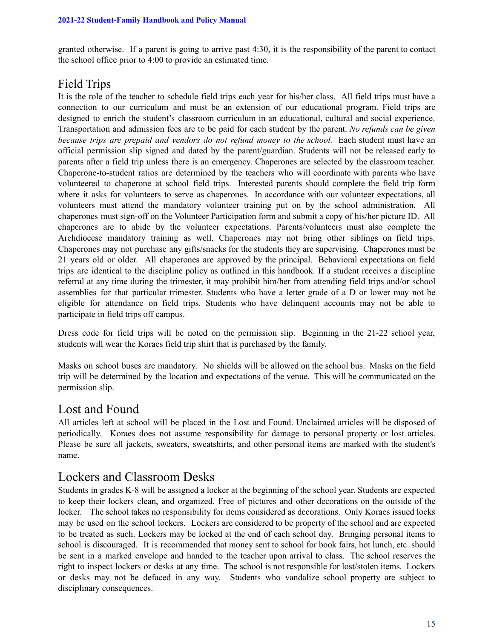granted otherwise. If a parent is going to arrive past 4:30, it is the responsibility of the parent to contact the school office prior to 4:00 to provide an estimated time.

### Field Trips

It is the role of the teacher to schedule field trips each year for his/her class. All field trips must have a connection to our curriculum and must be an extension of our educational program. Field trips are designed to enrich the student's classroom curriculum in an educational, cultural and social experience. Transportation and admission fees are to be paid for each student by the parent. *No refunds can be given because trips are prepaid and vendors do not refund money to the school.* Each student must have an official permission slip signed and dated by the parent/guardian. Students will not be released early to parents after a field trip unless there is an emergency. Chaperones are selected by the classroom teacher. Chaperone-to-student ratios are determined by the teachers who will coordinate with parents who have volunteered to chaperone at school field trips. Interested parents should complete the field trip form where it asks for volunteers to serve as chaperones. In accordance with our volunteer expectations, all volunteers must attend the mandatory volunteer training put on by the school administration. All chaperones must sign-off on the Volunteer Participation form and submit a copy of his/her picture ID. All chaperones are to abide by the volunteer expectations. Parents/volunteers must also complete the Archdiocese mandatory training as well. Chaperones may not bring other siblings on field trips. Chaperones may not purchase any gifts/snacks for the students they are supervising. Chaperones must be 21 years old or older. All chaperones are approved by the principal. Behavioral expectations on field trips are identical to the discipline policy as outlined in this handbook. If a student receives a discipline referral at any time during the trimester, it may prohibit him/her from attending field trips and/or school assemblies for that particular trimester. Students who have a letter grade of a D or lower may not be eligible for attendance on field trips. Students who have delinquent accounts may not be able to participate in field trips off campus.

Dress code for field trips will be noted on the permission slip. Beginning in the 21-22 school year, students will wear the Koraes field trip shirt that is purchased by the family.

Masks on school buses are mandatory. No shields will be allowed on the school bus. Masks on the field trip will be determined by the location and expectations of the venue. This will be communicated on the permission slip.

### Lost and Found

All articles left at school will be placed in the Lost and Found. Unclaimed articles will be disposed of periodically. Koraes does not assume responsibility for damage to personal property or lost articles. Please be sure all jackets, sweaters, sweatshirts, and other personal items are marked with the student's name.

### Lockers and Classroom Desks

Students in grades K-8 will be assigned a locker at the beginning of the school year. Students are expected to keep their lockers clean, and organized. Free of pictures and other decorations on the outside of the locker. The school takes no responsibility for items considered as decorations. Only Koraes issued locks may be used on the school lockers. Lockers are considered to be property of the school and are expected to be treated as such. Lockers may be locked at the end of each school day. Bringing personal items to school is discouraged. It is recommended that money sent to school for book fairs, hot lunch, etc. should be sent in a marked envelope and handed to the teacher upon arrival to class. The school reserves the right to inspect lockers or desks at any time. The school is not responsible for lost/stolen items. Lockers or desks may not be defaced in any way. Students who vandalize school property are subject to disciplinary consequences.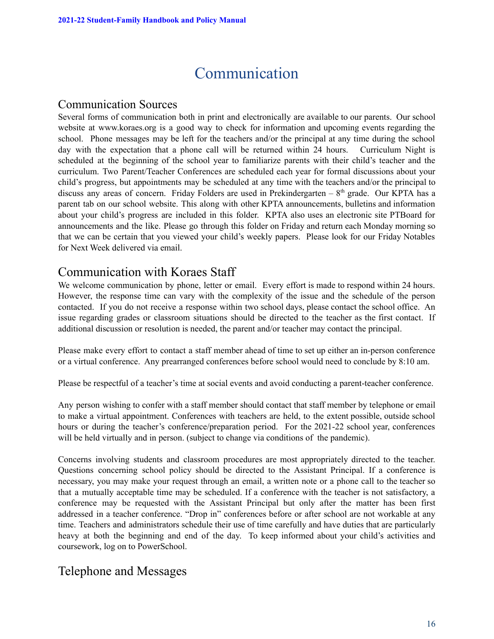# Communication

### Communication Sources

Several forms of communication both in print and electronically are available to our parents. Our school website at [www.koraes.org](http://www.koraes.org) is a good way to check for information and upcoming events regarding the school. Phone messages may be left for the teachers and/or the principal at any time during the school day with the expectation that a phone call will be returned within 24 hours. Curriculum Night is scheduled at the beginning of the school year to familiarize parents with their child's teacher and the curriculum. Two Parent/Teacher Conferences are scheduled each year for formal discussions about your child's progress, but appointments may be scheduled at any time with the teachers and/or the principal to discuss any areas of concern. Friday Folders are used in Prekindergarten  $-8<sup>th</sup>$  grade. Our KPTA has a parent tab on our school website. This along with other KPTA announcements, bulletins and information about your child's progress are included in this folder. KPTA also uses an electronic site PTBoard for announcements and the like. Please go through this folder on Friday and return each Monday morning so that we can be certain that you viewed your child's weekly papers. Please look for our Friday Notables for Next Week delivered via email.

### Communication with Koraes Staff

We welcome communication by phone, letter or email. Every effort is made to respond within 24 hours. However, the response time can vary with the complexity of the issue and the schedule of the person contacted. If you do not receive a response within two school days, please contact the school office. An issue regarding grades or classroom situations should be directed to the teacher as the first contact. If additional discussion or resolution is needed, the parent and/or teacher may contact the principal.

Please make every effort to contact a staff member ahead of time to set up either an in-person conference or a virtual conference. Any prearranged conferences before school would need to conclude by 8:10 am.

Please be respectful of a teacher's time at social events and avoid conducting a parent-teacher conference.

Any person wishing to confer with a staff member should contact that staff member by telephone or email to make a virtual appointment. Conferences with teachers are held, to the extent possible, outside school hours or during the teacher's conference/preparation period. For the 2021-22 school year, conferences will be held virtually and in person. (subject to change via conditions of the pandemic).

Concerns involving students and classroom procedures are most appropriately directed to the teacher. Questions concerning school policy should be directed to the Assistant Principal. If a conference is necessary, you may make your request through an email, a written note or a phone call to the teacher so that a mutually acceptable time may be scheduled. If a conference with the teacher is not satisfactory, a conference may be requested with the Assistant Principal but only after the matter has been first addressed in a teacher conference. "Drop in" conferences before or after school are not workable at any time. Teachers and administrators schedule their use of time carefully and have duties that are particularly heavy at both the beginning and end of the day. To keep informed about your child's activities and coursework, log on to PowerSchool.

### Telephone and Messages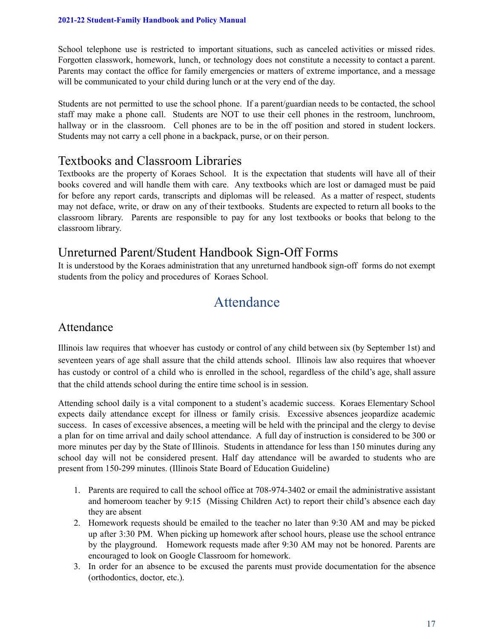School telephone use is restricted to important situations, such as canceled activities or missed rides. Forgotten classwork, homework, lunch, or technology does not constitute a necessity to contact a parent. Parents may contact the office for family emergencies or matters of extreme importance, and a message will be communicated to your child during lunch or at the very end of the day.

Students are not permitted to use the school phone. If a parent/guardian needs to be contacted, the school staff may make a phone call. Students are NOT to use their cell phones in the restroom, lunchroom, hallway or in the classroom. Cell phones are to be in the off position and stored in student lockers. Students may not carry a cell phone in a backpack, purse, or on their person.

### Textbooks and Classroom Libraries

Textbooks are the property of Koraes School. It is the expectation that students will have all of their books covered and will handle them with care. Any textbooks which are lost or damaged must be paid for before any report cards, transcripts and diplomas will be released. As a matter of respect, students may not deface, write, or draw on any of their textbooks. Students are expected to return all books to the classroom library. Parents are responsible to pay for any lost textbooks or books that belong to the classroom library.

### Unreturned Parent/Student Handbook Sign-Off Forms

It is understood by the Koraes administration that any unreturned handbook sign-off forms do not exempt students from the policy and procedures of Koraes School.

# Attendance

### Attendance

Illinois law requires that whoever has custody or control of any child between six (by September 1st) and seventeen years of age shall assure that the child attends school. Illinois law also requires that whoever has custody or control of a child who is enrolled in the school, regardless of the child's age, shall assure that the child attends school during the entire time school is in session.

Attending school daily is a vital component to a student's academic success. Koraes Elementary School expects daily attendance except for illness or family crisis. Excessive absences jeopardize academic success. In cases of excessive absences, a meeting will be held with the principal and the clergy to devise a plan for on time arrival and daily school attendance. A full day of instruction is considered to be 300 or more minutes per day by the State of Illinois. Students in attendance for less than 150 minutes during any school day will not be considered present. Half day attendance will be awarded to students who are present from 150-299 minutes. (Illinois State Board of Education Guideline)

- 1. Parents are required to call the school office at 708-974-3402 or email the administrative assistant and homeroom teacher by 9:15 (Missing Children Act) to report their child's absence each day they are absent
- 2. Homework requests should be emailed to the teacher no later than 9:30 AM and may be picked up after 3:30 PM. When picking up homework after school hours, please use the school entrance by the playground. Homework requests made after 9:30 AM may not be honored. Parents are encouraged to look on Google Classroom for homework.
- 3. In order for an absence to be excused the parents must provide documentation for the absence (orthodontics, doctor, etc.).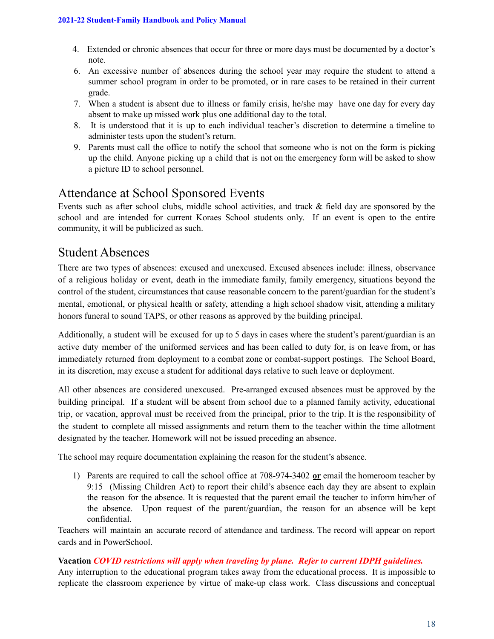- 4. Extended or chronic absences that occur for three or more days must be documented by a doctor's note.
- 6. An excessive number of absences during the school year may require the student to attend a summer school program in order to be promoted, or in rare cases to be retained in their current grade.
- 7. When a student is absent due to illness or family crisis, he/she may have one day for every day absent to make up missed work plus one additional day to the total.
- 8. It is understood that it is up to each individual teacher's discretion to determine a timeline to administer tests upon the student's return.
- 9. Parents must call the office to notify the school that someone who is not on the form is picking up the child. Anyone picking up a child that is not on the emergency form will be asked to show a picture ID to school personnel.

### Attendance at School Sponsored Events

Events such as after school clubs, middle school activities, and track & field day are sponsored by the school and are intended for current Koraes School students only. If an event is open to the entire community, it will be publicized as such.

### Student Absences

There are two types of absences: excused and unexcused. Excused absences include: illness, observance of a religious holiday or event, death in the immediate family, family emergency, situations beyond the control of the student, circumstances that cause reasonable concern to the parent/guardian for the student's mental, emotional, or physical health or safety, attending a high school shadow visit, attending a military honors funeral to sound TAPS, or other reasons as approved by the building principal.

Additionally, a student will be excused for up to 5 days in cases where the student's parent/guardian is an active duty member of the uniformed services and has been called to duty for, is on leave from, or has immediately returned from deployment to a combat zone or combat-support postings. The School Board, in its discretion, may excuse a student for additional days relative to such leave or deployment.

All other absences are considered unexcused. Pre-arranged excused absences must be approved by the building principal. If a student will be absent from school due to a planned family activity, educational trip, or vacation, approval must be received from the principal, prior to the trip. It is the responsibility of the student to complete all missed assignments and return them to the teacher within the time allotment designated by the teacher. Homework will not be issued preceding an absence.

The school may require documentation explaining the reason for the student's absence.

1) Parents are required to call the school office at 708-974-3402 **or** email the homeroom teacher by 9:15 (Missing Children Act) to report their child's absence each day they are absent to explain the reason for the absence. It is requested that the parent email the teacher to inform him/her of the absence. Upon request of the parent/guardian, the reason for an absence will be kept confidential.

Teachers will maintain an accurate record of attendance and tardiness. The record will appear on report cards and in PowerSchool.

#### **Vacation** *COVID restrictions will apply when traveling by plane. Refer to current IDPH guidelines.*

Any interruption to the educational program takes away from the educational process. It is impossible to replicate the classroom experience by virtue of make-up class work. Class discussions and conceptual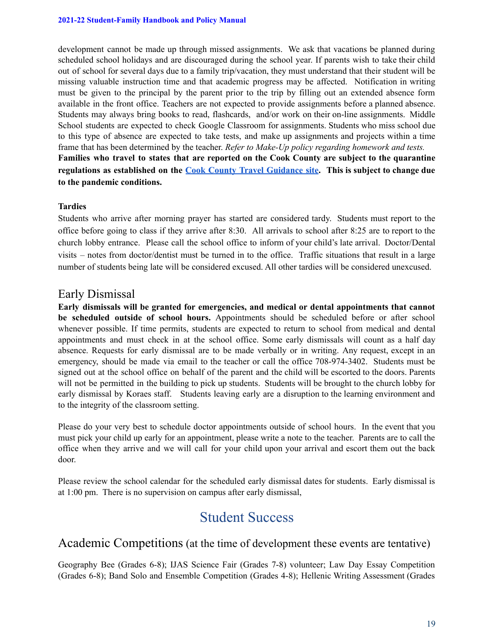development cannot be made up through missed assignments. We ask that vacations be planned during scheduled school holidays and are discouraged during the school year. If parents wish to take their child out of school for several days due to a family trip/vacation, they must understand that their student will be missing valuable instruction time and that academic progress may be affected. Notification in writing must be given to the principal by the parent prior to the trip by filling out an extended absence form available in the front office. Teachers are not expected to provide assignments before a planned absence. Students may always bring books to read, flashcards, and/or work on their on-line assignments. Middle School students are expected to check Google Classroom for assignments. Students who miss school due to this type of absence are expected to take tests, and make up assignments and projects within a time frame that has been determined by the teacher. *Refer to Make-Up policy regarding homework and tests.* **Families who travel to states that are reported on the Cook County are subject to the quarantine regulations as established on the Cook County Travel [Guidance](https://cookcountypublichealth.org/communicable-diseases/covid-19/covid-19-travel-guidance/) site. This is subject to change due to the pandemic conditions.**

#### **Tardies**

Students who arrive after morning prayer has started are considered tardy. Students must report to the office before going to class if they arrive after 8:30. All arrivals to school after 8:25 are to report to the church lobby entrance. Please call the school office to inform of your child's late arrival. Doctor/Dental visits – notes from doctor/dentist must be turned in to the office. Traffic situations that result in a large number of students being late will be considered excused. All other tardies will be considered unexcused.

### Early Dismissal

**Early dismissals will be granted for emergencies, and medical or dental appointments that cannot be scheduled outside of school hours.** Appointments should be scheduled before or after school whenever possible. If time permits, students are expected to return to school from medical and dental appointments and must check in at the school office. Some early dismissals will count as a half day absence. Requests for early dismissal are to be made verbally or in writing. Any request, except in an emergency, should be made via email to the teacher or call the office 708-974-3402. Students must be signed out at the school office on behalf of the parent and the child will be escorted to the doors. Parents will not be permitted in the building to pick up students. Students will be brought to the church lobby for early dismissal by Koraes staff. Students leaving early are a disruption to the learning environment and to the integrity of the classroom setting.

Please do your very best to schedule doctor appointments outside of school hours. In the event that you must pick your child up early for an appointment, please write a note to the teacher. Parents are to call the office when they arrive and we will call for your child upon your arrival and escort them out the back door.

Please review the school calendar for the scheduled early dismissal dates for students. Early dismissal is at 1:00 pm. There is no supervision on campus after early dismissal,

# Student Success

### Academic Competitions (at the time of development these events are tentative)

Geography Bee (Grades 6-8); IJAS Science Fair (Grades 7-8) volunteer; Law Day Essay Competition (Grades 6-8); Band Solo and Ensemble Competition (Grades 4-8); Hellenic Writing Assessment (Grades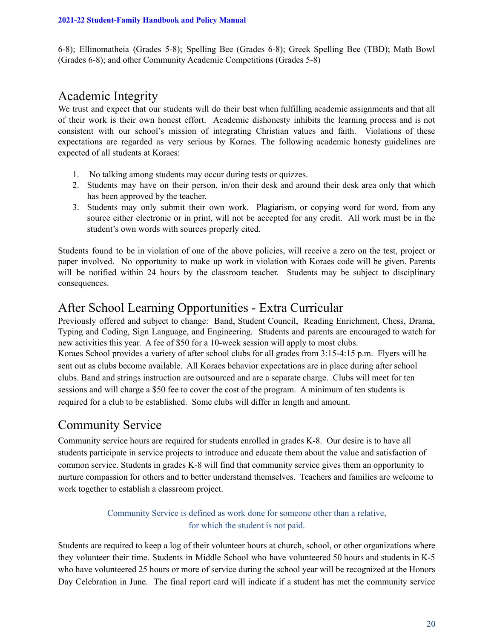6-8); Ellinomatheia (Grades 5-8); Spelling Bee (Grades 6-8); Greek Spelling Bee (TBD); Math Bowl (Grades 6-8); and other Community Academic Competitions (Grades 5-8)

### Academic Integrity

We trust and expect that our students will do their best when fulfilling academic assignments and that all of their work is their own honest effort. Academic dishonesty inhibits the learning process and is not consistent with our school's mission of integrating Christian values and faith. Violations of these expectations are regarded as very serious by Koraes. The following academic honesty guidelines are expected of all students at Koraes:

- 1. No talking among students may occur during tests or quizzes.
- 2. Students may have on their person, in/on their desk and around their desk area only that which has been approved by the teacher.
- 3. Students may only submit their own work. Plagiarism, or copying word for word, from any source either electronic or in print, will not be accepted for any credit. All work must be in the student's own words with sources properly cited.

Students found to be in violation of one of the above policies, will receive a zero on the test, project or paper involved. No opportunity to make up work in violation with Koraes code will be given. Parents will be notified within 24 hours by the classroom teacher. Students may be subject to disciplinary consequences.

### After School Learning Opportunities - Extra Curricular

Previously offered and subject to change: Band, Student Council, Reading Enrichment, Chess, Drama, Typing and Coding, Sign Language, and Engineering. Students and parents are encouraged to watch for new activities this year. A fee of \$50 for a 10-week session will apply to most clubs. Koraes School provides a variety of after school clubs for all grades from 3:15-4:15 p.m. Flyers will be sent out as clubs become available. All Koraes behavior expectations are in place during after school clubs. Band and strings instruction are outsourced and are a separate charge. Clubs will meet for ten sessions and will charge a \$50 fee to cover the cost of the program. A minimum of ten students is required for a club to be established. Some clubs will differ in length and amount.

### Community Service

Community service hours are required for students enrolled in grades K-8. Our desire is to have all students participate in service projects to introduce and educate them about the value and satisfaction of common service. Students in grades K-8 will find that community service gives them an opportunity to nurture compassion for others and to better understand themselves. Teachers and families are welcome to work together to establish a classroom project.

#### Community Service is defined as work done for someone other than a relative, for which the student is not paid.

Students are required to keep a log of their volunteer hours at church, school, or other organizations where they volunteer their time. Students in Middle School who have volunteered 50 hours and students in K-5 who have volunteered 25 hours or more of service during the school year will be recognized at the Honors Day Celebration in June. The final report card will indicate if a student has met the community service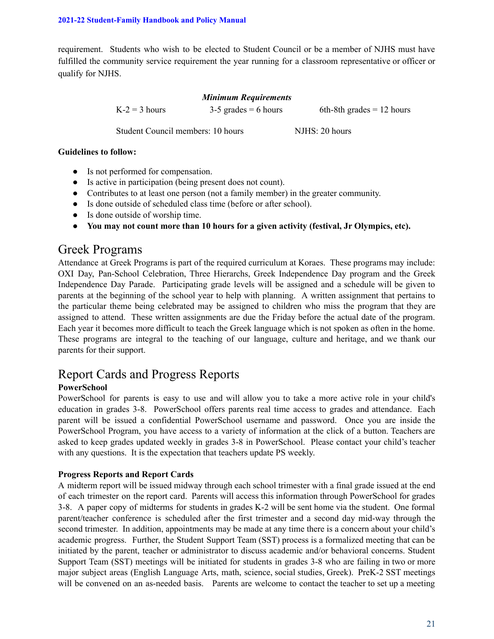requirement. Students who wish to be elected to Student Council or be a member of NJHS must have fulfilled the community service requirement the year running for a classroom representative or officer or qualify for NJHS.

#### *Minimum Requirements*

 $K-2 = 3$  hours 3-5 grades = 6 hours 6th-8th grades = 12 hours

Student Council members: 10 hours NJHS: 20 hours

#### **Guidelines to follow:**

- Is not performed for compensation.
- Is active in participation (being present does not count).
- Contributes to at least one person (not a family member) in the greater community.
- Is done outside of scheduled class time (before or after school).
- Is done outside of worship time.
- **● You may not count more than 10 hours for a given activity (festival, Jr Olympics, etc).**

### Greek Programs

Attendance at Greek Programs is part of the required curriculum at Koraes. These programs may include: OXI Day, Pan-School Celebration, Three Hierarchs, Greek Independence Day program and the Greek Independence Day Parade. Participating grade levels will be assigned and a schedule will be given to parents at the beginning of the school year to help with planning. A written assignment that pertains to the particular theme being celebrated may be assigned to children who miss the program that they are assigned to attend. These written assignments are due the Friday before the actual date of the program. Each year it becomes more difficult to teach the Greek language which is not spoken as often in the home. These programs are integral to the teaching of our language, culture and heritage, and we thank our parents for their support.

### Report Cards and Progress Reports

#### **PowerSchool**

PowerSchool for parents is easy to use and will allow you to take a more active role in your child's education in grades 3-8. PowerSchool offers parents real time access to grades and attendance. Each parent will be issued a confidential PowerSchool username and password. Once you are inside the PowerSchool Program, you have access to a variety of information at the click of a button. Teachers are asked to keep grades updated weekly in grades 3-8 in PowerSchool. Please contact your child's teacher with any questions. It is the expectation that teachers update PS weekly.

#### **Progress Reports and Report Cards**

A midterm report will be issued midway through each school trimester with a final grade issued at the end of each trimester on the report card. Parents will access this information through PowerSchool for grades 3-8. A paper copy of midterms for students in grades K-2 will be sent home via the student. One formal parent/teacher conference is scheduled after the first trimester and a second day mid-way through the second trimester. In addition, appointments may be made at any time there is a concern about your child's academic progress. Further, the Student Support Team (SST) process is a formalized meeting that can be initiated by the parent, teacher or administrator to discuss academic and/or behavioral concerns. Student Support Team (SST) meetings will be initiated for students in grades 3-8 who are failing in two or more major subject areas (English Language Arts, math, science, social studies, Greek). PreK-2 SST meetings will be convened on an as-needed basis. Parents are welcome to contact the teacher to set up a meeting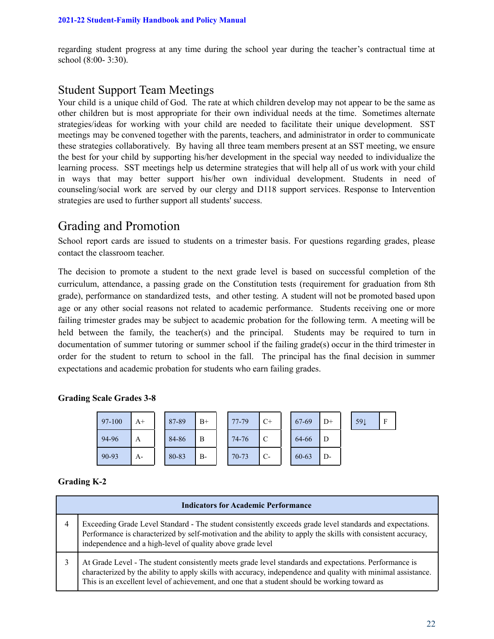regarding student progress at any time during the school year during the teacher's contractual time at school (8:00- 3:30).

### Student Support Team Meetings

Your child is a unique child of God. The rate at which children develop may not appear to be the same as other children but is most appropriate for their own individual needs at the time. Sometimes alternate strategies/ideas for working with your child are needed to facilitate their unique development. SST meetings may be convened together with the parents, teachers, and administrator in order to communicate these strategies collaboratively. By having all three team members present at an SST meeting, we ensure the best for your child by supporting his/her development in the special way needed to individualize the learning process. SST meetings help us determine strategies that will help all of us work with your child in ways that may better support his/her own individual development. Students in need of counseling/social work are served by our clergy and D118 support services. Response to Intervention strategies are used to further support all students' success.

### Grading and Promotion

School report cards are issued to students on a trimester basis. For questions regarding grades, please contact the classroom teacher.

The decision to promote a student to the next grade level is based on successful completion of the curriculum, attendance, a passing grade on the Constitution tests (requirement for graduation from 8th grade), performance on standardized tests, and other testing. A student will not be promoted based upon age or any other social reasons not related to academic performance. Students receiving one or more failing trimester grades may be subject to academic probation for the following term. A meeting will be held between the family, the teacher(s) and the principal. Students may be required to turn in documentation of summer tutoring or summer school if the failing grade(s) occur in the third trimester in order for the student to return to school in the fall. The principal has the final decision in summer expectations and academic probation for students who earn failing grades.

| 97-100 | $A+$ | 87-89 | $B+$      | 77-79     | $C+$          | 67-69     | $D+$ | 59 <sub>↓</sub> | F |
|--------|------|-------|-----------|-----------|---------------|-----------|------|-----------------|---|
| 94-96  | A    | 84-86 | B         | 74-76     | $\mathcal{C}$ | 64-66     | D    |                 |   |
| 90-93  | A-   | 80-83 | <b>B-</b> | $70 - 73$ | $C-$          | $60 - 63$ | D-   |                 |   |

#### **Grading Scale Grades 3-8**

#### **Grading K-2**

| <b>Indicators for Academic Performance</b>                                                                                                                                                                                                                                                                               |  |  |  |  |  |  |
|--------------------------------------------------------------------------------------------------------------------------------------------------------------------------------------------------------------------------------------------------------------------------------------------------------------------------|--|--|--|--|--|--|
| Exceeding Grade Level Standard - The student consistently exceeds grade level standards and expectations.<br>Performance is characterized by self-motivation and the ability to apply the skills with consistent accuracy,<br>independence and a high-level of quality above grade level                                 |  |  |  |  |  |  |
| At Grade Level - The student consistently meets grade level standards and expectations. Performance is<br>characterized by the ability to apply skills with accuracy, independence and quality with minimal assistance.<br>This is an excellent level of achievement, and one that a student should be working toward as |  |  |  |  |  |  |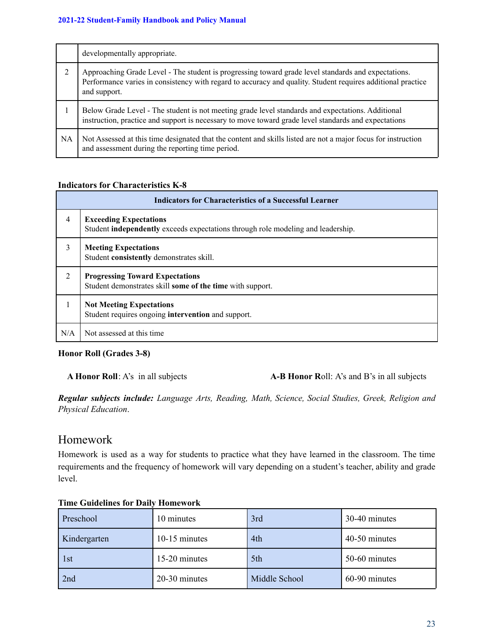|           | developmentally appropriate.                                                                                                                                                                                                       |
|-----------|------------------------------------------------------------------------------------------------------------------------------------------------------------------------------------------------------------------------------------|
| 2         | Approaching Grade Level - The student is progressing toward grade level standards and expectations.<br>Performance varies in consistency with regard to accuracy and quality. Student requires additional practice<br>and support. |
|           | Below Grade Level - The student is not meeting grade level standards and expectations. Additional<br>instruction, practice and support is necessary to move toward grade level standards and expectations                          |
| <b>NA</b> | Not Assessed at this time designated that the content and skills listed are not a major focus for instruction<br>and assessment during the reporting time period.                                                                  |

#### **Indicators for Characteristics K-8**

| <b>Indicators for Characteristics of a Successful Learner</b> |                                                                                                                          |  |  |  |
|---------------------------------------------------------------|--------------------------------------------------------------------------------------------------------------------------|--|--|--|
| $\overline{4}$                                                | <b>Exceeding Expectations</b><br>Student <b>independently</b> exceeds expectations through role modeling and leadership. |  |  |  |
| 3                                                             | <b>Meeting Expectations</b><br>Student consistently demonstrates skill.                                                  |  |  |  |
| 2                                                             | <b>Progressing Toward Expectations</b><br>Student demonstrates skill some of the time with support.                      |  |  |  |
|                                                               | <b>Not Meeting Expectations</b><br>Student requires ongoing intervention and support.                                    |  |  |  |
| N/A                                                           | Not assessed at this time.                                                                                               |  |  |  |

#### **Honor Roll (Grades 3-8)**

**A Honor Roll**: A's in all subjects **A-B Honor R**oll: A's and B's in all subjects

*Regular subjects include: Language Arts, Reading, Math, Science, Social Studies, Greek, Religion and Physical Education*.

### Homework

Homework is used as a way for students to practice what they have learned in the classroom. The time requirements and the frequency of homework will vary depending on a student's teacher, ability and grade level.

| Preschool    | 10 minutes    | 3rd           | 30-40 minutes |
|--------------|---------------|---------------|---------------|
| Kindergarten | 10-15 minutes | 4th           | 40-50 minutes |
| 1st          | 15-20 minutes | 5th           | 50-60 minutes |
| 2nd          | 20-30 minutes | Middle School | 60-90 minutes |

#### **Time Guidelines for Daily Homework**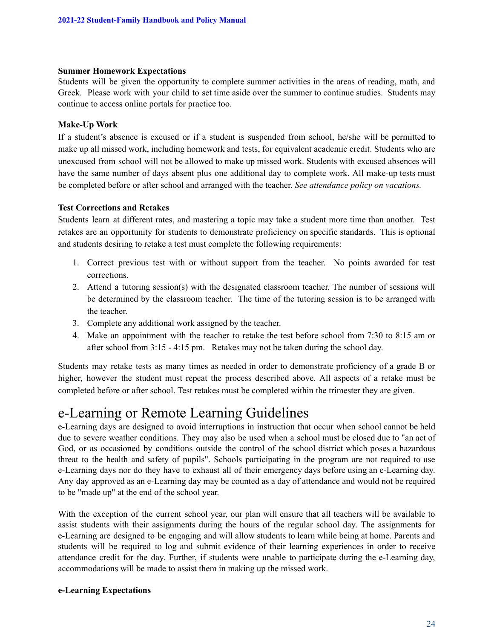#### **Summer Homework Expectations**

Students will be given the opportunity to complete summer activities in the areas of reading, math, and Greek. Please work with your child to set time aside over the summer to continue studies. Students may continue to access online portals for practice too.

#### **Make-Up Work**

If a student's absence is excused or if a student is suspended from school, he/she will be permitted to make up all missed work, including homework and tests, for equivalent academic credit. Students who are unexcused from school will not be allowed to make up missed work. Students with excused absences will have the same number of days absent plus one additional day to complete work. All make-up tests must be completed before or after school and arranged with the teacher. *See attendance policy on vacations.*

#### **Test Corrections and Retakes**

Students learn at different rates, and mastering a topic may take a student more time than another. Test retakes are an opportunity for students to demonstrate proficiency on specific standards. This is optional and students desiring to retake a test must complete the following requirements:

- 1. Correct previous test with or without support from the teacher. No points awarded for test corrections.
- 2. Attend a tutoring session(s) with the designated classroom teacher. The number of sessions will be determined by the classroom teacher. The time of the tutoring session is to be arranged with the teacher.
- 3. Complete any additional work assigned by the teacher.
- 4. Make an appointment with the teacher to retake the test before school from 7:30 to 8:15 am or after school from 3:15 - 4:15 pm. Retakes may not be taken during the school day.

Students may retake tests as many times as needed in order to demonstrate proficiency of a grade B or higher, however the student must repeat the process described above. All aspects of a retake must be completed before or after school. Test retakes must be completed within the trimester they are given.

# e-Learning or Remote Learning Guidelines

e-Learning days are designed to avoid interruptions in instruction that occur when school cannot be held due to severe weather conditions. They may also be used when a school must be closed due to "an act of God, or as occasioned by conditions outside the control of the school district which poses a hazardous threat to the health and safety of pupils". Schools participating in the program are not required to use e-Learning days nor do they have to exhaust all of their emergency days before using an e-Learning day. Any day approved as an e-Learning day may be counted as a day of attendance and would not be required to be "made up" at the end of the school year.

With the exception of the current school year, our plan will ensure that all teachers will be available to assist students with their assignments during the hours of the regular school day. The assignments for e-Learning are designed to be engaging and will allow students to learn while being at home. Parents and students will be required to log and submit evidence of their learning experiences in order to receive attendance credit for the day. Further, if students were unable to participate during the e-Learning day, accommodations will be made to assist them in making up the missed work.

#### **e-Learning Expectations**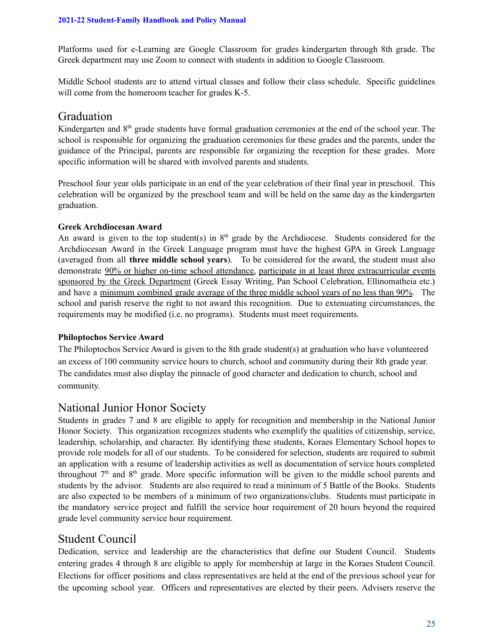Platforms used for e-Learning are Google Classroom for grades kindergarten through 8th grade. The Greek department may use Zoom to connect with students in addition to Google Classroom.

Middle School students are to attend virtual classes and follow their class schedule. Specific guidelines will come from the homeroom teacher for grades K-5.

### Graduation

Kindergarten and 8<sup>th</sup> grade students have formal graduation ceremonies at the end of the school year. The school is responsible for organizing the graduation ceremonies for these grades and the parents, under the guidance of the Principal, parents are responsible for organizing the reception for these grades. More specific information will be shared with involved parents and students.

Preschool four year olds participate in an end of the year celebration of their final year in preschool. This celebration will be organized by the preschool team and will be held on the same day as the kindergarten graduation.

#### **Greek Archdiocesan Award**

An award is given to the top student(s) in  $8<sup>th</sup>$  grade by the Archdiocese. Students considered for the Archdiocesan Award in the Greek Language program must have the highest GPA in Greek Language (averaged from all **three middle school years**). To be considered for the award, the student must also demonstrate 90% or higher on-time school attendance, participate in at least three extracurricular events sponsored by the Greek Department (Greek Essay Writing, Pan School Celebration, Ellinomatheia etc.) and have a minimum combined grade average of the three middle school years of no less than 90%. The school and parish reserve the right to not award this recognition. Due to extenuating circumstances, the requirements may be modified (i.e. no programs). Students must meet requirements.

#### **Philoptochos Service Award**

The Philoptochos Service Award is given to the 8th grade student(s) at graduation who have volunteered an excess of 100 community service hours to church, school and community during their 8th grade year. The candidates must also display the pinnacle of good character and dedication to church, school and community.

### National Junior Honor Society

Students in grades 7 and 8 are eligible to apply for recognition and membership in the National Junior Honor Society. This organization recognizes students who exemplify the qualities of citizenship, service, leadership, scholarship, and character. By identifying these students, Koraes Elementary School hopes to provide role models for all of our students. To be considered for selection, students are required to submit an application with a resume of leadership activities as well as documentation of service hours completed throughout  $7<sup>th</sup>$  and  $8<sup>th</sup>$  grade. More specific information will be given to the middle school parents and students by the advisor. Students are also required to read a minimum of 5 Battle of the Books. Students are also expected to be members of a minimum of two organizations/clubs. Students must participate in the mandatory service project and fulfill the service hour requirement of 20 hours beyond the required grade level community service hour requirement.

### Student Council

Dedication, service and leadership are the characteristics that define our Student Council. Students entering grades 4 through 8 are eligible to apply for membership at large in the Koraes Student Council. Elections for officer positions and class representatives are held at the end of the previous school year for the upcoming school year. Officers and representatives are elected by their peers. Advisers reserve the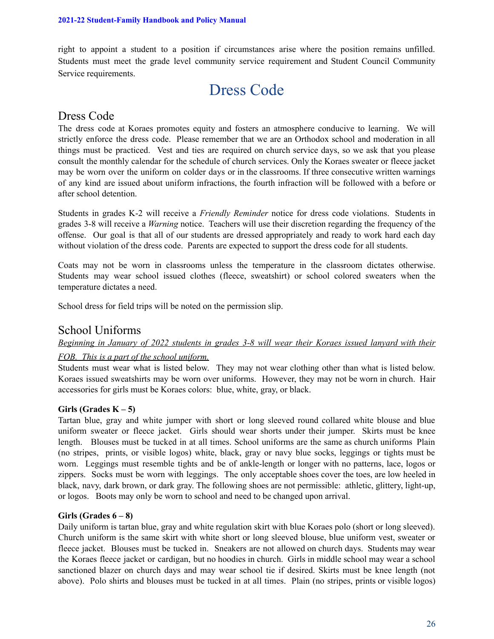right to appoint a student to a position if circumstances arise where the position remains unfilled. Students must meet the grade level community service requirement and Student Council Community Service requirements.

# Dress Code

### Dress Code

The dress code at Koraes promotes equity and fosters an atmosphere conducive to learning. We will strictly enforce the dress code. Please remember that we are an Orthodox school and moderation in all things must be practiced. Vest and ties are required on church service days, so we ask that you please consult the monthly calendar for the schedule of church services. Only the Koraes sweater or fleece jacket may be worn over the uniform on colder days or in the classrooms. If three consecutive written warnings of any kind are issued about uniform infractions, the fourth infraction will be followed with a before or after school detention.

Students in grades K-2 will receive a *Friendly Reminder* notice for dress code violations. Students in grades 3-8 will receive a *Warning* notice. Teachers will use their discretion regarding the frequency of the offense. Our goal is that all of our students are dressed appropriately and ready to work hard each day without violation of the dress code. Parents are expected to support the dress code for all students.

Coats may not be worn in classrooms unless the temperature in the classroom dictates otherwise. Students may wear school issued clothes (fleece, sweatshirt) or school colored sweaters when the temperature dictates a need.

School dress for field trips will be noted on the permission slip.

### School Uniforms

#### *Beginning in January of 2022 students in grades 3-8 will wear their Koraes issued lanyard with their*

#### *FOB. This is a part of the school uniform.*

Students must wear what is listed below. They may not wear clothing other than what is listed below. Koraes issued sweatshirts may be worn over uniforms. However, they may not be worn in church. Hair accessories for girls must be Koraes colors: blue, white, gray, or black.

#### Girls  $(Grades K - 5)$

Tartan blue, gray and white jumper with short or long sleeved round collared white blouse and blue uniform sweater or fleece jacket. Girls should wear shorts under their jumper. Skirts must be knee length. Blouses must be tucked in at all times. School uniforms are the same as church uniforms Plain (no stripes, prints, or visible logos) white, black, gray or navy blue socks, leggings or tights must be worn. Leggings must resemble tights and be of ankle-length or longer with no patterns, lace, logos or zippers. Socks must be worn with leggings. The only acceptable shoes cover the toes, are low heeled in black, navy, dark brown, or dark gray. The following shoes are not permissible: athletic, glittery, light-up, or logos. Boots may only be worn to school and need to be changed upon arrival.

#### **Girls (Grades 6 – 8)**

Daily uniform is tartan blue, gray and white regulation skirt with blue Koraes polo (short or long sleeved). Church uniform is the same skirt with white short or long sleeved blouse, blue uniform vest, sweater or fleece jacket. Blouses must be tucked in. Sneakers are not allowed on church days. Students may wear the Koraes fleece jacket or cardigan, but no hoodies in church. Girls in middle school may wear a school sanctioned blazer on church days and may wear school tie if desired. Skirts must be knee length (not above). Polo shirts and blouses must be tucked in at all times. Plain (no stripes, prints or visible logos)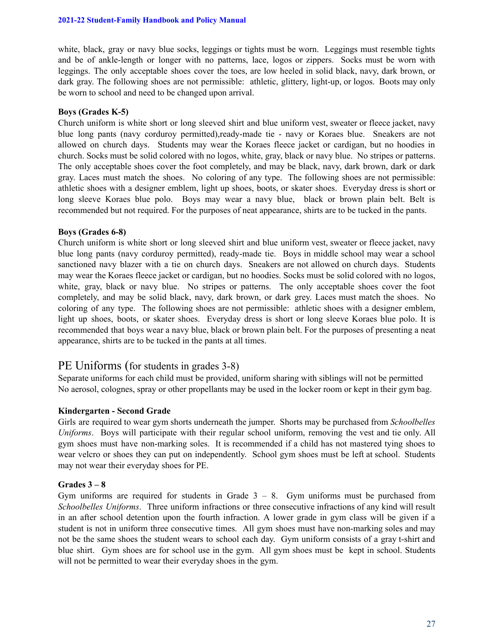white, black, gray or navy blue socks, leggings or tights must be worn. Leggings must resemble tights and be of ankle-length or longer with no patterns, lace, logos or zippers. Socks must be worn with leggings. The only acceptable shoes cover the toes, are low heeled in solid black, navy, dark brown, or dark gray. The following shoes are not permissible: athletic, glittery, light-up, or logos. Boots may only be worn to school and need to be changed upon arrival.

#### **Boys (Grades K-5)**

Church uniform is white short or long sleeved shirt and blue uniform vest, sweater or fleece jacket, navy blue long pants (navy corduroy permitted),ready-made tie - navy or Koraes blue. Sneakers are not allowed on church days. Students may wear the Koraes fleece jacket or cardigan, but no hoodies in church. Socks must be solid colored with no logos, white, gray, black or navy blue. No stripes or patterns. The only acceptable shoes cover the foot completely, and may be black, navy, dark brown, dark or dark gray. Laces must match the shoes. No coloring of any type. The following shoes are not permissible: athletic shoes with a designer emblem, light up shoes, boots, or skater shoes. Everyday dress is short or long sleeve Koraes blue polo. Boys may wear a navy blue, black or brown plain belt. Belt is recommended but not required. For the purposes of neat appearance, shirts are to be tucked in the pants.

#### **Boys (Grades 6-8)**

Church uniform is white short or long sleeved shirt and blue uniform vest, sweater or fleece jacket, navy blue long pants (navy corduroy permitted), ready-made tie. Boys in middle school may wear a school sanctioned navy blazer with a tie on church days. Sneakers are not allowed on church days. Students may wear the Koraes fleece jacket or cardigan, but no hoodies. Socks must be solid colored with no logos, white, gray, black or navy blue. No stripes or patterns. The only acceptable shoes cover the foot completely, and may be solid black, navy, dark brown, or dark grey. Laces must match the shoes. No coloring of any type. The following shoes are not permissible: athletic shoes with a designer emblem, light up shoes, boots, or skater shoes. Everyday dress is short or long sleeve Koraes blue polo. It is recommended that boys wear a navy blue, black or brown plain belt. For the purposes of presenting a neat appearance, shirts are to be tucked in the pants at all times.

#### PE Uniforms (for students in grades 3-8)

Separate uniforms for each child must be provided, uniform sharing with siblings will not be permitted No aerosol, colognes, spray or other propellants may be used in the locker room or kept in their gym bag.

#### **Kindergarten - Second Grade**

Girls are required to wear gym shorts underneath the jumper. Shorts may be purchased from *Schoolbelles Uniforms*. Boys will participate with their regular school uniform, removing the vest and tie only. All gym shoes must have non-marking soles. It is recommended if a child has not mastered tying shoes to wear velcro or shoes they can put on independently. School gym shoes must be left at school. Students may not wear their everyday shoes for PE.

#### **Grades 3 – 8**

Gym uniforms are required for students in Grade  $3 - 8$ . Gym uniforms must be purchased from *Schoolbelles Uniforms*. Three uniform infractions or three consecutive infractions of any kind will result in an after school detention upon the fourth infraction. A lower grade in gym class will be given if a student is not in uniform three consecutive times. All gym shoes must have non-marking soles and may not be the same shoes the student wears to school each day. Gym uniform consists of a gray t-shirt and blue shirt. Gym shoes are for school use in the gym. All gym shoes must be kept in school. Students will not be permitted to wear their everyday shoes in the gym.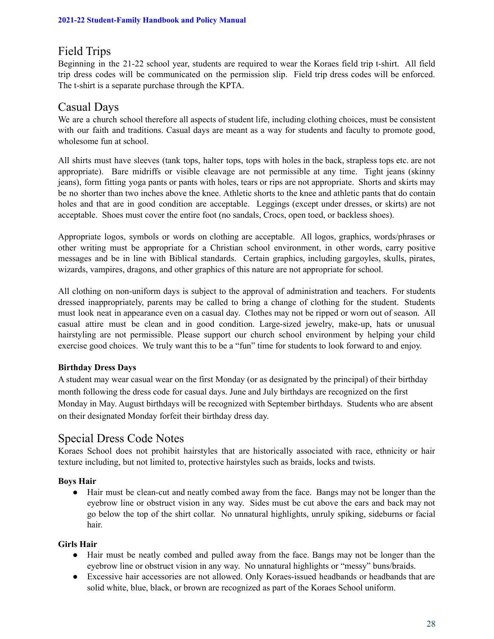### Field Trips

Beginning in the 21-22 school year, students are required to wear the Koraes field trip t-shirt. All field trip dress codes will be communicated on the permission slip. Field trip dress codes will be enforced. The t-shirt is a separate purchase through the KPTA.

### Casual Days

We are a church school therefore all aspects of student life, including clothing choices, must be consistent with our faith and traditions. Casual days are meant as a way for students and faculty to promote good, wholesome fun at school.

All shirts must have sleeves (tank tops, halter tops, tops with holes in the back, strapless tops etc. are not appropriate). Bare midriffs or visible cleavage are not permissible at any time. Tight jeans (skinny jeans), form fitting yoga pants or pants with holes, tears or rips are not appropriate. Shorts and skirts may be no shorter than two inches above the knee. Athletic shorts to the knee and athletic pants that do contain holes and that are in good condition are acceptable. Leggings (except under dresses, or skirts) are not acceptable. Shoes must cover the entire foot (no sandals, Crocs, open toed, or backless shoes).

Appropriate logos, symbols or words on clothing are acceptable. All logos, graphics, words/phrases or other writing must be appropriate for a Christian school environment, in other words, carry positive messages and be in line with Biblical standards. Certain graphics, including gargoyles, skulls, pirates, wizards, vampires, dragons, and other graphics of this nature are not appropriate for school.

All clothing on non-uniform days is subject to the approval of administration and teachers. For students dressed inappropriately, parents may be called to bring a change of clothing for the student. Students must look neat in appearance even on a casual day. Clothes may not be ripped or worn out of season. All casual attire must be clean and in good condition. Large-sized jewelry, make-up, hats or unusual hairstyling are not permissible. Please support our church school environment by helping your child exercise good choices. We truly want this to be a "fun" time for students to look forward to and enjoy.

#### **Birthday Dress Days**

A student may wear casual wear on the first Monday (or as designated by the principal) of their birthday month following the dress code for casual days. June and July birthdays are recognized on the first Monday in May. August birthdays will be recognized with September birthdays. Students who are absent on their designated Monday forfeit their birthday dress day.

### Special Dress Code Notes

Koraes School does not prohibit hairstyles that are historically associated with race, ethnicity or hair texture including, but not limited to, protective hairstyles such as braids, locks and twists.

#### **Boys Hair**

● Hair must be clean-cut and neatly combed away from the face. Bangs may not be longer than the eyebrow line or obstruct vision in any way. Sides must be cut above the ears and back may not go below the top of the shirt collar. No unnatural highlights, unruly spiking, sideburns or facial hair.

#### **Girls Hair**

- Hair must be neatly combed and pulled away from the face. Bangs may not be longer than the eyebrow line or obstruct vision in any way. No unnatural highlights or "messy" buns/braids.
- Excessive hair accessories are not allowed. Only Koraes-issued headbands or headbands that are solid white, blue, black, or brown are recognized as part of the Koraes School uniform.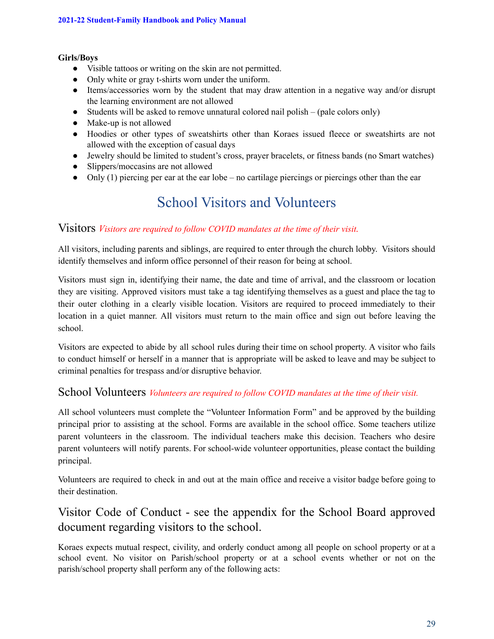#### **Girls/Boys**

- Visible tattoos or writing on the skin are not permitted.
- Only white or gray t-shirts worn under the uniform.
- Items/accessories worn by the student that may draw attention in a negative way and/or disrupt the learning environment are not allowed
- Students will be asked to remove unnatural colored nail polish (pale colors only)
- Make-up is not allowed
- Hoodies or other types of sweatshirts other than Koraes issued fleece or sweatshirts are not allowed with the exception of casual days
- Jewelry should be limited to student's cross, prayer bracelets, or fitness bands (no Smart watches)
- Slippers/moccasins are not allowed
- Only (1) piercing per ear at the ear lobe no cartilage piercings or piercings other than the ear

# School Visitors and Volunteers

#### Visitors *Visitors are required to follow COVID mandates at the time of their visit.*

All visitors, including parents and siblings, are required to enter through the church lobby. Visitors should identify themselves and inform office personnel of their reason for being at school.

Visitors must sign in, identifying their name, the date and time of arrival, and the classroom or location they are visiting. Approved visitors must take a tag identifying themselves as a guest and place the tag to their outer clothing in a clearly visible location. Visitors are required to proceed immediately to their location in a quiet manner. All visitors must return to the main office and sign out before leaving the school.

Visitors are expected to abide by all school rules during their time on school property. A visitor who fails to conduct himself or herself in a manner that is appropriate will be asked to leave and may be subject to criminal penalties for trespass and/or disruptive behavior.

#### School Volunteers *Volunteers are required to follow COVID mandates at the time of their visit.*

All school volunteers must complete the "Volunteer Information Form" and be approved by the building principal prior to assisting at the school. Forms are available in the school office. Some teachers utilize parent volunteers in the classroom. The individual teachers make this decision. Teachers who desire parent volunteers will notify parents. For school-wide volunteer opportunities, please contact the building principal.

Volunteers are required to check in and out at the main office and receive a visitor badge before going to their destination.

### Visitor Code of Conduct - see the appendix for the School Board approved document regarding visitors to the school.

Koraes expects mutual respect, civility, and orderly conduct among all people on school property or at a school event. No visitor on Parish/school property or at a school events whether or not on the parish/school property shall perform any of the following acts: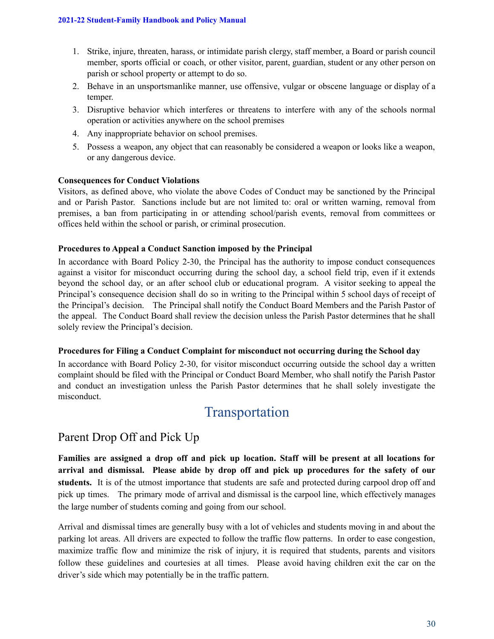- 1. Strike, injure, threaten, harass, or intimidate parish clergy, staff member, a Board or parish council member, sports official or coach, or other visitor, parent, guardian, student or any other person on parish or school property or attempt to do so.
- 2. Behave in an unsportsmanlike manner, use offensive, vulgar or obscene language or display of a temper.
- 3. Disruptive behavior which interferes or threatens to interfere with any of the schools normal operation or activities anywhere on the school premises
- 4. Any inappropriate behavior on school premises.
- 5. Possess a weapon, any object that can reasonably be considered a weapon or looks like a weapon, or any dangerous device.

#### **Consequences for Conduct Violations**

Visitors, as defined above, who violate the above Codes of Conduct may be sanctioned by the Principal and or Parish Pastor. Sanctions include but are not limited to: oral or written warning, removal from premises, a ban from participating in or attending school/parish events, removal from committees or offices held within the school or parish, or criminal prosecution.

#### **Procedures to Appeal a Conduct Sanction imposed by the Principal**

In accordance with Board Policy 2-30, the Principal has the authority to impose conduct consequences against a visitor for misconduct occurring during the school day, a school field trip, even if it extends beyond the school day, or an after school club or educational program. A visitor seeking to appeal the Principal's consequence decision shall do so in writing to the Principal within 5 school days of receipt of the Principal's decision. The Principal shall notify the Conduct Board Members and the Parish Pastor of the appeal. The Conduct Board shall review the decision unless the Parish Pastor determines that he shall solely review the Principal's decision.

#### **Procedures for Filing a Conduct Complaint for misconduct not occurring during the School day**

In accordance with Board Policy 2-30, for visitor misconduct occurring outside the school day a written complaint should be filed with the Principal or Conduct Board Member, who shall notify the Parish Pastor and conduct an investigation unless the Parish Pastor determines that he shall solely investigate the misconduct.

## Transportation

### Parent Drop Off and Pick Up

**Families are assigned a drop off and pick up location. Staff will be present at all locations for arrival and dismissal. Please abide by drop off and pick up procedures for the safety of our students.** It is of the utmost importance that students are safe and protected during carpool drop off and pick up times. The primary mode of arrival and dismissal is the carpool line, which effectively manages the large number of students coming and going from our school.

Arrival and dismissal times are generally busy with a lot of vehicles and students moving in and about the parking lot areas. All drivers are expected to follow the traffic flow patterns. In order to ease congestion, maximize traffic flow and minimize the risk of injury, it is required that students, parents and visitors follow these guidelines and courtesies at all times. Please avoid having children exit the car on the driver's side which may potentially be in the traffic pattern.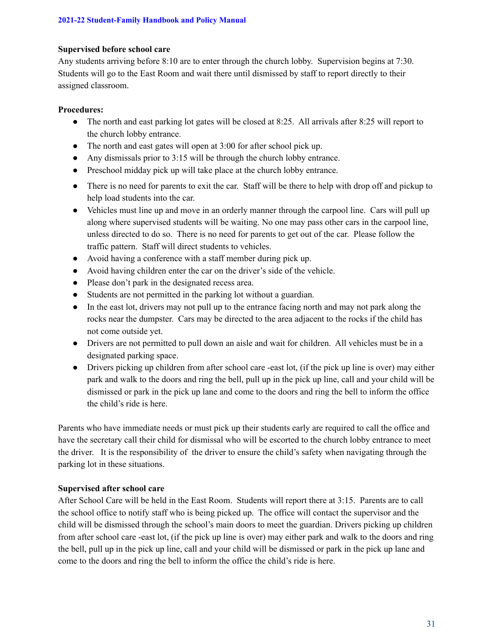#### **Supervised before school care**

Any students arriving before 8:10 are to enter through the church lobby. Supervision begins at 7:30. Students will go to the East Room and wait there until dismissed by staff to report directly to their assigned classroom.

#### **Procedures:**

- The north and east parking lot gates will be closed at 8:25. All arrivals after 8:25 will report to the church lobby entrance.
- The north and east gates will open at 3:00 for after school pick up.
- Any dismissals prior to 3:15 will be through the church lobby entrance.
- Preschool midday pick up will take place at the church lobby entrance.
- There is no need for parents to exit the car. Staff will be there to help with drop off and pickup to help load students into the car.
- Vehicles must line up and move in an orderly manner through the carpool line. Cars will pull up along where supervised students will be waiting. No one may pass other cars in the carpool line, unless directed to do so. There is no need for parents to get out of the car. Please follow the traffic pattern. Staff will direct students to vehicles.
- Avoid having a conference with a staff member during pick up.
- Avoid having children enter the car on the driver's side of the vehicle.
- Please don't park in the designated recess area.
- Students are not permitted in the parking lot without a guardian.
- In the east lot, drivers may not pull up to the entrance facing north and may not park along the rocks near the dumpster. Cars may be directed to the area adjacent to the rocks if the child has not come outside yet.
- Drivers are not permitted to pull down an aisle and wait for children. All vehicles must be in a designated parking space.
- Drivers picking up children from after school care -east lot, (if the pick up line is over) may either park and walk to the doors and ring the bell, pull up in the pick up line, call and your child will be dismissed or park in the pick up lane and come to the doors and ring the bell to inform the office the child's ride is here.

Parents who have immediate needs or must pick up their students early are required to call the office and have the secretary call their child for dismissal who will be escorted to the church lobby entrance to meet the driver. It is the responsibility of the driver to ensure the child's safety when navigating through the parking lot in these situations.

#### **Supervised after school care**

After School Care will be held in the East Room. Students will report there at 3:15. Parents are to call the school office to notify staff who is being picked up. The office will contact the supervisor and the child will be dismissed through the school's main doors to meet the guardian. Drivers picking up children from after school care -east lot, (if the pick up line is over) may either park and walk to the doors and ring the bell, pull up in the pick up line, call and your child will be dismissed or park in the pick up lane and come to the doors and ring the bell to inform the office the child's ride is here.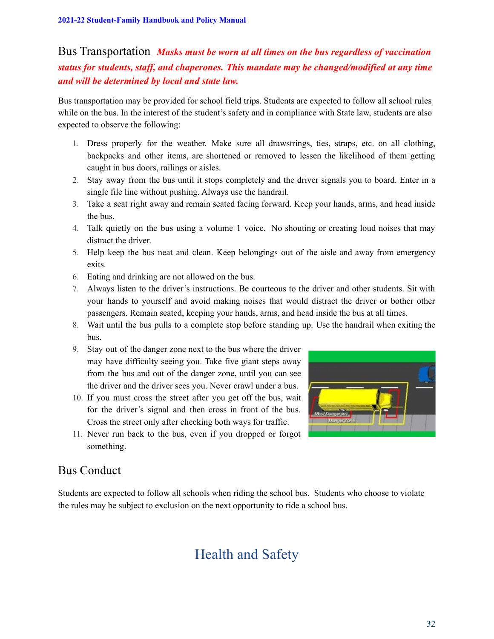Bus Transportation *Masks must be worn at all times on the bus regardless of vaccination status for students, staff, and chaperones. This mandate may be changed/modified at any time and will be determined by local and state law.*

Bus transportation may be provided for school field trips. Students are expected to follow all school rules while on the bus. In the interest of the student's safety and in compliance with State law, students are also expected to observe the following:

- 1. Dress properly for the weather. Make sure all drawstrings, ties, straps, etc. on all clothing, backpacks and other items, are shortened or removed to lessen the likelihood of them getting caught in bus doors, railings or aisles.
- 2. Stay away from the bus until it stops completely and the driver signals you to board. Enter in a single file line without pushing. Always use the handrail.
- 3. Take a seat right away and remain seated facing forward. Keep your hands, arms, and head inside the bus.
- 4. Talk quietly on the bus using a volume 1 voice. No shouting or creating loud noises that may distract the driver.
- 5. Help keep the bus neat and clean. Keep belongings out of the aisle and away from emergency exits.
- 6. Eating and drinking are not allowed on the bus.
- 7. Always listen to the driver's instructions. Be courteous to the driver and other students. Sit with your hands to yourself and avoid making noises that would distract the driver or bother other passengers. Remain seated, keeping your hands, arms, and head inside the bus at all times.
- 8. Wait until the bus pulls to a complete stop before standing up. Use the handrail when exiting the bus.
- 9. Stay out of the danger zone next to the bus where the driver may have difficulty seeing you. Take five giant steps away from the bus and out of the danger zone, until you can see the driver and the driver sees you. Never crawl under a bus.
- 10. If you must cross the street after you get off the bus, wait for the driver's signal and then cross in front of the bus. Cross the street only after checking both ways for traffic.



11. Never run back to the bus, even if you dropped or forgot something.

### Bus Conduct

Students are expected to follow all schools when riding the school bus. Students who choose to violate the rules may be subject to exclusion on the next opportunity to ride a school bus.

# Health and Safety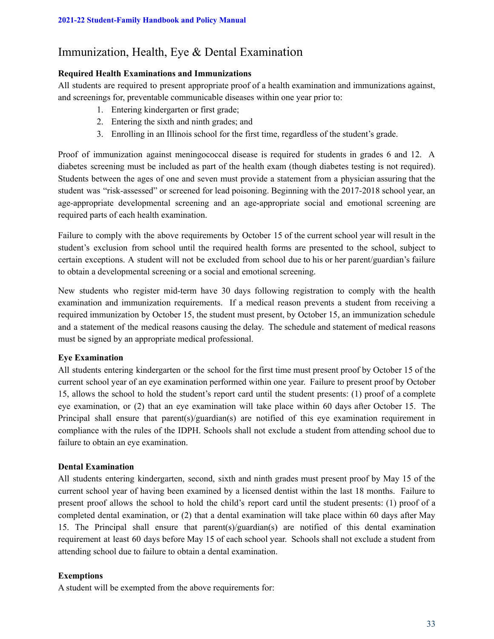### Immunization, Health, Eye & Dental Examination

#### **Required Health Examinations and Immunizations**

All students are required to present appropriate proof of a health examination and immunizations against, and screenings for, preventable communicable diseases within one year prior to:

- 1. Entering kindergarten or first grade;
- 2. Entering the sixth and ninth grades; and
- 3. Enrolling in an Illinois school for the first time, regardless of the student's grade.

Proof of immunization against meningococcal disease is required for students in grades 6 and 12. A diabetes screening must be included as part of the health exam (though diabetes testing is not required). Students between the ages of one and seven must provide a statement from a physician assuring that the student was "risk-assessed" or screened for lead poisoning. Beginning with the 2017-2018 school year, an age-appropriate developmental screening and an age-appropriate social and emotional screening are required parts of each health examination.

Failure to comply with the above requirements by October 15 of the current school year will result in the student's exclusion from school until the required health forms are presented to the school, subject to certain exceptions. A student will not be excluded from school due to his or her parent/guardian's failure to obtain a developmental screening or a social and emotional screening.

New students who register mid-term have 30 days following registration to comply with the health examination and immunization requirements. If a medical reason prevents a student from receiving a required immunization by October 15, the student must present, by October 15, an immunization schedule and a statement of the medical reasons causing the delay. The schedule and statement of medical reasons must be signed by an appropriate medical professional.

#### **Eye Examination**

All students entering kindergarten or the school for the first time must present proof by October 15 of the current school year of an eye examination performed within one year. Failure to present proof by October 15, allows the school to hold the student's report card until the student presents: (1) proof of a complete eye examination, or (2) that an eye examination will take place within 60 days after October 15. The Principal shall ensure that parent(s)/guardian(s) are notified of this eye examination requirement in compliance with the rules of the IDPH. Schools shall not exclude a student from attending school due to failure to obtain an eye examination.

#### **Dental Examination**

All students entering kindergarten, second, sixth and ninth grades must present proof by May 15 of the current school year of having been examined by a licensed dentist within the last 18 months. Failure to present proof allows the school to hold the child's report card until the student presents: (1) proof of a completed dental examination, or (2) that a dental examination will take place within 60 days after May 15. The Principal shall ensure that parent(s)/guardian(s) are notified of this dental examination requirement at least 60 days before May 15 of each school year. Schools shall not exclude a student from attending school due to failure to obtain a dental examination.

#### **Exemptions**

A student will be exempted from the above requirements for: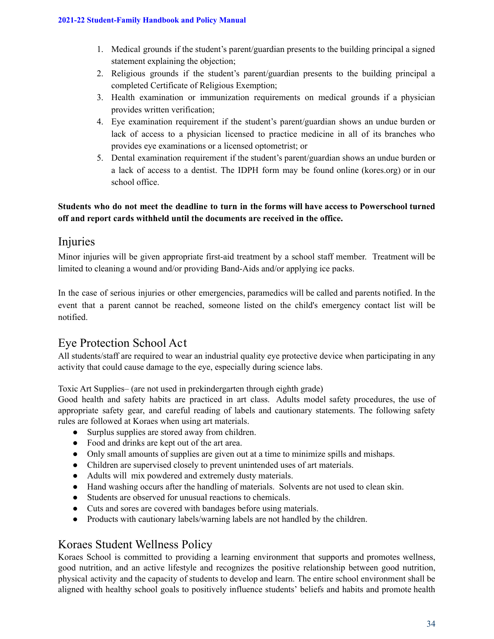- 1. Medical grounds if the student's parent/guardian presents to the building principal a signed statement explaining the objection;
- 2. Religious grounds if the student's parent/guardian presents to the building principal a completed Certificate of Religious Exemption;
- 3. Health examination or immunization requirements on medical grounds if a physician provides written verification;
- 4. Eye examination requirement if the student's parent/guardian shows an undue burden or lack of access to a physician licensed to practice medicine in all of its branches who provides eye examinations or a licensed optometrist; or
- 5. Dental examination requirement if the student's parent/guardian shows an undue burden or a lack of access to a dentist. The IDPH form may be found online (kores.org) or in our school office.

#### **Students who do not meet the deadline to turn in the forms will have access to Powerschool turned off and report cards withheld until the documents are received in the office.**

### Injuries

Minor injuries will be given appropriate first-aid treatment by a school staff member. Treatment will be limited to cleaning a wound and/or providing Band-Aids and/or applying ice packs.

In the case of serious injuries or other emergencies, paramedics will be called and parents notified. In the event that a parent cannot be reached, someone listed on the child's emergency contact list will be notified.

### Eye Protection School Act

All students/staff are required to wear an industrial quality eye protective device when participating in any activity that could cause damage to the eye, especially during science labs.

Toxic Art Supplies– (are not used in prekindergarten through eighth grade)

Good health and safety habits are practiced in art class. Adults model safety procedures, the use of appropriate safety gear, and careful reading of labels and cautionary statements. The following safety rules are followed at Koraes when using art materials.

- Surplus supplies are stored away from children.
- Food and drinks are kept out of the art area.
- Only small amounts of supplies are given out at a time to minimize spills and mishaps.
- Children are supervised closely to prevent unintended uses of art materials.
- Adults will mix powdered and extremely dusty materials.
- Hand washing occurs after the handling of materials. Solvents are not used to clean skin.
- Students are observed for unusual reactions to chemicals.
- Cuts and sores are covered with bandages before using materials.
- Products with cautionary labels/warning labels are not handled by the children.

### Koraes Student Wellness Policy

Koraes School is committed to providing a learning environment that supports and promotes wellness, good nutrition, and an active lifestyle and recognizes the positive relationship between good nutrition, physical activity and the capacity of students to develop and learn. The entire school environment shall be aligned with healthy school goals to positively influence students' beliefs and habits and promote health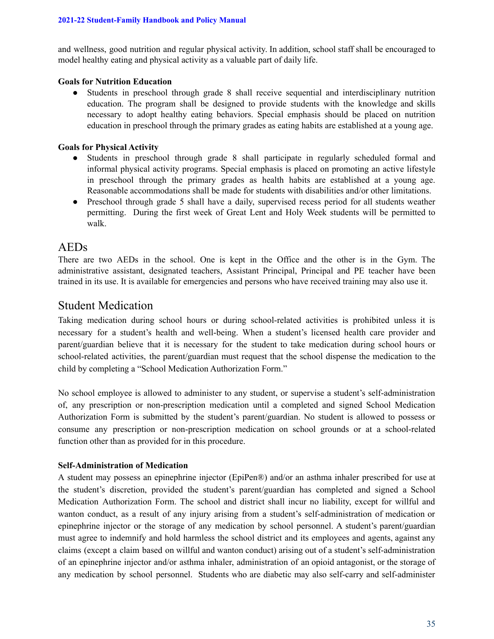and wellness, good nutrition and regular physical activity. In addition, school staff shall be encouraged to model healthy eating and physical activity as a valuable part of daily life.

#### **Goals for Nutrition Education**

● Students in preschool through grade 8 shall receive sequential and interdisciplinary nutrition education. The program shall be designed to provide students with the knowledge and skills necessary to adopt healthy eating behaviors. Special emphasis should be placed on nutrition education in preschool through the primary grades as eating habits are established at a young age.

#### **Goals for Physical Activity**

- Students in preschool through grade 8 shall participate in regularly scheduled formal and informal physical activity programs. Special emphasis is placed on promoting an active lifestyle in preschool through the primary grades as health habits are established at a young age. Reasonable accommodations shall be made for students with disabilities and/or other limitations.
- Preschool through grade 5 shall have a daily, supervised recess period for all students weather permitting. During the first week of Great Lent and Holy Week students will be permitted to walk.

### AEDs

There are two AEDs in the school. One is kept in the Office and the other is in the Gym. The administrative assistant, designated teachers, Assistant Principal, Principal and PE teacher have been trained in its use. It is available for emergencies and persons who have received training may also use it.

### Student Medication

Taking medication during school hours or during school-related activities is prohibited unless it is necessary for a student's health and well-being. When a student's licensed health care provider and parent/guardian believe that it is necessary for the student to take medication during school hours or school-related activities, the parent/guardian must request that the school dispense the medication to the child by completing a "School Medication Authorization Form."

No school employee is allowed to administer to any student, or supervise a student's self-administration of, any prescription or non-prescription medication until a completed and signed School Medication Authorization Form is submitted by the student's parent/guardian. No student is allowed to possess or consume any prescription or non-prescription medication on school grounds or at a school-related function other than as provided for in this procedure.

#### **Self-Administration of Medication**

A student may possess an epinephrine injector (EpiPen®) and/or an asthma inhaler prescribed for use at the student's discretion, provided the student's parent/guardian has completed and signed a School Medication Authorization Form. The school and district shall incur no liability, except for willful and wanton conduct, as a result of any injury arising from a student's self-administration of medication or epinephrine injector or the storage of any medication by school personnel. A student's parent/guardian must agree to indemnify and hold harmless the school district and its employees and agents, against any claims (except a claim based on willful and wanton conduct) arising out of a student's self-administration of an epinephrine injector and/or asthma inhaler, administration of an opioid antagonist, or the storage of any medication by school personnel. Students who are diabetic may also self-carry and self-administer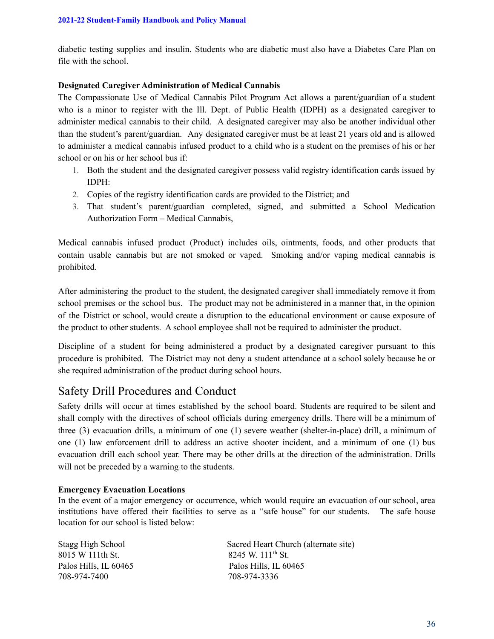diabetic testing supplies and insulin. Students who are diabetic must also have a Diabetes Care Plan on file with the school.

### **Designated Caregiver Administration of Medical Cannabis**

The Compassionate Use of Medical Cannabis Pilot Program Act allows a parent/guardian of a student who is a minor to register with the Ill. Dept. of Public Health (IDPH) as a designated caregiver to administer medical cannabis to their child. A designated caregiver may also be another individual other than the student's parent/guardian. Any designated caregiver must be at least 21 years old and is allowed to administer a medical cannabis infused product to a child who is a student on the premises of his or her school or on his or her school bus if:

- 1. Both the student and the designated caregiver possess valid registry identification cards issued by IDPH:
- 2. Copies of the registry identification cards are provided to the District; and
- 3. That student's parent/guardian completed, signed, and submitted a School Medication Authorization Form – Medical Cannabis,

Medical cannabis infused product (Product) includes oils, ointments, foods, and other products that contain usable cannabis but are not smoked or vaped. Smoking and/or vaping medical cannabis is prohibited.

After administering the product to the student, the designated caregiver shall immediately remove it from school premises or the school bus. The product may not be administered in a manner that, in the opinion of the District or school, would create a disruption to the educational environment or cause exposure of the product to other students. A school employee shall not be required to administer the product.

Discipline of a student for being administered a product by a designated caregiver pursuant to this procedure is prohibited. The District may not deny a student attendance at a school solely because he or she required administration of the product during school hours.

# Safety Drill Procedures and Conduct

Safety drills will occur at times established by the school board. Students are required to be silent and shall comply with the directives of school officials during emergency drills. There will be a minimum of three (3) evacuation drills, a minimum of one (1) severe weather (shelter-in-place) drill, a minimum of one (1) law enforcement drill to address an active shooter incident, and a minimum of one (1) bus evacuation drill each school year. There may be other drills at the direction of the administration. Drills will not be preceded by a warning to the students.

### **Emergency Evacuation Locations**

In the event of a major emergency or occurrence, which would require an evacuation of our school, area institutions have offered their facilities to serve as a "safe house" for our students. The safe house location for our school is listed below:

8015 W 111th St. Palos Hills, IL 60465 Palos Hills, IL 60465 708-974-7400 708-974-3336

Stagg High School Sacred Heart Church (alternate site) 8245 W. 111<sup>th</sup> St.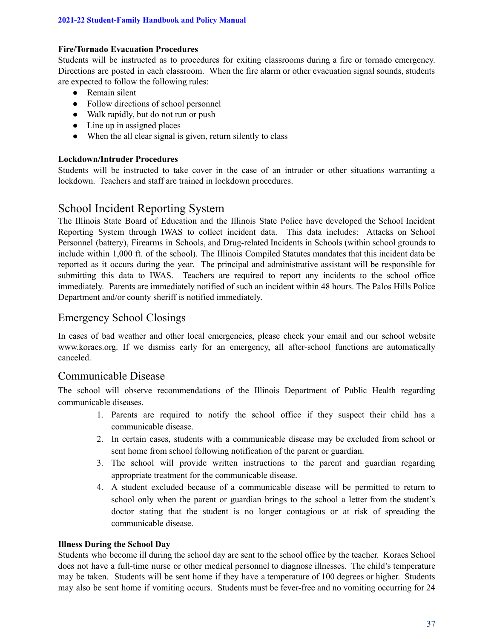### **Fire/Tornado Evacuation Procedures**

Students will be instructed as to procedures for exiting classrooms during a fire or tornado emergency. Directions are posted in each classroom. When the fire alarm or other evacuation signal sounds, students are expected to follow the following rules:

- Remain silent
- Follow directions of school personnel
- Walk rapidly, but do not run or push
- $\bullet$  Line up in assigned places
- When the all clear signal is given, return silently to class

### **Lockdown/Intruder Procedures**

Students will be instructed to take cover in the case of an intruder or other situations warranting a lockdown. Teachers and staff are trained in lockdown procedures.

# School Incident Reporting System

The Illinois State Board of Education and the Illinois State Police have developed the School Incident Reporting System through IWAS to collect incident data. This data includes: Attacks on School Personnel (battery), Firearms in Schools, and Drug-related Incidents in Schools (within school grounds to include within 1,000 ft. of the school). The Illinois Compiled Statutes mandates that this incident data be reported as it occurs during the year. The principal and administrative assistant will be responsible for submitting this data to IWAS. Teachers are required to report any incidents to the school office immediately. Parents are immediately notified of such an incident within 48 hours. The Palos Hills Police Department and/or county sheriff is notified immediately.

### Emergency School Closings

In cases of bad weather and other local emergencies, please check your email and our school website www.koraes.org. If we dismiss early for an emergency, all after-school functions are automatically canceled.

## Communicable Disease

The school will observe recommendations of the Illinois Department of Public Health regarding communicable diseases.

- 1. Parents are required to notify the school office if they suspect their child has a communicable disease.
- 2. In certain cases, students with a communicable disease may be excluded from school or sent home from school following notification of the parent or guardian.
- 3. The school will provide written instructions to the parent and guardian regarding appropriate treatment for the communicable disease.
- 4. A student excluded because of a communicable disease will be permitted to return to school only when the parent or guardian brings to the school a letter from the student's doctor stating that the student is no longer contagious or at risk of spreading the communicable disease.

### **Illness During the School Day**

Students who become ill during the school day are sent to the school office by the teacher. Koraes School does not have a full-time nurse or other medical personnel to diagnose illnesses. The child's temperature may be taken. Students will be sent home if they have a temperature of 100 degrees or higher. Students may also be sent home if vomiting occurs. Students must be fever-free and no vomiting occurring for 24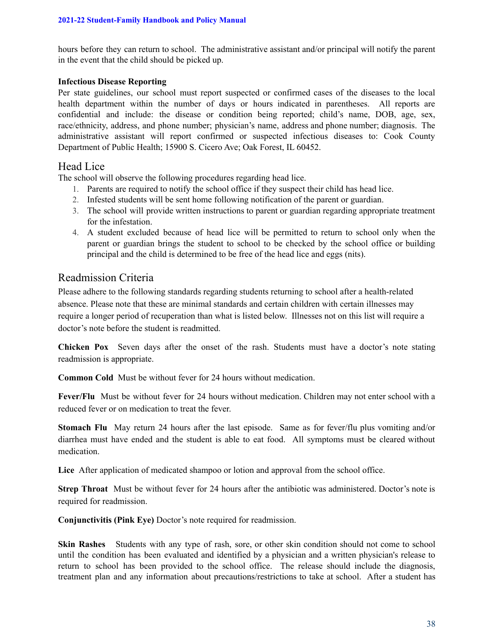hours before they can return to school. The administrative assistant and/or principal will notify the parent in the event that the child should be picked up.

### **Infectious Disease Reporting**

Per state guidelines, our school must report suspected or confirmed cases of the diseases to the local health department within the number of days or hours indicated in parentheses. All reports are confidential and include: the disease or condition being reported; child's name, DOB, age, sex, race/ethnicity, address, and phone number; physician's name, address and phone number; diagnosis. The administrative assistant will report confirmed or suspected infectious diseases to: Cook County Department of Public Health; 15900 S. Cicero Ave; Oak Forest, IL 60452.

## Head Lice

The school will observe the following procedures regarding head lice.

- 1. Parents are required to notify the school office if they suspect their child has head lice.
- 2. Infested students will be sent home following notification of the parent or guardian.
- 3. The school will provide written instructions to parent or guardian regarding appropriate treatment for the infestation.
- 4. A student excluded because of head lice will be permitted to return to school only when the parent or guardian brings the student to school to be checked by the school office or building principal and the child is determined to be free of the head lice and eggs (nits).

## Readmission Criteria

Please adhere to the following standards regarding students returning to school after a health-related absence. Please note that these are minimal standards and certain children with certain illnesses may require a longer period of recuperation than what is listed below. Illnesses not on this list will require a doctor's note before the student is readmitted.

**Chicken Pox** Seven days after the onset of the rash. Students must have a doctor's note stating readmission is appropriate.

**Common Cold** Must be without fever for 24 hours without medication.

**Fever/Flu** Must be without fever for 24 hours without medication. Children may not enter school with a reduced fever or on medication to treat the fever.

**Stomach Flu** May return 24 hours after the last episode. Same as for fever/flu plus vomiting and/or diarrhea must have ended and the student is able to eat food. All symptoms must be cleared without medication.

**Lice** After application of medicated shampoo or lotion and approval from the school office.

**Strep Throat** Must be without fever for 24 hours after the antibiotic was administered. Doctor's note is required for readmission.

**Conjunctivitis (Pink Eye)** Doctor's note required for readmission.

**Skin Rashes** Students with any type of rash, sore, or other skin condition should not come to school until the condition has been evaluated and identified by a physician and a written physician's release to return to school has been provided to the school office. The release should include the diagnosis, treatment plan and any information about precautions/restrictions to take at school. After a student has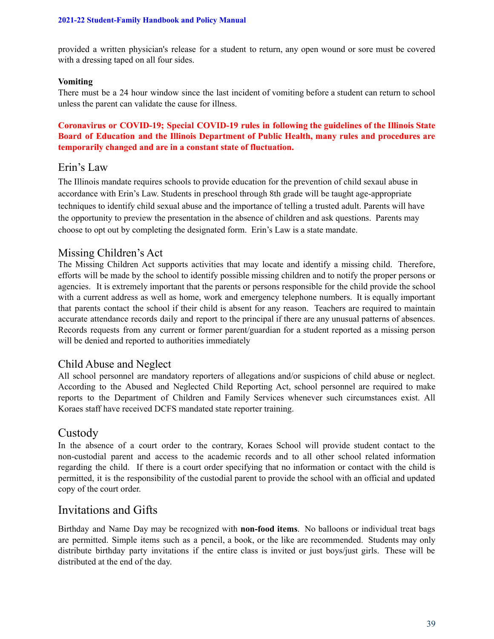provided a written physician's release for a student to return, any open wound or sore must be covered with a dressing taped on all four sides.

### **Vomiting**

There must be a 24 hour window since the last incident of vomiting before a student can return to school unless the parent can validate the cause for illness.

### **Coronavirus or COVID-19; Special COVID-19 rules in following the guidelines of the Illinois State Board of Education and the Illinois Department of Public Health, many rules and procedures are temporarily changed and are in a constant state of fluctuation.**

# Erin's Law

The Illinois mandate requires schools to provide education for the prevention of child sexaul abuse in accordance with Erin's Law. Students in preschool through 8th grade will be taught age-appropriate techniques to identify child sexual abuse and the importance of telling a trusted adult. Parents will have the opportunity to preview the presentation in the absence of children and ask questions. Parents may choose to opt out by completing the designated form. Erin's Law is a state mandate.

## Missing Children's Act

The Missing Children Act supports activities that may locate and identify a missing child. Therefore, efforts will be made by the school to identify possible missing children and to notify the proper persons or agencies. It is extremely important that the parents or persons responsible for the child provide the school with a current address as well as home, work and emergency telephone numbers. It is equally important that parents contact the school if their child is absent for any reason. Teachers are required to maintain accurate attendance records daily and report to the principal if there are any unusual patterns of absences. Records requests from any current or former parent/guardian for a student reported as a missing person will be denied and reported to authorities immediately

## Child Abuse and Neglect

All school personnel are mandatory reporters of allegations and/or suspicions of child abuse or neglect. According to the Abused and Neglected Child Reporting Act, school personnel are required to make reports to the Department of Children and Family Services whenever such circumstances exist. All Koraes staff have received DCFS mandated state reporter training.

## Custody

In the absence of a court order to the contrary, Koraes School will provide student contact to the non-custodial parent and access to the academic records and to all other school related information regarding the child. If there is a court order specifying that no information or contact with the child is permitted, it is the responsibility of the custodial parent to provide the school with an official and updated copy of the court order.

# Invitations and Gifts

Birthday and Name Day may be recognized with **non-food items**. No balloons or individual treat bags are permitted. Simple items such as a pencil, a book, or the like are recommended. Students may only distribute birthday party invitations if the entire class is invited or just boys/just girls. These will be distributed at the end of the day.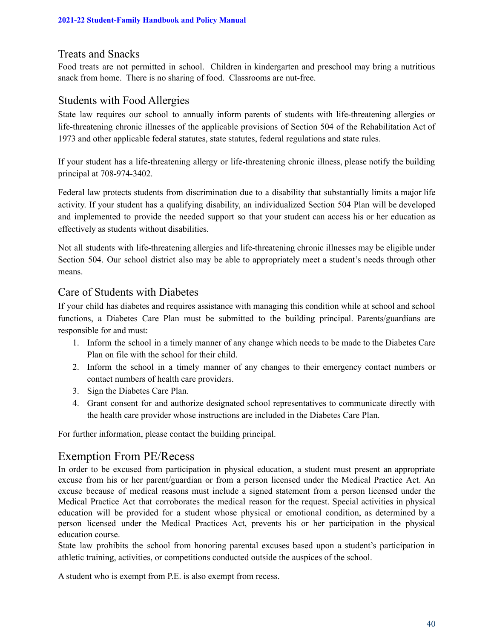## Treats and Snacks

Food treats are not permitted in school. Children in kindergarten and preschool may bring a nutritious snack from home. There is no sharing of food. Classrooms are nut-free.

## Students with Food Allergies

State law requires our school to annually inform parents of students with life-threatening allergies or life-threatening chronic illnesses of the applicable provisions of Section 504 of the Rehabilitation Act of 1973 and other applicable federal statutes, state statutes, federal regulations and state rules.

If your student has a life-threatening allergy or life-threatening chronic illness, please notify the building principal at 708-974-3402.

Federal law protects students from discrimination due to a disability that substantially limits a major life activity. If your student has a qualifying disability, an individualized Section 504 Plan will be developed and implemented to provide the needed support so that your student can access his or her education as effectively as students without disabilities.

Not all students with life-threatening allergies and life-threatening chronic illnesses may be eligible under Section 504. Our school district also may be able to appropriately meet a student's needs through other means.

## Care of Students with Diabetes

If your child has diabetes and requires assistance with managing this condition while at school and school functions, a Diabetes Care Plan must be submitted to the building principal. Parents/guardians are responsible for and must:

- 1. Inform the school in a timely manner of any change which needs to be made to the Diabetes Care Plan on file with the school for their child.
- 2. Inform the school in a timely manner of any changes to their emergency contact numbers or contact numbers of health care providers.
- 3. Sign the Diabetes Care Plan.
- 4. Grant consent for and authorize designated school representatives to communicate directly with the health care provider whose instructions are included in the Diabetes Care Plan.

For further information, please contact the building principal.

# Exemption From PE/Recess

In order to be excused from participation in physical education, a student must present an appropriate excuse from his or her parent/guardian or from a person licensed under the Medical Practice Act. An excuse because of medical reasons must include a signed statement from a person licensed under the Medical Practice Act that corroborates the medical reason for the request. Special activities in physical education will be provided for a student whose physical or emotional condition, as determined by a person licensed under the Medical Practices Act, prevents his or her participation in the physical education course.

State law prohibits the school from honoring parental excuses based upon a student's participation in athletic training, activities, or competitions conducted outside the auspices of the school.

A student who is exempt from P.E. is also exempt from recess.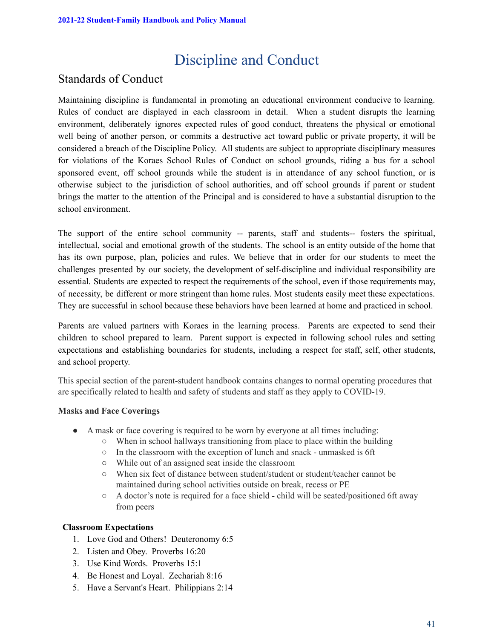# Discipline and Conduct

# Standards of Conduct

Maintaining discipline is fundamental in promoting an educational environment conducive to learning. Rules of conduct are displayed in each classroom in detail. When a student disrupts the learning environment, deliberately ignores expected rules of good conduct, threatens the physical or emotional well being of another person, or commits a destructive act toward public or private property, it will be considered a breach of the Discipline Policy. All students are subject to appropriate disciplinary measures for violations of the Koraes School Rules of Conduct on school grounds, riding a bus for a school sponsored event, off school grounds while the student is in attendance of any school function, or is otherwise subject to the jurisdiction of school authorities, and off school grounds if parent or student brings the matter to the attention of the Principal and is considered to have a substantial disruption to the school environment.

The support of the entire school community -- parents, staff and students-- fosters the spiritual, intellectual, social and emotional growth of the students. The school is an entity outside of the home that has its own purpose, plan, policies and rules. We believe that in order for our students to meet the challenges presented by our society, the development of self-discipline and individual responsibility are essential. Students are expected to respect the requirements of the school, even if those requirements may, of necessity, be different or more stringent than home rules. Most students easily meet these expectations. They are successful in school because these behaviors have been learned at home and practiced in school.

Parents are valued partners with Koraes in the learning process. Parents are expected to send their children to school prepared to learn. Parent support is expected in following school rules and setting expectations and establishing boundaries for students, including a respect for staff, self, other students, and school property.

This special section of the parent-student handbook contains changes to normal operating procedures that are specifically related to health and safety of students and staff as they apply to COVID-19.

### **Masks and Face Coverings**

- A mask or face covering is required to be worn by everyone at all times including:
	- $\circ$  When in school hallways transitioning from place to place within the building
	- In the classroom with the exception of lunch and snack unmasked is 6ft
	- While out of an assigned seat inside the classroom
	- When six feet of distance between student/student or student/teacher cannot be maintained during school activities outside on break, recess or PE
	- A doctor's note is required for a face shield child will be seated/positioned 6ft away from peers

### **Classroom Expectations**

- 1. Love God and Others! Deuteronomy 6:5
- 2. Listen and Obey. Proverbs 16:20
- 3. Use Kind Words. Proverbs 15:1
- 4. Be Honest and Loyal. Zechariah 8:16
- 5. Have a Servant's Heart. Philippians 2:14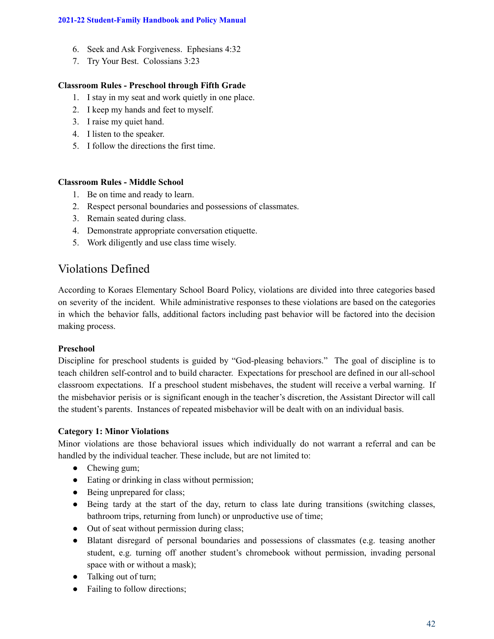- 6. Seek and Ask Forgiveness. Ephesians 4:32
- 7. Try Your Best. Colossians 3:23

### **Classroom Rules - Preschool through Fifth Grade**

- 1. I stay in my seat and work quietly in one place.
- 2. I keep my hands and feet to myself.
- 3. I raise my quiet hand.
- 4. I listen to the speaker.
- 5. I follow the directions the first time.

### **Classroom Rules - Middle School**

- 1. Be on time and ready to learn.
- 2. Respect personal boundaries and possessions of classmates.
- 3. Remain seated during class.
- 4. Demonstrate appropriate conversation etiquette.
- 5. Work diligently and use class time wisely.

# Violations Defined

According to Koraes Elementary School Board Policy, violations are divided into three categories based on severity of the incident. While administrative responses to these violations are based on the categories in which the behavior falls, additional factors including past behavior will be factored into the decision making process.

### **Preschool**

Discipline for preschool students is guided by "God-pleasing behaviors." The goal of discipline is to teach children self-control and to build character. Expectations for preschool are defined in our all-school classroom expectations. If a preschool student misbehaves, the student will receive a verbal warning. If the misbehavior perisis or is significant enough in the teacher's discretion, the Assistant Director will call the student's parents. Instances of repeated misbehavior will be dealt with on an individual basis.

### **Category 1: Minor Violations**

Minor violations are those behavioral issues which individually do not warrant a referral and can be handled by the individual teacher. These include, but are not limited to:

- Chewing gum;
- Eating or drinking in class without permission;
- Being unprepared for class;
- Being tardy at the start of the day, return to class late during transitions (switching classes, bathroom trips, returning from lunch) or unproductive use of time;
- Out of seat without permission during class;
- Blatant disregard of personal boundaries and possessions of classmates (e.g. teasing another student, e.g. turning off another student's chromebook without permission, invading personal space with or without a mask);
- Talking out of turn;
- Failing to follow directions;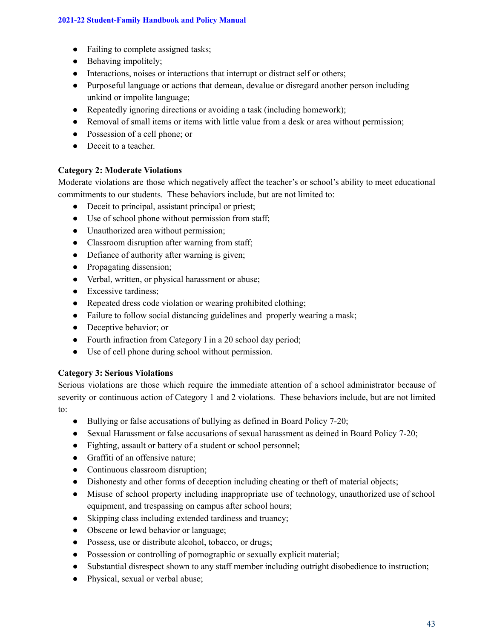- Failing to complete assigned tasks;
- $\bullet$  Behaving impolitely;
- Interactions, noises or interactions that interrupt or distract self or others;
- Purposeful language or actions that demean, devalue or disregard another person including unkind or impolite language;
- Repeatedly ignoring directions or avoiding a task (including homework);
- Removal of small items or items with little value from a desk or area without permission;
- Possession of a cell phone; or
- Deceit to a teacher.

### **Category 2: Moderate Violations**

Moderate violations are those which negatively affect the teacher's or school's ability to meet educational commitments to our students. These behaviors include, but are not limited to:

- Deceit to principal, assistant principal or priest;
- Use of school phone without permission from staff;
- Unauthorized area without permission;
- Classroom disruption after warning from staff;
- Defiance of authority after warning is given;
- Propagating dissension;
- Verbal, written, or physical harassment or abuse;
- Excessive tardiness;
- Repeated dress code violation or wearing prohibited clothing;
- Failure to follow social distancing guidelines and properly wearing a mask;
- Deceptive behavior; or
- Fourth infraction from Category I in a 20 school day period;
- Use of cell phone during school without permission.

### **Category 3: Serious Violations**

Serious violations are those which require the immediate attention of a school administrator because of severity or continuous action of Category 1 and 2 violations. These behaviors include, but are not limited to:

- Bullying or false accusations of bullying as defined in Board Policy 7-20;
- Sexual Harassment or false accusations of sexual harassment as deined in Board Policy 7-20;
- Fighting, assault or battery of a student or school personnel;
- Graffiti of an offensive nature;
- Continuous classroom disruption;
- Dishonesty and other forms of deception including cheating or theft of material objects;
- Misuse of school property including inappropriate use of technology, unauthorized use of school equipment, and trespassing on campus after school hours;
- Skipping class including extended tardiness and truancy;
- Obscene or lewd behavior or language;
- Possess, use or distribute alcohol, tobacco, or drugs;
- Possession or controlling of pornographic or sexually explicit material;
- Substantial disrespect shown to any staff member including outright disobedience to instruction;
- Physical, sexual or verbal abuse;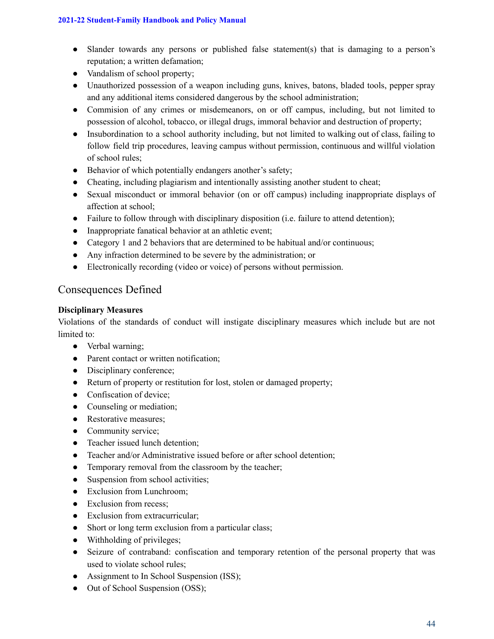- Slander towards any persons or published false statement(s) that is damaging to a person's reputation; a written defamation;
- Vandalism of school property;
- Unauthorized possession of a weapon including guns, knives, batons, bladed tools, pepper spray and any additional items considered dangerous by the school administration;
- Commision of any crimes or misdemeanors, on or off campus, including, but not limited to possession of alcohol, tobacco, or illegal drugs, immoral behavior and destruction of property;
- Insubordination to a school authority including, but not limited to walking out of class, failing to follow field trip procedures, leaving campus without permission, continuous and willful violation of school rules;
- Behavior of which potentially endangers another's safety;
- Cheating, including plagiarism and intentionally assisting another student to cheat;
- Sexual misconduct or immoral behavior (on or off campus) including inappropriate displays of affection at school;
- Failure to follow through with disciplinary disposition (i.e. failure to attend detention);
- Inappropriate fanatical behavior at an athletic event;
- Category 1 and 2 behaviors that are determined to be habitual and/or continuous;
- Any infraction determined to be severe by the administration; or
- Electronically recording (video or voice) of persons without permission.

# Consequences Defined

### **Disciplinary Measures**

Violations of the standards of conduct will instigate disciplinary measures which include but are not limited to:

- Verbal warning;
- Parent contact or written notification;
- Disciplinary conference;
- Return of property or restitution for lost, stolen or damaged property;
- Confiscation of device;
- Counseling or mediation;
- Restorative measures;
- Community service;
- Teacher issued lunch detention;
- Teacher and/or Administrative issued before or after school detention;
- Temporary removal from the classroom by the teacher;
- Suspension from school activities;
- Exclusion from Lunchroom;
- Exclusion from recess;
- Exclusion from extracurricular;
- Short or long term exclusion from a particular class;
- Withholding of privileges;
- Seizure of contraband: confiscation and temporary retention of the personal property that was used to violate school rules;
- Assignment to In School Suspension (ISS);
- Out of School Suspension (OSS);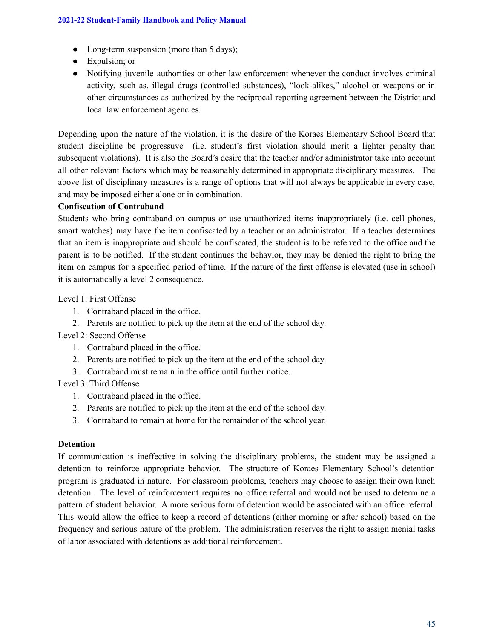- Long-term suspension (more than 5 days);
- Expulsion; or
- Notifying juvenile authorities or other law enforcement whenever the conduct involves criminal activity, such as, illegal drugs (controlled substances), "look-alikes," alcohol or weapons or in other circumstances as authorized by the reciprocal reporting agreement between the District and local law enforcement agencies.

Depending upon the nature of the violation, it is the desire of the Koraes Elementary School Board that student discipline be progressuve (i.e. student's first violation should merit a lighter penalty than subsequent violations). It is also the Board's desire that the teacher and/or administrator take into account all other relevant factors which may be reasonably determined in appropriate disciplinary measures. The above list of disciplinary measures is a range of options that will not always be applicable in every case, and may be imposed either alone or in combination.

### **Confiscation of Contraband**

Students who bring contraband on campus or use unauthorized items inappropriately (i.e. cell phones, smart watches) may have the item confiscated by a teacher or an administrator. If a teacher determines that an item is inappropriate and should be confiscated, the student is to be referred to the office and the parent is to be notified. If the student continues the behavior, they may be denied the right to bring the item on campus for a specified period of time. If the nature of the first offense is elevated (use in school) it is automatically a level 2 consequence.

### Level 1: First Offense

- 1. Contraband placed in the office.
- 2. Parents are notified to pick up the item at the end of the school day.

### Level 2: Second Offense

- 1. Contraband placed in the office.
- 2. Parents are notified to pick up the item at the end of the school day.
- 3. Contraband must remain in the office until further notice.

### Level 3: Third Offense

- 1. Contraband placed in the office.
- 2. Parents are notified to pick up the item at the end of the school day.
- 3. Contraband to remain at home for the remainder of the school year.

### **Detention**

If communication is ineffective in solving the disciplinary problems, the student may be assigned a detention to reinforce appropriate behavior. The structure of Koraes Elementary School's detention program is graduated in nature. For classroom problems, teachers may choose to assign their own lunch detention. The level of reinforcement requires no office referral and would not be used to determine a pattern of student behavior. A more serious form of detention would be associated with an office referral. This would allow the office to keep a record of detentions (either morning or after school) based on the frequency and serious nature of the problem. The administration reserves the right to assign menial tasks of labor associated with detentions as additional reinforcement.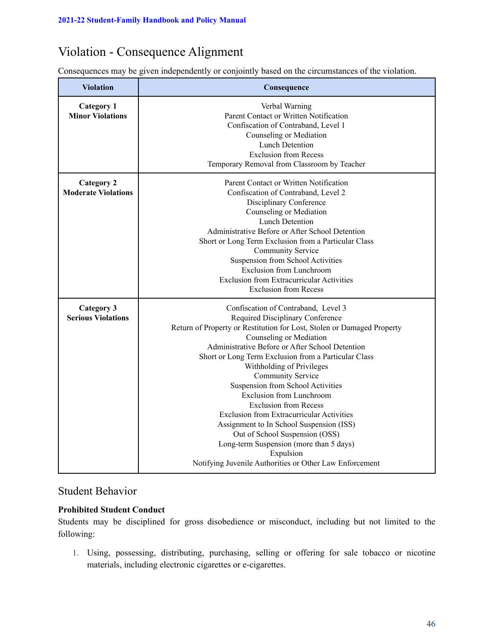# Violation - Consequence Alignment

Consequences may be given independently or conjointly based on the circumstances of the violation.

| <b>Violation</b>           | Consequence                                                            |
|----------------------------|------------------------------------------------------------------------|
| <b>Category 1</b>          | Verbal Warning                                                         |
| <b>Minor Violations</b>    | Parent Contact or Written Notification                                 |
|                            | Confiscation of Contraband, Level 1                                    |
|                            | Counseling or Mediation                                                |
|                            | <b>Lunch Detention</b>                                                 |
|                            | <b>Exclusion from Recess</b>                                           |
|                            | Temporary Removal from Classroom by Teacher                            |
| <b>Category 2</b>          | Parent Contact or Written Notification                                 |
| <b>Moderate Violations</b> | Confiscation of Contraband, Level 2                                    |
|                            | Disciplinary Conference                                                |
|                            | Counseling or Mediation                                                |
|                            | <b>Lunch Detention</b>                                                 |
|                            | Administrative Before or After School Detention                        |
|                            | Short or Long Term Exclusion from a Particular Class                   |
|                            | Community Service                                                      |
|                            | Suspension from School Activities                                      |
|                            | <b>Exclusion from Lunchroom</b>                                        |
|                            | <b>Exclusion from Extracurricular Activities</b>                       |
|                            | <b>Exclusion from Recess</b>                                           |
| <b>Category 3</b>          | Confiscation of Contraband, Level 3                                    |
| <b>Serious Violations</b>  | Required Disciplinary Conference                                       |
|                            | Return of Property or Restitution for Lost, Stolen or Damaged Property |
|                            | Counseling or Mediation                                                |
|                            | Administrative Before or After School Detention                        |
|                            | Short or Long Term Exclusion from a Particular Class                   |
|                            | Withholding of Privileges                                              |
|                            | Community Service                                                      |
|                            | Suspension from School Activities                                      |
|                            | <b>Exclusion from Lunchroom</b>                                        |
|                            | <b>Exclusion from Recess</b>                                           |
|                            | <b>Exclusion from Extracurricular Activities</b>                       |
|                            | Assignment to In School Suspension (ISS)                               |
|                            | Out of School Suspension (OSS)                                         |
|                            | Long-term Suspension (more than 5 days)                                |
|                            | Expulsion                                                              |
|                            | Notifying Juvenile Authorities or Other Law Enforcement                |

# Student Behavior

### **Prohibited Student Conduct**

Students may be disciplined for gross disobedience or misconduct, including but not limited to the following:

1. Using, possessing, distributing, purchasing, selling or offering for sale tobacco or nicotine materials, including electronic cigarettes or e-cigarettes.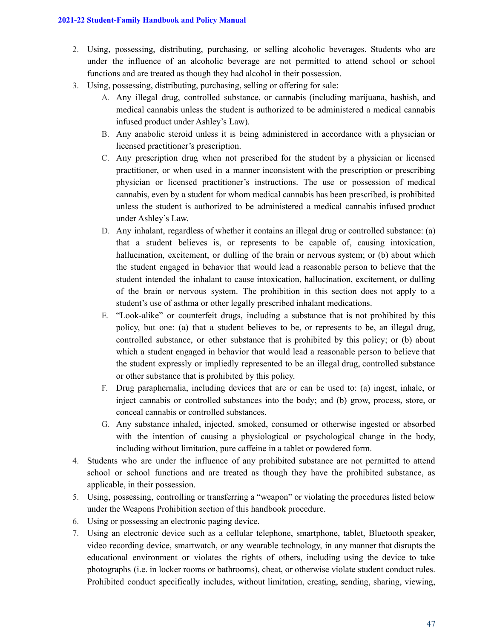- 2. Using, possessing, distributing, purchasing, or selling alcoholic beverages. Students who are under the influence of an alcoholic beverage are not permitted to attend school or school functions and are treated as though they had alcohol in their possession.
- 3. Using, possessing, distributing, purchasing, selling or offering for sale:
	- A. Any illegal drug, controlled substance, or cannabis (including marijuana, hashish, and medical cannabis unless the student is authorized to be administered a medical cannabis infused product under Ashley's Law).
	- B. Any anabolic steroid unless it is being administered in accordance with a physician or licensed practitioner's prescription.
	- C. Any prescription drug when not prescribed for the student by a physician or licensed practitioner, or when used in a manner inconsistent with the prescription or prescribing physician or licensed practitioner's instructions. The use or possession of medical cannabis, even by a student for whom medical cannabis has been prescribed, is prohibited unless the student is authorized to be administered a medical cannabis infused product under Ashley's Law.
	- D. Any inhalant, regardless of whether it contains an illegal drug or controlled substance: (a) that a student believes is, or represents to be capable of, causing intoxication, hallucination, excitement, or dulling of the brain or nervous system; or (b) about which the student engaged in behavior that would lead a reasonable person to believe that the student intended the inhalant to cause intoxication, hallucination, excitement, or dulling of the brain or nervous system. The prohibition in this section does not apply to a student's use of asthma or other legally prescribed inhalant medications.
	- E. "Look-alike" or counterfeit drugs, including a substance that is not prohibited by this policy, but one: (a) that a student believes to be, or represents to be, an illegal drug, controlled substance, or other substance that is prohibited by this policy; or (b) about which a student engaged in behavior that would lead a reasonable person to believe that the student expressly or impliedly represented to be an illegal drug, controlled substance or other substance that is prohibited by this policy.
	- F. Drug paraphernalia, including devices that are or can be used to: (a) ingest, inhale, or inject cannabis or controlled substances into the body; and (b) grow, process, store, or conceal cannabis or controlled substances.
	- G. Any substance inhaled, injected, smoked, consumed or otherwise ingested or absorbed with the intention of causing a physiological or psychological change in the body, including without limitation, pure caffeine in a tablet or powdered form.
- 4. Students who are under the influence of any prohibited substance are not permitted to attend school or school functions and are treated as though they have the prohibited substance, as applicable, in their possession.
- 5. Using, possessing, controlling or transferring a "weapon" or violating the procedures listed below under the Weapons Prohibition section of this handbook procedure.
- 6. Using or possessing an electronic paging device.
- 7. Using an electronic device such as a cellular telephone, smartphone, tablet, Bluetooth speaker, video recording device, smartwatch, or any wearable technology, in any manner that disrupts the educational environment or violates the rights of others, including using the device to take photographs (i.e. in locker rooms or bathrooms), cheat, or otherwise violate student conduct rules. Prohibited conduct specifically includes, without limitation, creating, sending, sharing, viewing,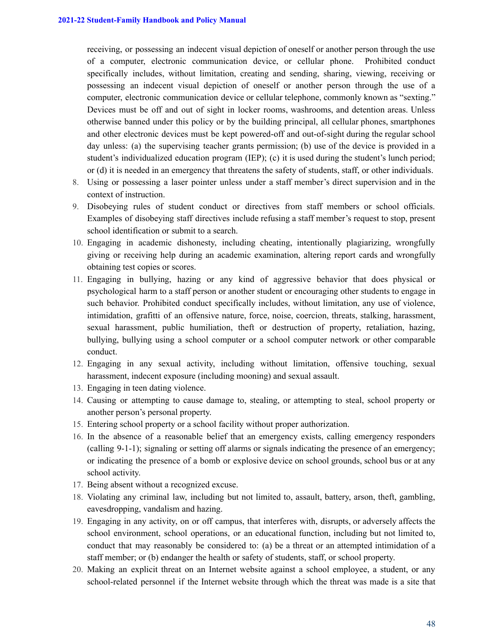receiving, or possessing an indecent visual depiction of oneself or another person through the use of a computer, electronic communication device, or cellular phone. Prohibited conduct specifically includes, without limitation, creating and sending, sharing, viewing, receiving or possessing an indecent visual depiction of oneself or another person through the use of a computer, electronic communication device or cellular telephone, commonly known as "sexting." Devices must be off and out of sight in locker rooms, washrooms, and detention areas. Unless otherwise banned under this policy or by the building principal, all cellular phones, smartphones and other electronic devices must be kept powered-off and out-of-sight during the regular school day unless: (a) the supervising teacher grants permission; (b) use of the device is provided in a student's individualized education program (IEP); (c) it is used during the student's lunch period; or (d) it is needed in an emergency that threatens the safety of students, staff, or other individuals.

- 8. Using or possessing a laser pointer unless under a staff member's direct supervision and in the context of instruction.
- 9. Disobeying rules of student conduct or directives from staff members or school officials. Examples of disobeying staff directives include refusing a staff member's request to stop, present school identification or submit to a search.
- 10. Engaging in academic dishonesty, including cheating, intentionally plagiarizing, wrongfully giving or receiving help during an academic examination, altering report cards and wrongfully obtaining test copies or scores.
- 11. Engaging in bullying, hazing or any kind of aggressive behavior that does physical or psychological harm to a staff person or another student or encouraging other students to engage in such behavior. Prohibited conduct specifically includes, without limitation, any use of violence, intimidation, grafitti of an offensive nature, force, noise, coercion, threats, stalking, harassment, sexual harassment, public humiliation, theft or destruction of property, retaliation, hazing, bullying, bullying using a school computer or a school computer network or other comparable conduct.
- 12. Engaging in any sexual activity, including without limitation, offensive touching, sexual harassment, indecent exposure (including mooning) and sexual assault.
- 13. Engaging in teen dating violence.
- 14. Causing or attempting to cause damage to, stealing, or attempting to steal, school property or another person's personal property.
- 15. Entering school property or a school facility without proper authorization.
- 16. In the absence of a reasonable belief that an emergency exists, calling emergency responders (calling 9-1-1); signaling or setting off alarms or signals indicating the presence of an emergency; or indicating the presence of a bomb or explosive device on school grounds, school bus or at any school activity.
- 17. Being absent without a recognized excuse.
- 18. Violating any criminal law, including but not limited to, assault, battery, arson, theft, gambling, eavesdropping, vandalism and hazing.
- 19. Engaging in any activity, on or off campus, that interferes with, disrupts, or adversely affects the school environment, school operations, or an educational function, including but not limited to, conduct that may reasonably be considered to: (a) be a threat or an attempted intimidation of a staff member; or (b) endanger the health or safety of students, staff, or school property.
- 20. Making an explicit threat on an Internet website against a school employee, a student, or any school-related personnel if the Internet website through which the threat was made is a site that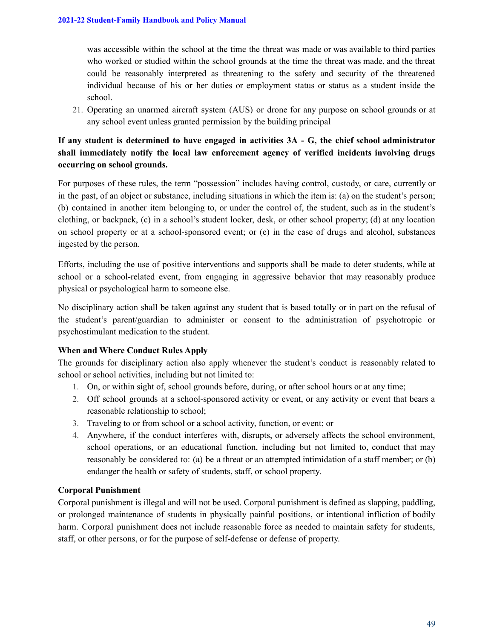was accessible within the school at the time the threat was made or was available to third parties who worked or studied within the school grounds at the time the threat was made, and the threat could be reasonably interpreted as threatening to the safety and security of the threatened individual because of his or her duties or employment status or status as a student inside the school.

21. Operating an unarmed aircraft system (AUS) or drone for any purpose on school grounds or at any school event unless granted permission by the building principal

### **If any student is determined to have engaged in activities 3A - G, the chief school administrator shall immediately notify the local law enforcement agency of verified incidents involving drugs occurring on school grounds.**

For purposes of these rules, the term "possession" includes having control, custody, or care, currently or in the past, of an object or substance, including situations in which the item is: (a) on the student's person; (b) contained in another item belonging to, or under the control of, the student, such as in the student's clothing, or backpack, (c) in a school's student locker, desk, or other school property; (d) at any location on school property or at a school-sponsored event; or (e) in the case of drugs and alcohol, substances ingested by the person.

Efforts, including the use of positive interventions and supports shall be made to deter students, while at school or a school-related event, from engaging in aggressive behavior that may reasonably produce physical or psychological harm to someone else.

No disciplinary action shall be taken against any student that is based totally or in part on the refusal of the student's parent/guardian to administer or consent to the administration of psychotropic or psychostimulant medication to the student.

### **When and Where Conduct Rules Apply**

The grounds for disciplinary action also apply whenever the student's conduct is reasonably related to school or school activities, including but not limited to:

- 1. On, or within sight of, school grounds before, during, or after school hours or at any time;
- 2. Off school grounds at a school-sponsored activity or event, or any activity or event that bears a reasonable relationship to school;
- 3. Traveling to or from school or a school activity, function, or event; or
- 4. Anywhere, if the conduct interferes with, disrupts, or adversely affects the school environment, school operations, or an educational function, including but not limited to, conduct that may reasonably be considered to: (a) be a threat or an attempted intimidation of a staff member; or (b) endanger the health or safety of students, staff, or school property.

### **Corporal Punishment**

Corporal punishment is illegal and will not be used. Corporal punishment is defined as slapping, paddling, or prolonged maintenance of students in physically painful positions, or intentional infliction of bodily harm. Corporal punishment does not include reasonable force as needed to maintain safety for students, staff, or other persons, or for the purpose of self-defense or defense of property.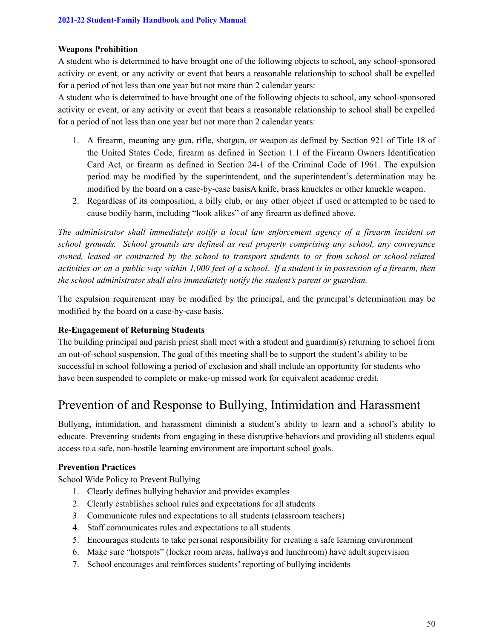### **Weapons Prohibition**

A student who is determined to have brought one of the following objects to school, any school-sponsored activity or event, or any activity or event that bears a reasonable relationship to school shall be expelled for a period of not less than one year but not more than 2 calendar years:

A student who is determined to have brought one of the following objects to school, any school-sponsored activity or event, or any activity or event that bears a reasonable relationship to school shall be expelled for a period of not less than one year but not more than 2 calendar years:

- 1. A firearm, meaning any gun, rifle, shotgun, or weapon as defined by Section 921 of Title 18 of the United States Code, firearm as defined in Section 1.1 of the Firearm Owners Identification Card Act, or firearm as defined in Section 24-1 of the Criminal Code of 1961. The expulsion period may be modified by the superintendent, and the superintendent's determination may be modified by the board on a case-by-case basisA knife, brass knuckles or other knuckle weapon.
- 2. Regardless of its composition, a billy club, or any other object if used or attempted to be used to cause bodily harm, including "look alikes" of any firearm as defined above.

*The administrator shall immediately notify a local law enforcement agency of a firearm incident on school grounds. School grounds are defined as real property comprising any school, any conveyance owned, leased or contracted by the school to transport students to or from school or school-related* activities or on a public way within 1,000 feet of a school. If a student is in possession of a firearm, then *the school administrator shall also immediately notify the student's parent or guardian.*

The expulsion requirement may be modified by the principal, and the principal's determination may be modified by the board on a case-by-case basis.

### **Re-Engagement of Returning Students**

The building principal and parish priest shall meet with a student and guardian(s) returning to school from an out-of-school suspension. The goal of this meeting shall be to support the student's ability to be successful in school following a period of exclusion and shall include an opportunity for students who have been suspended to complete or make-up missed work for equivalent academic credit.

# Prevention of and Response to Bullying, Intimidation and Harassment

Bullying, intimidation, and harassment diminish a student's ability to learn and a school's ability to educate. Preventing students from engaging in these disruptive behaviors and providing all students equal access to a safe, non-hostile learning environment are important school goals.

### **Prevention Practices**

School Wide Policy to Prevent Bullying

- 1. Clearly defines bullying behavior and provides examples
- 2. Clearly establishes school rules and expectations for all students
- 3. Communicate rules and expectations to all students (classroom teachers)
- 4. Staff communicates rules and expectations to all students
- 5. Encourages students to take personal responsibility for creating a safe learning environment
- 6. Make sure "hotspots" (locker room areas, hallways and lunchroom) have adult supervision
- 7. School encourages and reinforces students' reporting of bullying incidents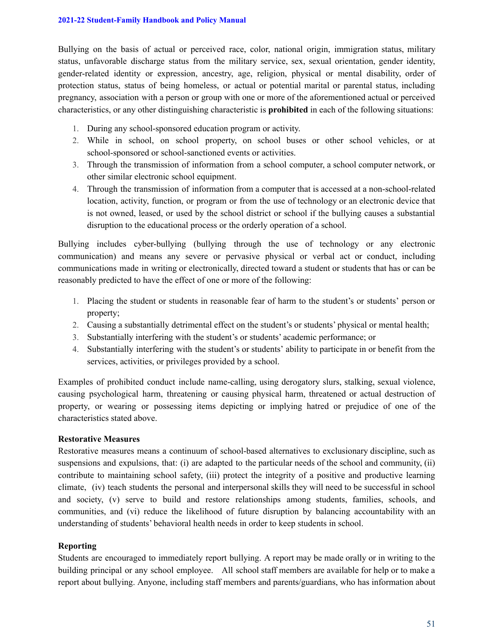Bullying on the basis of actual or perceived race, color, national origin, immigration status, military status, unfavorable discharge status from the military service, sex, sexual orientation, gender identity, gender-related identity or expression, ancestry, age, religion, physical or mental disability, order of protection status, status of being homeless, or actual or potential marital or parental status, including pregnancy, association with a person or group with one or more of the aforementioned actual or perceived characteristics, or any other distinguishing characteristic is **prohibited** in each of the following situations:

- 1. During any school-sponsored education program or activity.
- 2. While in school, on school property, on school buses or other school vehicles, or at school-sponsored or school-sanctioned events or activities.
- 3. Through the transmission of information from a school computer, a school computer network, or other similar electronic school equipment.
- 4. Through the transmission of information from a computer that is accessed at a non-school-related location, activity, function, or program or from the use of technology or an electronic device that is not owned, leased, or used by the school district or school if the bullying causes a substantial disruption to the educational process or the orderly operation of a school.

Bullying includes cyber-bullying (bullying through the use of technology or any electronic communication) and means any severe or pervasive physical or verbal act or conduct, including communications made in writing or electronically, directed toward a student or students that has or can be reasonably predicted to have the effect of one or more of the following:

- 1. Placing the student or students in reasonable fear of harm to the student's or students' person or property;
- 2. Causing a substantially detrimental effect on the student's or students' physical or mental health;
- 3. Substantially interfering with the student's or students' academic performance; or
- 4. Substantially interfering with the student's or students' ability to participate in or benefit from the services, activities, or privileges provided by a school.

Examples of prohibited conduct include name-calling, using derogatory slurs, stalking, sexual violence, causing psychological harm, threatening or causing physical harm, threatened or actual destruction of property, or wearing or possessing items depicting or implying hatred or prejudice of one of the characteristics stated above.

### **Restorative Measures**

Restorative measures means a continuum of school-based alternatives to exclusionary discipline, such as suspensions and expulsions, that: (i) are adapted to the particular needs of the school and community, (ii) contribute to maintaining school safety, (iii) protect the integrity of a positive and productive learning climate, (iv) teach students the personal and interpersonal skills they will need to be successful in school and society, (v) serve to build and restore relationships among students, families, schools, and communities, and (vi) reduce the likelihood of future disruption by balancing accountability with an understanding of students' behavioral health needs in order to keep students in school.

### **Reporting**

Students are encouraged to immediately report bullying. A report may be made orally or in writing to the building principal or any school employee. All school staff members are available for help or to make a report about bullying. Anyone, including staff members and parents/guardians, who has information about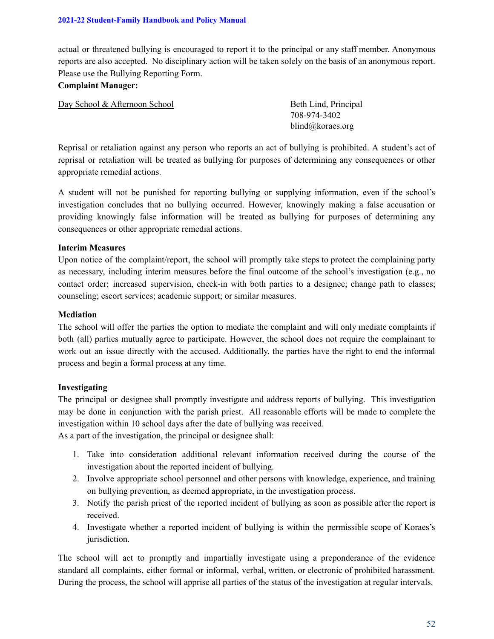actual or threatened bullying is encouraged to report it to the principal or any staff member. Anonymous reports are also accepted. No disciplinary action will be taken solely on the basis of an anonymous report. Please use the Bullying Reporting Form.

### **Complaint Manager:**

Day School & Afternoon School Beth Lind, Principal

708-974-3402 blind@koraes.org

Reprisal or retaliation against any person who reports an act of bullying is prohibited. A student's act of reprisal or retaliation will be treated as bullying for purposes of determining any consequences or other appropriate remedial actions.

A student will not be punished for reporting bullying or supplying information, even if the school's investigation concludes that no bullying occurred. However, knowingly making a false accusation or providing knowingly false information will be treated as bullying for purposes of determining any consequences or other appropriate remedial actions.

### **Interim Measures**

Upon notice of the complaint/report, the school will promptly take steps to protect the complaining party as necessary, including interim measures before the final outcome of the school's investigation (e.g., no contact order; increased supervision, check-in with both parties to a designee; change path to classes; counseling; escort services; academic support; or similar measures.

### **Mediation**

The school will offer the parties the option to mediate the complaint and will only mediate complaints if both (all) parties mutually agree to participate. However, the school does not require the complainant to work out an issue directly with the accused. Additionally, the parties have the right to end the informal process and begin a formal process at any time.

### **Investigating**

The principal or designee shall promptly investigate and address reports of bullying. This investigation may be done in conjunction with the parish priest. All reasonable efforts will be made to complete the investigation within 10 school days after the date of bullying was received.

As a part of the investigation, the principal or designee shall:

- 1. Take into consideration additional relevant information received during the course of the investigation about the reported incident of bullying.
- 2. Involve appropriate school personnel and other persons with knowledge, experience, and training on bullying prevention, as deemed appropriate, in the investigation process.
- 3. Notify the parish priest of the reported incident of bullying as soon as possible after the report is received.
- 4. Investigate whether a reported incident of bullying is within the permissible scope of Koraes's jurisdiction.

The school will act to promptly and impartially investigate using a preponderance of the evidence standard all complaints, either formal or informal, verbal, written, or electronic of prohibited harassment. During the process, the school will apprise all parties of the status of the investigation at regular intervals.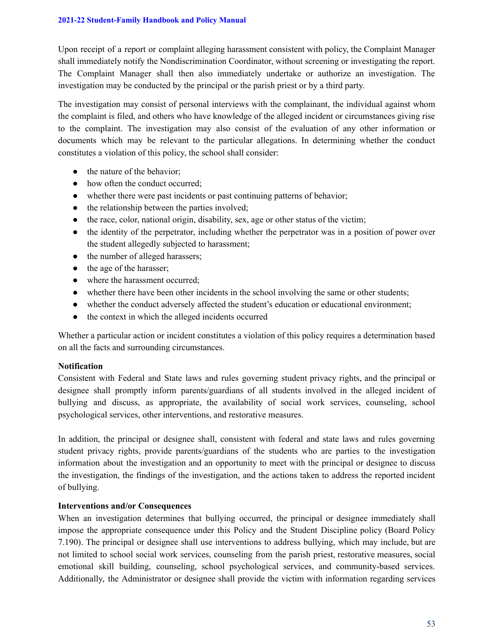Upon receipt of a report or complaint alleging harassment consistent with policy, the Complaint Manager shall immediately notify the Nondiscrimination Coordinator, without screening or investigating the report. The Complaint Manager shall then also immediately undertake or authorize an investigation. The investigation may be conducted by the principal or the parish priest or by a third party.

The investigation may consist of personal interviews with the complainant, the individual against whom the complaint is filed, and others who have knowledge of the alleged incident or circumstances giving rise to the complaint. The investigation may also consist of the evaluation of any other information or documents which may be relevant to the particular allegations. In determining whether the conduct constitutes a violation of this policy, the school shall consider:

- the nature of the behavior;
- how often the conduct occurred:
- whether there were past incidents or past continuing patterns of behavior;
- the relationship between the parties involved;
- $\bullet$  the race, color, national origin, disability, sex, age or other status of the victim;
- the identity of the perpetrator, including whether the perpetrator was in a position of power over the student allegedly subjected to harassment;
- the number of alleged harassers;
- the age of the harasser;
- where the harassment occurred;
- whether there have been other incidents in the school involving the same or other students;
- whether the conduct adversely affected the student's education or educational environment;
- the context in which the alleged incidents occurred

Whether a particular action or incident constitutes a violation of this policy requires a determination based on all the facts and surrounding circumstances.

### **Notification**

Consistent with Federal and State laws and rules governing student privacy rights, and the principal or designee shall promptly inform parents/guardians of all students involved in the alleged incident of bullying and discuss, as appropriate, the availability of social work services, counseling, school psychological services, other interventions, and restorative measures.

In addition, the principal or designee shall, consistent with federal and state laws and rules governing student privacy rights, provide parents/guardians of the students who are parties to the investigation information about the investigation and an opportunity to meet with the principal or designee to discuss the investigation, the findings of the investigation, and the actions taken to address the reported incident of bullying.

### **Interventions and/or Consequences**

When an investigation determines that bullying occurred, the principal or designee immediately shall impose the appropriate consequence under this Policy and the Student Discipline policy (Board Policy 7.190). The principal or designee shall use interventions to address bullying, which may include, but are not limited to school social work services, counseling from the parish priest, restorative measures, social emotional skill building, counseling, school psychological services, and community-based services. Additionally, the Administrator or designee shall provide the victim with information regarding services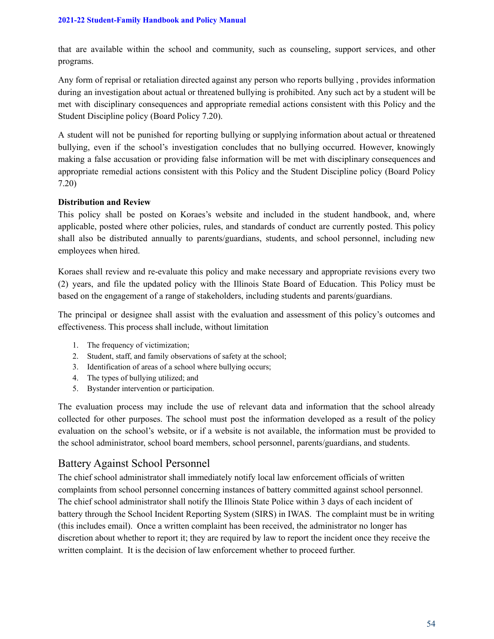that are available within the school and community, such as counseling, support services, and other programs.

Any form of reprisal or retaliation directed against any person who reports bullying , provides information during an investigation about actual or threatened bullying is prohibited. Any such act by a student will be met with disciplinary consequences and appropriate remedial actions consistent with this Policy and the Student Discipline policy (Board Policy 7.20).

A student will not be punished for reporting bullying or supplying information about actual or threatened bullying, even if the school's investigation concludes that no bullying occurred. However, knowingly making a false accusation or providing false information will be met with disciplinary consequences and appropriate remedial actions consistent with this Policy and the Student Discipline policy (Board Policy 7.20)

### **Distribution and Review**

This policy shall be posted on Koraes's website and included in the student handbook, and, where applicable, posted where other policies, rules, and standards of conduct are currently posted. This policy shall also be distributed annually to parents/guardians, students, and school personnel, including new employees when hired.

Koraes shall review and re-evaluate this policy and make necessary and appropriate revisions every two (2) years, and file the updated policy with the Illinois State Board of Education. This Policy must be based on the engagement of a range of stakeholders, including students and parents/guardians.

The principal or designee shall assist with the evaluation and assessment of this policy's outcomes and effectiveness. This process shall include, without limitation

- 1. The frequency of victimization;
- 2. Student, staff, and family observations of safety at the school;
- 3. Identification of areas of a school where bullying occurs;
- 4. The types of bullying utilized; and
- 5. Bystander intervention or participation.

The evaluation process may include the use of relevant data and information that the school already collected for other purposes. The school must post the information developed as a result of the policy evaluation on the school's website, or if a website is not available, the information must be provided to the school administrator, school board members, school personnel, parents/guardians, and students.

## Battery Against School Personnel

The chief school administrator shall immediately notify local law enforcement officials of written complaints from school personnel concerning instances of battery committed against school personnel. The chief school administrator shall notify the Illinois State Police within 3 days of each incident of battery through the School Incident Reporting System (SIRS) in IWAS. The complaint must be in writing (this includes email). Once a written complaint has been received, the administrator no longer has discretion about whether to report it; they are required by law to report the incident once they receive the written complaint. It is the decision of law enforcement whether to proceed further.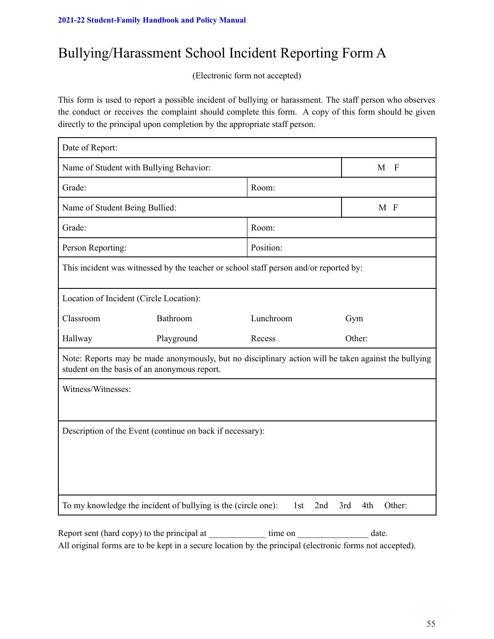# Bullying/Harassment School Incident Reporting Form A

(Electronic form not accepted)

This form is used to report a possible incident of bullying or harassment. The staff person who observes the conduct or receives the complaint should complete this form. A copy of this form should be given directly to the principal upon completion by the appropriate staff person.

| Date of Report:                                                                                                                                      |            |           |                     |  |
|------------------------------------------------------------------------------------------------------------------------------------------------------|------------|-----------|---------------------|--|
| Name of Student with Bullying Behavior:                                                                                                              |            |           | M<br>$\overline{F}$ |  |
| Grade:                                                                                                                                               |            | Room:     |                     |  |
| Name of Student Being Bullied:                                                                                                                       |            |           | M F                 |  |
| Grade:                                                                                                                                               |            | Room:     |                     |  |
| Person Reporting:                                                                                                                                    |            | Position: |                     |  |
| This incident was witnessed by the teacher or school staff person and/or reported by:                                                                |            |           |                     |  |
| Location of Incident (Circle Location):                                                                                                              |            |           |                     |  |
| Classroom                                                                                                                                            | Bathroom   | Lunchroom | Gym                 |  |
| Hallway                                                                                                                                              | Playground | Recess    | Other:              |  |
| Note: Reports may be made anonymously, but no disciplinary action will be taken against the bullying<br>student on the basis of an anonymous report. |            |           |                     |  |
| Witness/Witnesses:                                                                                                                                   |            |           |                     |  |
|                                                                                                                                                      |            |           |                     |  |
| Description of the Event (continue on back if necessary):                                                                                            |            |           |                     |  |
|                                                                                                                                                      |            |           |                     |  |
|                                                                                                                                                      |            |           |                     |  |
|                                                                                                                                                      |            |           |                     |  |
| To my knowledge the incident of bullying is the (circle one):<br>Other:<br>2nd<br>3rd<br>4th<br>1st                                                  |            |           |                     |  |

Report sent (hard copy) to the principal at time on date. All original forms are to be kept in a secure location by the principal (electronic forms not accepted).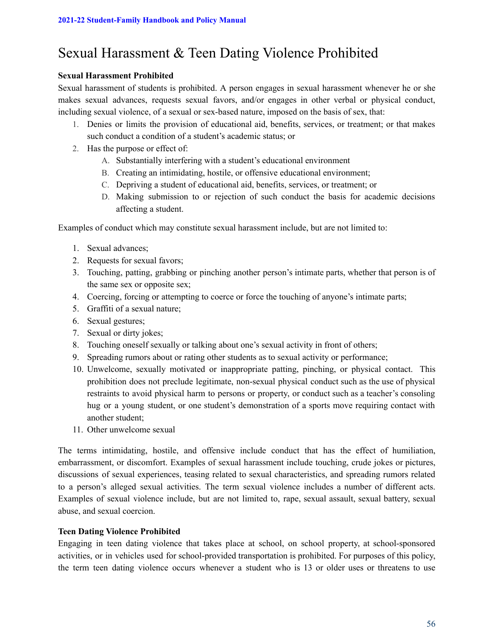# Sexual Harassment & Teen Dating Violence Prohibited

### **Sexual Harassment Prohibited**

Sexual harassment of students is prohibited. A person engages in sexual harassment whenever he or she makes sexual advances, requests sexual favors, and/or engages in other verbal or physical conduct, including sexual violence, of a sexual or sex-based nature, imposed on the basis of sex, that:

- 1. Denies or limits the provision of educational aid, benefits, services, or treatment; or that makes such conduct a condition of a student's academic status; or
- 2. Has the purpose or effect of:
	- A. Substantially interfering with a student's educational environment
	- B. Creating an intimidating, hostile, or offensive educational environment;
	- C. Depriving a student of educational aid, benefits, services, or treatment; or
	- D. Making submission to or rejection of such conduct the basis for academic decisions affecting a student.

Examples of conduct which may constitute sexual harassment include, but are not limited to:

- 1. Sexual advances;
- 2. Requests for sexual favors;
- 3. Touching, patting, grabbing or pinching another person's intimate parts, whether that person is of the same sex or opposite sex;
- 4. Coercing, forcing or attempting to coerce or force the touching of anyone's intimate parts;
- 5. Graffiti of a sexual nature;
- 6. Sexual gestures;
- 7. Sexual or dirty jokes;
- 8. Touching oneself sexually or talking about one's sexual activity in front of others;
- 9. Spreading rumors about or rating other students as to sexual activity or performance;
- 10. Unwelcome, sexually motivated or inappropriate patting, pinching, or physical contact. This prohibition does not preclude legitimate, non-sexual physical conduct such as the use of physical restraints to avoid physical harm to persons or property, or conduct such as a teacher's consoling hug or a young student, or one student's demonstration of a sports move requiring contact with another student;
- 11. Other unwelcome sexual

The terms intimidating, hostile, and offensive include conduct that has the effect of humiliation, embarrassment, or discomfort. Examples of sexual harassment include touching, crude jokes or pictures, discussions of sexual experiences, teasing related to sexual characteristics, and spreading rumors related to a person's alleged sexual activities. The term sexual violence includes a number of different acts. Examples of sexual violence include, but are not limited to, rape, sexual assault, sexual battery, sexual abuse, and sexual coercion.

### **Teen Dating Violence Prohibited**

Engaging in teen dating violence that takes place at school, on school property, at school-sponsored activities, or in vehicles used for school-provided transportation is prohibited. For purposes of this policy, the term teen dating violence occurs whenever a student who is 13 or older uses or threatens to use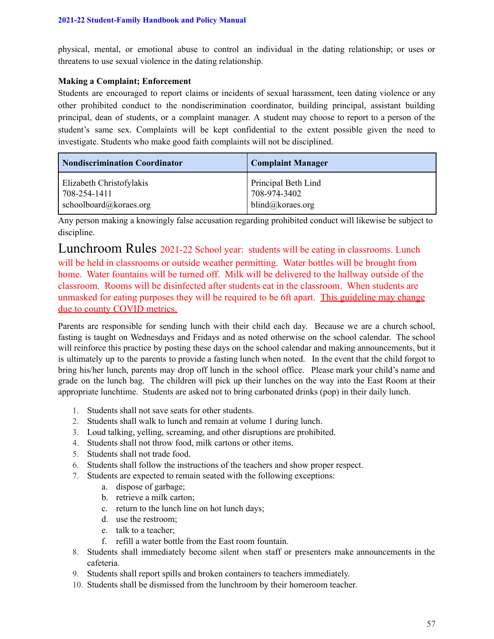physical, mental, or emotional abuse to control an individual in the dating relationship; or uses or threatens to use sexual violence in the dating relationship.

### **Making a Complaint; Enforcement**

Students are encouraged to report claims or incidents of sexual harassment, teen dating violence or any other prohibited conduct to the nondiscrimination coordinator, building principal, assistant building principal, dean of students, or a complaint manager. A student may choose to report to a person of the student's same sex. Complaints will be kept confidential to the extent possible given the need to investigate. Students who make good faith complaints will not be disciplined.

| Nondiscrimination Coordinator | <b>Complaint Manager</b> |
|-------------------------------|--------------------------|
| Elizabeth Christofylakis      | Principal Beth Lind      |
| 708-254-1411                  | 708-974-3402             |
| schoolboard@koraes.org        | blind@koraes.org         |

Any person making a knowingly false accusation regarding prohibited conduct will likewise be subject to discipline.

Lunchroom Rules 2021-22 School year: students will be eating in classrooms. Lunch will be held in classrooms or outside weather permitting. Water bottles will be brought from home. Water fountains will be turned off. Milk will be delivered to the hallway outside of the classroom. Rooms will be disinfected after students eat in the classroom. When students are unmasked for eating purposes they will be required to be 6ft apart. This guideline may change due to county COVID metrics.

Parents are responsible for sending lunch with their child each day. Because we are a church school, fasting is taught on Wednesdays and Fridays and as noted otherwise on the school calendar. The school will reinforce this practice by posting these days on the school calendar and making announcements, but it is ultimately up to the parents to provide a fasting lunch when noted. In the event that the child forgot to bring his/her lunch, parents may drop off lunch in the school office. Please mark your child's name and grade on the lunch bag. The children will pick up their lunches on the way into the East Room at their appropriate lunchtime. Students are asked not to bring carbonated drinks (pop) in their daily lunch.

- 1. Students shall not save seats for other students.
- 2. Students shall walk to lunch and remain at volume 1 during lunch.
- 3. Loud talking, yelling, screaming, and other disruptions are prohibited.
- 4. Students shall not throw food, milk cartons or other items.
- 5. Students shall not trade food.
- 6. Students shall follow the instructions of the teachers and show proper respect.
- 7. Students are expected to remain seated with the following exceptions:
	- a. dispose of garbage;
	- b. retrieve a milk carton;
	- c. return to the lunch line on hot lunch days;
	- d. use the restroom;
	- e. talk to a teacher;
	- f. refill a water bottle from the East room fountain.
- 8. Students shall immediately become silent when staff or presenters make announcements in the cafeteria.
- 9. Students shall report spills and broken containers to teachers immediately.
- 10. Students shall be dismissed from the lunchroom by their homeroom teacher.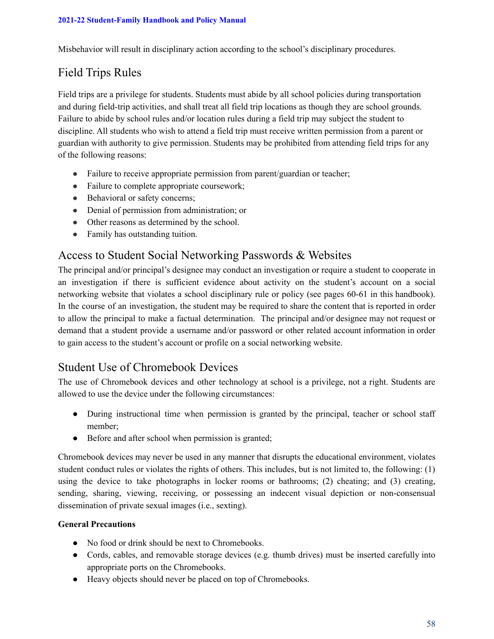Misbehavior will result in disciplinary action according to the school's disciplinary procedures.

# Field Trips Rules

Field trips are a privilege for students. Students must abide by all school policies during transportation and during field-trip activities, and shall treat all field trip locations as though they are school grounds. Failure to abide by school rules and/or location rules during a field trip may subject the student to discipline. All students who wish to attend a field trip must receive written permission from a parent or guardian with authority to give permission. Students may be prohibited from attending field trips for any of the following reasons:

- Failure to receive appropriate permission from parent/guardian or teacher;
- Failure to complete appropriate coursework;
- Behavioral or safety concerns;
- Denial of permission from administration; or
- Other reasons as determined by the school.
- Family has outstanding tuition.

# Access to Student Social Networking Passwords & Websites

The principal and/or principal's designee may conduct an investigation or require a student to cooperate in an investigation if there is sufficient evidence about activity on the student's account on a social networking website that violates a school disciplinary rule or policy (see pages 60-61 in this handbook). In the course of an investigation, the student may be required to share the content that is reported in order to allow the principal to make a factual determination. The principal and/or designee may not request or demand that a student provide a username and/or password or other related account information in order to gain access to the student's account or profile on a social networking website.

# Student Use of Chromebook Devices

The use of Chromebook devices and other technology at school is a privilege, not a right. Students are allowed to use the device under the following circumstances:

- During instructional time when permission is granted by the principal, teacher or school staff member;
- Before and after school when permission is granted;

Chromebook devices may never be used in any manner that disrupts the educational environment, violates student conduct rules or violates the rights of others. This includes, but is not limited to, the following: (1) using the device to take photographs in locker rooms or bathrooms; (2) cheating; and (3) creating, sending, sharing, viewing, receiving, or possessing an indecent visual depiction or non-consensual dissemination of private sexual images (i.e., sexting).

### **General Precautions**

- No food or drink should be next to Chromebooks.
- Cords, cables, and removable storage devices (e.g. thumb drives) must be inserted carefully into appropriate ports on the Chromebooks.
- Heavy objects should never be placed on top of Chromebooks.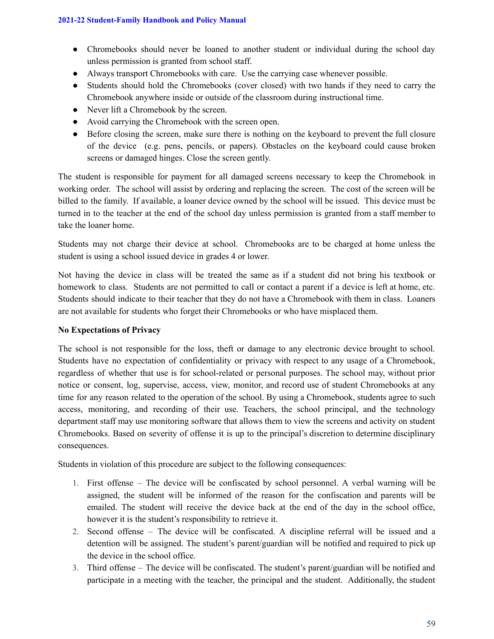- Chromebooks should never be loaned to another student or individual during the school day unless permission is granted from school staff.
- Always transport Chromebooks with care. Use the carrying case whenever possible.
- Students should hold the Chromebooks (cover closed) with two hands if they need to carry the Chromebook anywhere inside or outside of the classroom during instructional time.
- Never lift a Chromebook by the screen.
- Avoid carrying the Chromebook with the screen open.
- Before closing the screen, make sure there is nothing on the keyboard to prevent the full closure of the device (e.g. pens, pencils, or papers). Obstacles on the keyboard could cause broken screens or damaged hinges. Close the screen gently.

The student is responsible for payment for all damaged screens necessary to keep the Chromebook in working order. The school will assist by ordering and replacing the screen. The cost of the screen will be billed to the family. If available, a loaner device owned by the school will be issued. This device must be turned in to the teacher at the end of the school day unless permission is granted from a staff member to take the loaner home.

Students may not charge their device at school. Chromebooks are to be charged at home unless the student is using a school issued device in grades 4 or lower.

Not having the device in class will be treated the same as if a student did not bring his textbook or homework to class. Students are not permitted to call or contact a parent if a device is left at home, etc. Students should indicate to their teacher that they do not have a Chromebook with them in class. Loaners are not available for students who forget their Chromebooks or who have misplaced them.

### **No Expectations of Privacy**

The school is not responsible for the loss, theft or damage to any electronic device brought to school. Students have no expectation of confidentiality or privacy with respect to any usage of a Chromebook, regardless of whether that use is for school-related or personal purposes. The school may, without prior notice or consent, log, supervise, access, view, monitor, and record use of student Chromebooks at any time for any reason related to the operation of the school. By using a Chromebook, students agree to such access, monitoring, and recording of their use. Teachers, the school principal, and the technology department staff may use monitoring software that allows them to view the screens and activity on student Chromebooks. Based on severity of offense it is up to the principal's discretion to determine disciplinary consequences.

Students in violation of this procedure are subject to the following consequences:

- 1. First offense The device will be confiscated by school personnel. A verbal warning will be assigned, the student will be informed of the reason for the confiscation and parents will be emailed. The student will receive the device back at the end of the day in the school office, however it is the student's responsibility to retrieve it.
- 2. Second offense The device will be confiscated. A discipline referral will be issued and a detention will be assigned. The student's parent/guardian will be notified and required to pick up the device in the school office.
- 3. Third offense The device will be confiscated. The student's parent/guardian will be notified and participate in a meeting with the teacher, the principal and the student. Additionally, the student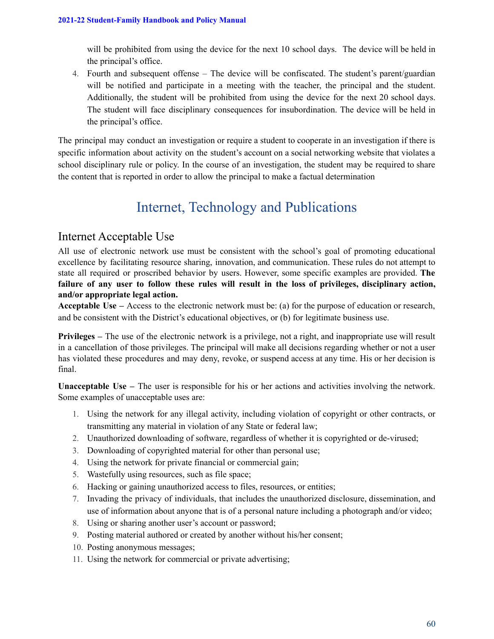will be prohibited from using the device for the next 10 school days. The device will be held in the principal's office.

4. Fourth and subsequent offense – The device will be confiscated. The student's parent/guardian will be notified and participate in a meeting with the teacher, the principal and the student. Additionally, the student will be prohibited from using the device for the next 20 school days. The student will face disciplinary consequences for insubordination. The device will be held in the principal's office.

The principal may conduct an investigation or require a student to cooperate in an investigation if there is specific information about activity on the student's account on a social networking website that violates a school disciplinary rule or policy. In the course of an investigation, the student may be required to share the content that is reported in order to allow the principal to make a factual determination

# Internet, Technology and Publications

# Internet Acceptable Use

All use of electronic network use must be consistent with the school's goal of promoting educational excellence by facilitating resource sharing, innovation, and communication. These rules do not attempt to state all required or proscribed behavior by users. However, some specific examples are provided. **The failure of any user to follow these rules will result in the loss of privileges, disciplinary action, and/or appropriate legal action.**

**Acceptable Use –** Access to the electronic network must be: (a) for the purpose of education or research, and be consistent with the District's educational objectives, or (b) for legitimate business use.

**Privileges** – The use of the electronic network is a privilege, not a right, and inappropriate use will result in a cancellation of those privileges. The principal will make all decisions regarding whether or not a user has violated these procedures and may deny, revoke, or suspend access at any time. His or her decision is final.

**Unacceptable Use –** The user is responsible for his or her actions and activities involving the network. Some examples of unacceptable uses are:

- 1. Using the network for any illegal activity, including violation of copyright or other contracts, or transmitting any material in violation of any State or federal law;
- 2. Unauthorized downloading of software, regardless of whether it is copyrighted or de-virused;
- 3. Downloading of copyrighted material for other than personal use;
- 4. Using the network for private financial or commercial gain;
- 5. Wastefully using resources, such as file space;
- 6. Hacking or gaining unauthorized access to files, resources, or entities;
- 7. Invading the privacy of individuals, that includes the unauthorized disclosure, dissemination, and use of information about anyone that is of a personal nature including a photograph and/or video;
- 8. Using or sharing another user's account or password;
- 9. Posting material authored or created by another without his/her consent;
- 10. Posting anonymous messages;
- 11. Using the network for commercial or private advertising;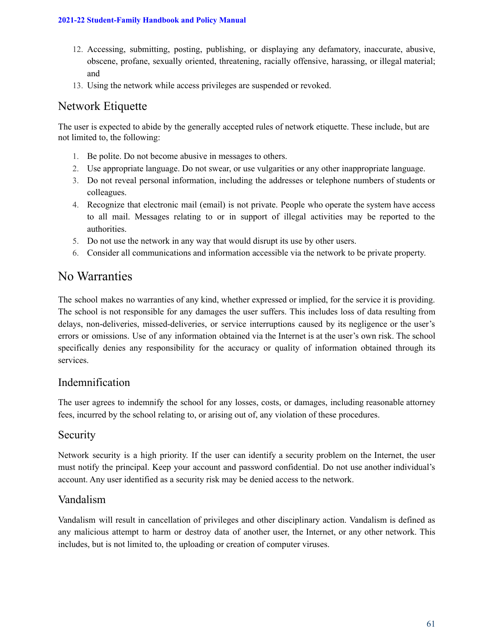- 12. Accessing, submitting, posting, publishing, or displaying any defamatory, inaccurate, abusive, obscene, profane, sexually oriented, threatening, racially offensive, harassing, or illegal material; and
- 13. Using the network while access privileges are suspended or revoked.

# Network Etiquette

The user is expected to abide by the generally accepted rules of network etiquette. These include, but are not limited to, the following:

- 1. Be polite. Do not become abusive in messages to others.
- 2. Use appropriate language. Do not swear, or use vulgarities or any other inappropriate language.
- 3. Do not reveal personal information, including the addresses or telephone numbers of students or colleagues.
- 4. Recognize that electronic mail (email) is not private. People who operate the system have access to all mail. Messages relating to or in support of illegal activities may be reported to the authorities.
- 5. Do not use the network in any way that would disrupt its use by other users.
- 6. Consider all communications and information accessible via the network to be private property.

# No Warranties

The school makes no warranties of any kind, whether expressed or implied, for the service it is providing. The school is not responsible for any damages the user suffers. This includes loss of data resulting from delays, non-deliveries, missed-deliveries, or service interruptions caused by its negligence or the user's errors or omissions. Use of any information obtained via the Internet is at the user's own risk. The school specifically denies any responsibility for the accuracy or quality of information obtained through its services.

## Indemnification

The user agrees to indemnify the school for any losses, costs, or damages, including reasonable attorney fees, incurred by the school relating to, or arising out of, any violation of these procedures.

## Security

Network security is a high priority. If the user can identify a security problem on the Internet, the user must notify the principal. Keep your account and password confidential. Do not use another individual's account. Any user identified as a security risk may be denied access to the network.

## Vandalism

Vandalism will result in cancellation of privileges and other disciplinary action. Vandalism is defined as any malicious attempt to harm or destroy data of another user, the Internet, or any other network. This includes, but is not limited to, the uploading or creation of computer viruses.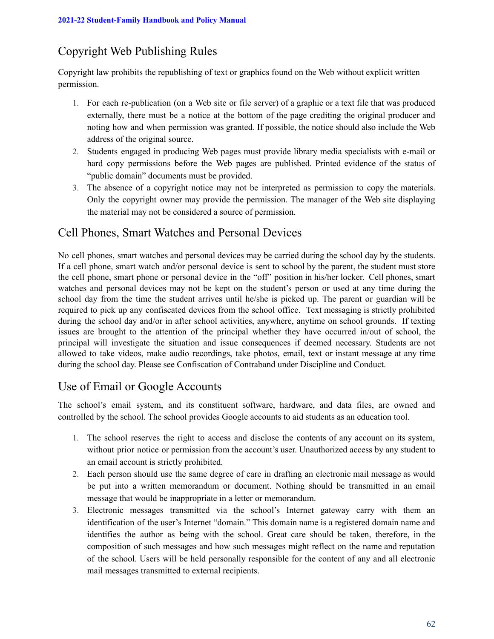# Copyright Web Publishing Rules

Copyright law prohibits the republishing of text or graphics found on the Web without explicit written permission.

- 1. For each re-publication (on a Web site or file server) of a graphic or a text file that was produced externally, there must be a notice at the bottom of the page crediting the original producer and noting how and when permission was granted. If possible, the notice should also include the Web address of the original source.
- 2. Students engaged in producing Web pages must provide library media specialists with e-mail or hard copy permissions before the Web pages are published. Printed evidence of the status of "public domain" documents must be provided.
- 3. The absence of a copyright notice may not be interpreted as permission to copy the materials. Only the copyright owner may provide the permission. The manager of the Web site displaying the material may not be considered a source of permission.

# Cell Phones, Smart Watches and Personal Devices

No cell phones, smart watches and personal devices may be carried during the school day by the students. If a cell phone, smart watch and/or personal device is sent to school by the parent, the student must store the cell phone, smart phone or personal device in the "off" position in his/her locker. Cell phones, smart watches and personal devices may not be kept on the student's person or used at any time during the school day from the time the student arrives until he/she is picked up. The parent or guardian will be required to pick up any confiscated devices from the school office. Text messaging is strictly prohibited during the school day and/or in after school activities, anywhere, anytime on school grounds. If texting issues are brought to the attention of the principal whether they have occurred in/out of school, the principal will investigate the situation and issue consequences if deemed necessary. Students are not allowed to take videos, make audio recordings, take photos, email, text or instant message at any time during the school day. Please see Confiscation of Contraband under Discipline and Conduct.

# Use of Email or Google Accounts

The school's email system, and its constituent software, hardware, and data files, are owned and controlled by the school. The school provides Google accounts to aid students as an education tool.

- 1. The school reserves the right to access and disclose the contents of any account on its system, without prior notice or permission from the account's user. Unauthorized access by any student to an email account is strictly prohibited.
- 2. Each person should use the same degree of care in drafting an electronic mail message as would be put into a written memorandum or document. Nothing should be transmitted in an email message that would be inappropriate in a letter or memorandum.
- 3. Electronic messages transmitted via the school's Internet gateway carry with them an identification of the user's Internet "domain." This domain name is a registered domain name and identifies the author as being with the school. Great care should be taken, therefore, in the composition of such messages and how such messages might reflect on the name and reputation of the school. Users will be held personally responsible for the content of any and all electronic mail messages transmitted to external recipients.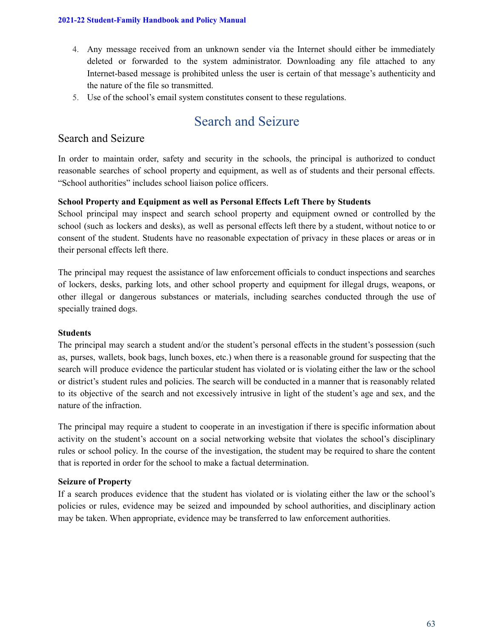- 4. Any message received from an unknown sender via the Internet should either be immediately deleted or forwarded to the system administrator. Downloading any file attached to any Internet-based message is prohibited unless the user is certain of that message's authenticity and the nature of the file so transmitted.
- 5. Use of the school's email system constitutes consent to these regulations.

# Search and Seizure

# Search and Seizure

In order to maintain order, safety and security in the schools, the principal is authorized to conduct reasonable searches of school property and equipment, as well as of students and their personal effects. "School authorities" includes school liaison police officers.

### **School Property and Equipment as well as Personal Effects Left There by Students**

School principal may inspect and search school property and equipment owned or controlled by the school (such as lockers and desks), as well as personal effects left there by a student, without notice to or consent of the student. Students have no reasonable expectation of privacy in these places or areas or in their personal effects left there.

The principal may request the assistance of law enforcement officials to conduct inspections and searches of lockers, desks, parking lots, and other school property and equipment for illegal drugs, weapons, or other illegal or dangerous substances or materials, including searches conducted through the use of specially trained dogs.

### **Students**

The principal may search a student and/or the student's personal effects in the student's possession (such as, purses, wallets, book bags, lunch boxes, etc.) when there is a reasonable ground for suspecting that the search will produce evidence the particular student has violated or is violating either the law or the school or district's student rules and policies. The search will be conducted in a manner that is reasonably related to its objective of the search and not excessively intrusive in light of the student's age and sex, and the nature of the infraction.

The principal may require a student to cooperate in an investigation if there is specific information about activity on the student's account on a social networking website that violates the school's disciplinary rules or school policy. In the course of the investigation, the student may be required to share the content that is reported in order for the school to make a factual determination.

### **Seizure of Property**

If a search produces evidence that the student has violated or is violating either the law or the school's policies or rules, evidence may be seized and impounded by school authorities, and disciplinary action may be taken. When appropriate, evidence may be transferred to law enforcement authorities.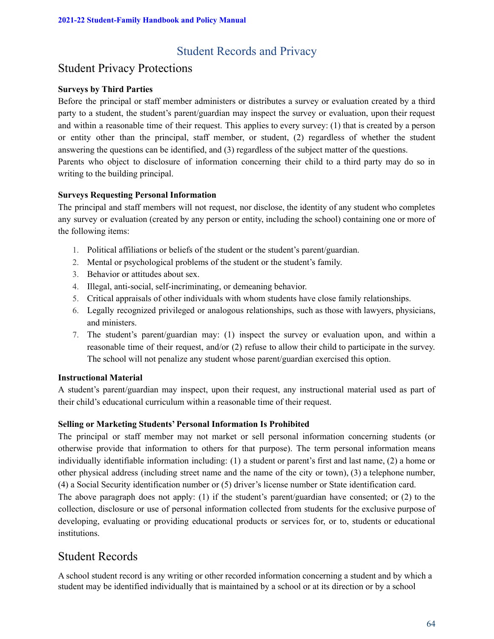# Student Records and Privacy

# Student Privacy Protections

### **Surveys by Third Parties**

Before the principal or staff member administers or distributes a survey or evaluation created by a third party to a student, the student's parent/guardian may inspect the survey or evaluation, upon their request and within a reasonable time of their request. This applies to every survey: (1) that is created by a person or entity other than the principal, staff member, or student, (2) regardless of whether the student answering the questions can be identified, and (3) regardless of the subject matter of the questions. Parents who object to disclosure of information concerning their child to a third party may do so in writing to the building principal.

### **Surveys Requesting Personal Information**

The principal and staff members will not request, nor disclose, the identity of any student who completes any survey or evaluation (created by any person or entity, including the school) containing one or more of the following items:

- 1. Political affiliations or beliefs of the student or the student's parent/guardian.
- 2. Mental or psychological problems of the student or the student's family.
- 3. Behavior or attitudes about sex.
- 4. Illegal, anti-social, self-incriminating, or demeaning behavior.
- 5. Critical appraisals of other individuals with whom students have close family relationships.
- 6. Legally recognized privileged or analogous relationships, such as those with lawyers, physicians, and ministers.
- 7. The student's parent/guardian may: (1) inspect the survey or evaluation upon, and within a reasonable time of their request, and/or (2) refuse to allow their child to participate in the survey. The school will not penalize any student whose parent/guardian exercised this option.

### **Instructional Material**

A student's parent/guardian may inspect, upon their request, any instructional material used as part of their child's educational curriculum within a reasonable time of their request.

### **Selling or Marketing Students' Personal Information Is Prohibited**

The principal or staff member may not market or sell personal information concerning students (or otherwise provide that information to others for that purpose). The term personal information means individually identifiable information including: (1) a student or parent's first and last name, (2) a home or other physical address (including street name and the name of the city or town), (3) a telephone number, (4) a Social Security identification number or (5) driver's license number or State identification card.

The above paragraph does not apply: (1) if the student's parent/guardian have consented; or (2) to the collection, disclosure or use of personal information collected from students for the exclusive purpose of developing, evaluating or providing educational products or services for, or to, students or educational **institutions** 

# Student Records

A school student record is any writing or other recorded information concerning a student and by which a student may be identified individually that is maintained by a school or at its direction or by a school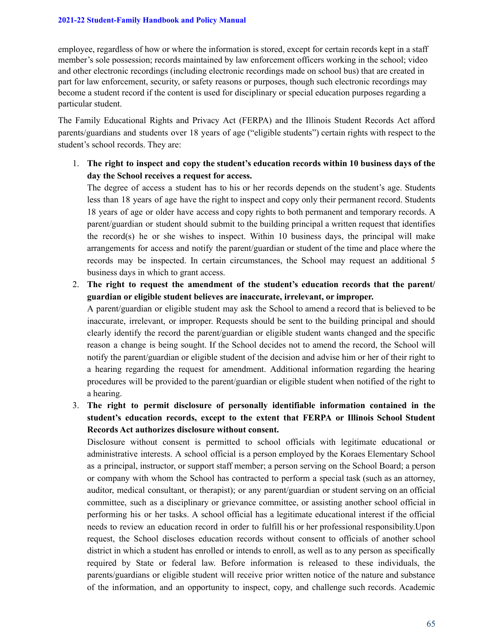employee, regardless of how or where the information is stored, except for certain records kept in a staff member's sole possession; records maintained by law enforcement officers working in the school; video and other electronic recordings (including electronic recordings made on school bus) that are created in part for law enforcement, security, or safety reasons or purposes, though such electronic recordings may become a student record if the content is used for disciplinary or special education purposes regarding a particular student.

The Family Educational Rights and Privacy Act (FERPA) and the Illinois Student Records Act afford parents/guardians and students over 18 years of age ("eligible students") certain rights with respect to the student's school records. They are:

1. **The right to inspect and copy the student's education records within 10 business days of the day the School receives a request for access.**

The degree of access a student has to his or her records depends on the student's age. Students less than 18 years of age have the right to inspect and copy only their permanent record. Students 18 years of age or older have access and copy rights to both permanent and temporary records. A parent/guardian or student should submit to the building principal a written request that identifies the record(s) he or she wishes to inspect. Within 10 business days, the principal will make arrangements for access and notify the parent/guardian or student of the time and place where the records may be inspected. In certain circumstances, the School may request an additional 5 business days in which to grant access.

2. **The right to request the amendment of the student's education records that the parent/ guardian or eligible student believes are inaccurate, irrelevant, or improper.**

A parent/guardian or eligible student may ask the School to amend a record that is believed to be inaccurate, irrelevant, or improper. Requests should be sent to the building principal and should clearly identify the record the parent/guardian or eligible student wants changed and the specific reason a change is being sought. If the School decides not to amend the record, the School will notify the parent/guardian or eligible student of the decision and advise him or her of their right to a hearing regarding the request for amendment. Additional information regarding the hearing procedures will be provided to the parent/guardian or eligible student when notified of the right to a hearing.

3. **The right to permit disclosure of personally identifiable information contained in the student's education records, except to the extent that FERPA or Illinois School Student Records Act authorizes disclosure without consent.**

Disclosure without consent is permitted to school officials with legitimate educational or administrative interests. A school official is a person employed by the Koraes Elementary School as a principal, instructor, or support staff member; a person serving on the School Board; a person or company with whom the School has contracted to perform a special task (such as an attorney, auditor, medical consultant, or therapist); or any parent/guardian or student serving on an official committee, such as a disciplinary or grievance committee, or assisting another school official in performing his or her tasks. A school official has a legitimate educational interest if the official needs to review an education record in order to fulfill his or her professional responsibility.Upon request, the School discloses education records without consent to officials of another school district in which a student has enrolled or intends to enroll, as well as to any person as specifically required by State or federal law. Before information is released to these individuals, the parents/guardians or eligible student will receive prior written notice of the nature and substance of the information, and an opportunity to inspect, copy, and challenge such records. Academic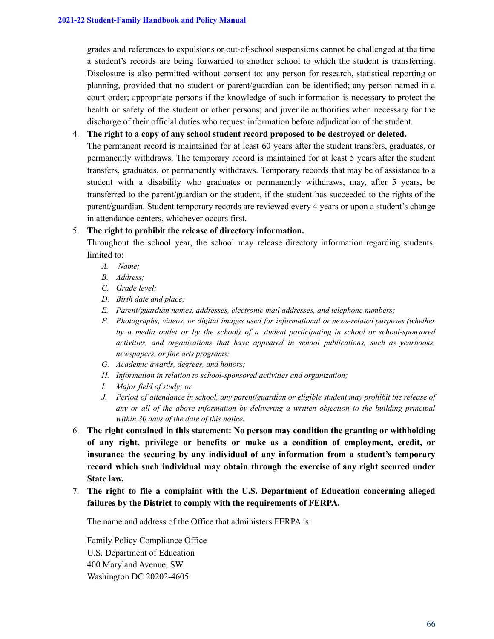grades and references to expulsions or out-of-school suspensions cannot be challenged at the time a student's records are being forwarded to another school to which the student is transferring. Disclosure is also permitted without consent to: any person for research, statistical reporting or planning, provided that no student or parent/guardian can be identified; any person named in a court order; appropriate persons if the knowledge of such information is necessary to protect the health or safety of the student or other persons; and juvenile authorities when necessary for the discharge of their official duties who request information before adjudication of the student.

### 4. **The right to a copy of any school student record proposed to be destroyed or deleted.**

The permanent record is maintained for at least 60 years after the student transfers, graduates, or permanently withdraws. The temporary record is maintained for at least 5 years after the student transfers, graduates, or permanently withdraws. Temporary records that may be of assistance to a student with a disability who graduates or permanently withdraws, may, after 5 years, be transferred to the parent/guardian or the student, if the student has succeeded to the rights of the parent/guardian. Student temporary records are reviewed every 4 years or upon a student's change in attendance centers, whichever occurs first.

### 5. **The right to prohibit the release of directory information.**

Throughout the school year, the school may release directory information regarding students, limited to:

- *A. Name;*
- *B. Address;*
- *C. Grade level;*
- *D. Birth date and place;*
- *E. Parent/guardian names, addresses, electronic mail addresses, and telephone numbers;*
- *F. Photographs, videos, or digital images used for informational or news-related purposes (whether by a media outlet or by the school) of a student participating in school or school-sponsored activities, and organizations that have appeared in school publications, such as yearbooks, newspapers, or fine arts programs;*
- *G. Academic awards, degrees, and honors;*
- *H. Information in relation to school-sponsored activities and organization;*
- *I. Major field of study; or*
- *J. Period of attendance in school, any parent/guardian or eligible student may prohibit the release of any or all of the above information by delivering a written objection to the building principal within 30 days of the date of this notice.*
- 6. **The right contained in this statement: No person may condition the granting or withholding of any right, privilege or benefits or make as a condition of employment, credit, or insurance the securing by any individual of any information from a student's temporary record which such individual may obtain through the exercise of any right secured under State law.**
- 7. **The right to file a complaint with the U.S. Department of Education concerning alleged failures by the District to comply with the requirements of FERPA.**

The name and address of the Office that administers FERPA is:

Family Policy Compliance Office U.S. Department of Education 400 Maryland Avenue, SW Washington DC 20202-4605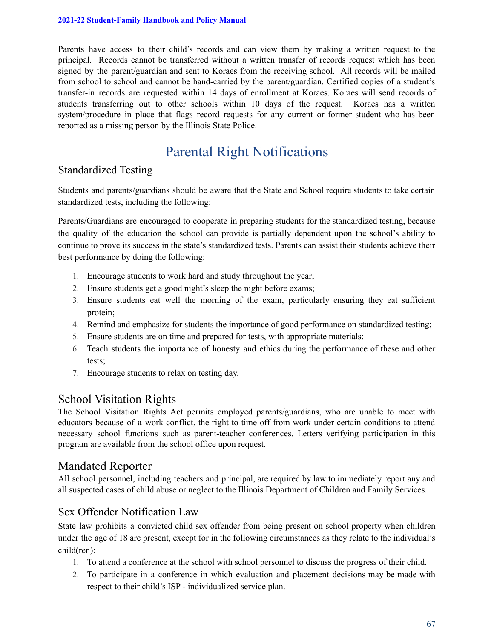Parents have access to their child's records and can view them by making a written request to the principal. Records cannot be transferred without a written transfer of records request which has been signed by the parent/guardian and sent to Koraes from the receiving school. All records will be mailed from school to school and cannot be hand-carried by the parent/guardian. Certified copies of a student's transfer-in records are requested within 14 days of enrollment at Koraes. Koraes will send records of students transferring out to other schools within 10 days of the request. Koraes has a written system/procedure in place that flags record requests for any current or former student who has been reported as a missing person by the Illinois State Police.

# Parental Right Notifications

# Standardized Testing

Students and parents/guardians should be aware that the State and School require students to take certain standardized tests, including the following:

Parents/Guardians are encouraged to cooperate in preparing students for the standardized testing, because the quality of the education the school can provide is partially dependent upon the school's ability to continue to prove its success in the state's standardized tests. Parents can assist their students achieve their best performance by doing the following:

- 1. Encourage students to work hard and study throughout the year;
- 2. Ensure students get a good night's sleep the night before exams;
- 3. Ensure students eat well the morning of the exam, particularly ensuring they eat sufficient protein;
- 4. Remind and emphasize for students the importance of good performance on standardized testing;
- 5. Ensure students are on time and prepared for tests, with appropriate materials;
- 6. Teach students the importance of honesty and ethics during the performance of these and other tests;
- 7. Encourage students to relax on testing day.

# School Visitation Rights

The School Visitation Rights Act permits employed parents/guardians, who are unable to meet with educators because of a work conflict, the right to time off from work under certain conditions to attend necessary school functions such as parent-teacher conferences. Letters verifying participation in this program are available from the school office upon request.

## Mandated Reporter

All school personnel, including teachers and principal, are required by law to immediately report any and all suspected cases of child abuse or neglect to the Illinois Department of Children and Family Services.

# Sex Offender Notification Law

State law prohibits a convicted child sex offender from being present on school property when children under the age of 18 are present, except for in the following circumstances as they relate to the individual's child(ren):

- 1. To attend a conference at the school with school personnel to discuss the progress of their child.
- 2. To participate in a conference in which evaluation and placement decisions may be made with respect to their child's ISP - individualized service plan.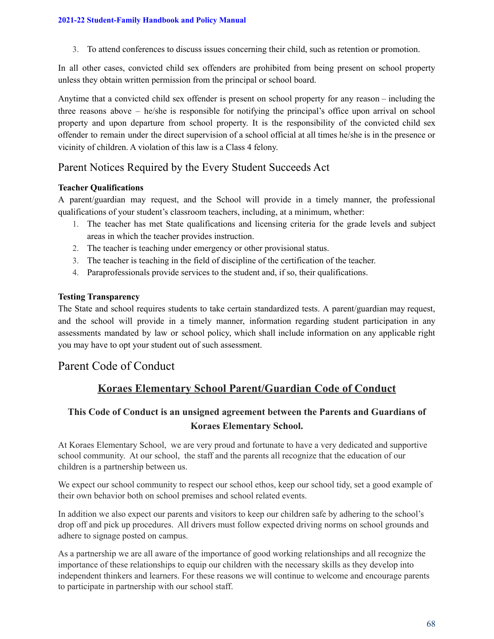3. To attend conferences to discuss issues concerning their child, such as retention or promotion.

In all other cases, convicted child sex offenders are prohibited from being present on school property unless they obtain written permission from the principal or school board.

Anytime that a convicted child sex offender is present on school property for any reason – including the three reasons above – he/she is responsible for notifying the principal's office upon arrival on school property and upon departure from school property. It is the responsibility of the convicted child sex offender to remain under the direct supervision of a school official at all times he/she is in the presence or vicinity of children. A violation of this law is a Class 4 felony.

# Parent Notices Required by the Every Student Succeeds Act

### **Teacher Qualifications**

A parent/guardian may request, and the School will provide in a timely manner, the professional qualifications of your student's classroom teachers, including, at a minimum, whether:

- 1. The teacher has met State qualifications and licensing criteria for the grade levels and subject areas in which the teacher provides instruction.
- 2. The teacher is teaching under emergency or other provisional status.
- 3. The teacher is teaching in the field of discipline of the certification of the teacher.
- 4. Paraprofessionals provide services to the student and, if so, their qualifications.

### **Testing Transparency**

The State and school requires students to take certain standardized tests. A parent/guardian may request, and the school will provide in a timely manner, information regarding student participation in any assessments mandated by law or school policy, which shall include information on any applicable right you may have to opt your student out of such assessment.

# Parent Code of Conduct

## **Koraes Elementary School Parent/Guardian Code of Conduct**

## **This Code of Conduct is an unsigned agreement between the Parents and Guardians of Koraes Elementary School.**

At Koraes Elementary School, we are very proud and fortunate to have a very dedicated and supportive school community. At our school, the staff and the parents all recognize that the education of our children is a partnership between us.

We expect our school community to respect our school ethos, keep our school tidy, set a good example of their own behavior both on school premises and school related events.

In addition we also expect our parents and visitors to keep our children safe by adhering to the school's drop off and pick up procedures. All drivers must follow expected driving norms on school grounds and adhere to signage posted on campus.

As a partnership we are all aware of the importance of good working relationships and all recognize the importance of these relationships to equip our children with the necessary skills as they develop into independent thinkers and learners. For these reasons we will continue to welcome and encourage parents to participate in partnership with our school staff.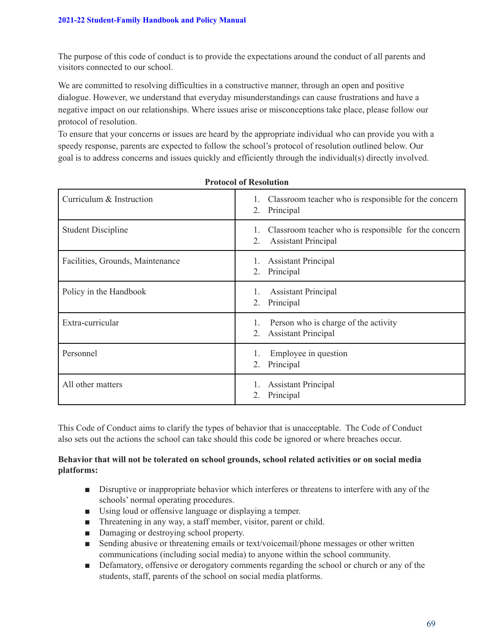The purpose of this code of conduct is to provide the expectations around the conduct of all parents and visitors connected to our school.

We are committed to resolving difficulties in a constructive manner, through an open and positive dialogue. However, we understand that everyday misunderstandings can cause frustrations and have a negative impact on our relationships. Where issues arise or misconceptions take place, please follow our protocol of resolution.

To ensure that your concerns or issues are heard by the appropriate individual who can provide you with a speedy response, parents are expected to follow the school's protocol of resolution outlined below. Our goal is to address concerns and issues quickly and efficiently through the individual(s) directly involved.

| Curriculum & Instruction         | Classroom teacher who is responsible for the concern<br>1.<br>Principal<br>2.                  |
|----------------------------------|------------------------------------------------------------------------------------------------|
| <b>Student Discipline</b>        | Classroom teacher who is responsible for the concern<br>1.<br><b>Assistant Principal</b><br>2. |
| Facilities, Grounds, Maintenance | <b>Assistant Principal</b><br>2.<br>Principal                                                  |
| Policy in the Handbook           | <b>Assistant Principal</b><br>1.<br>Principal<br>2.                                            |
| Extra-curricular                 | Person who is charge of the activity<br>1.<br><b>Assistant Principal</b><br>2.                 |
| Personnel                        | Employee in question<br>Principal<br>2.                                                        |
| All other matters                | <b>Assistant Principal</b><br>Principal<br>2.                                                  |

This Code of Conduct aims to clarify the types of behavior that is unacceptable. The Code of Conduct also sets out the actions the school can take should this code be ignored or where breaches occur.

### **Behavior that will not be tolerated on school grounds, school related activities or on social media platforms:**

- Disruptive or inappropriate behavior which interferes or threatens to interfere with any of the schools' normal operating procedures.
- Using loud or offensive language or displaying a temper.
- Threatening in any way, a staff member, visitor, parent or child.
- Damaging or destroying school property.
- Sending abusive or threatening emails or text/voicemail/phone messages or other written communications (including social media) to anyone within the school community.
- Defamatory, offensive or derogatory comments regarding the school or church or any of the students, staff, parents of the school on social media platforms.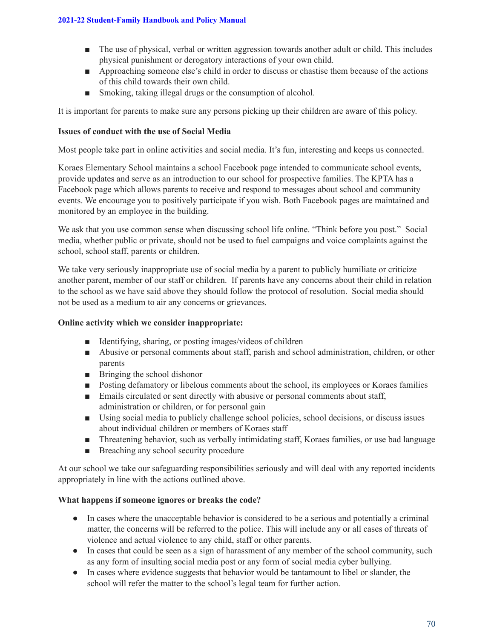- The use of physical, verbal or written aggression towards another adult or child. This includes physical punishment or derogatory interactions of your own child.
- Approaching someone else's child in order to discuss or chastise them because of the actions of this child towards their own child.
- Smoking, taking illegal drugs or the consumption of alcohol.

It is important for parents to make sure any persons picking up their children are aware of this policy.

### **Issues of conduct with the use of Social Media**

Most people take part in online activities and social media. It's fun, interesting and keeps us connected.

Koraes Elementary School maintains a school Facebook page intended to communicate school events, provide updates and serve as an introduction to our school for prospective families. The KPTA has a Facebook page which allows parents to receive and respond to messages about school and community events. We encourage you to positively participate if you wish. Both Facebook pages are maintained and monitored by an employee in the building.

We ask that you use common sense when discussing school life online. "Think before you post." Social media, whether public or private, should not be used to fuel campaigns and voice complaints against the school, school staff, parents or children.

We take very seriously inappropriate use of social media by a parent to publicly humiliate or criticize another parent, member of our staff or children. If parents have any concerns about their child in relation to the school as we have said above they should follow the protocol of resolution. Social media should not be used as a medium to air any concerns or grievances.

### **Online activity which we consider inappropriate:**

- Identifying, sharing, or posting images/videos of children
- Abusive or personal comments about staff, parish and school administration, children, or other parents
- Bringing the school dishonor
- Posting defamatory or libelous comments about the school, its employees or Koraes families
- Emails circulated or sent directly with abusive or personal comments about staff, administration or children, or for personal gain
- Using social media to publicly challenge school policies, school decisions, or discuss issues about individual children or members of Koraes staff
- Threatening behavior, such as verbally intimidating staff, Koraes families, or use bad language
- Breaching any school security procedure

At our school we take our safeguarding responsibilities seriously and will deal with any reported incidents appropriately in line with the actions outlined above.

### **What happens if someone ignores or breaks the code?**

- In cases where the unacceptable behavior is considered to be a serious and potentially a criminal matter, the concerns will be referred to the police. This will include any or all cases of threats of violence and actual violence to any child, staff or other parents.
- In cases that could be seen as a sign of harassment of any member of the school community, such as any form of insulting social media post or any form of social media cyber bullying.
- In cases where evidence suggests that behavior would be tantamount to libel or slander, the school will refer the matter to the school's legal team for further action.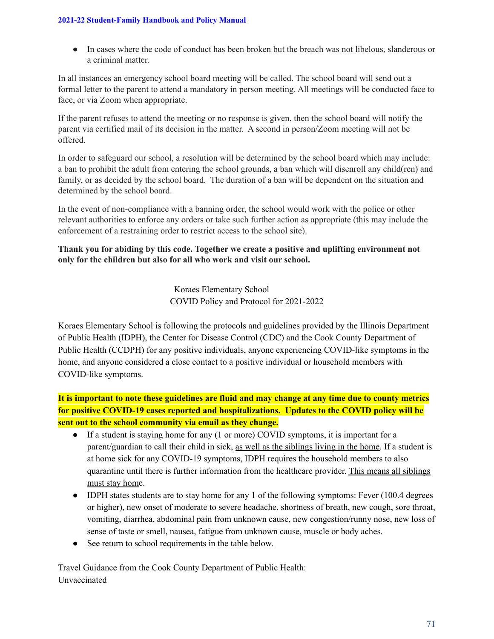● In cases where the code of conduct has been broken but the breach was not libelous, slanderous or a criminal matter.

In all instances an emergency school board meeting will be called. The school board will send out a formal letter to the parent to attend a mandatory in person meeting. All meetings will be conducted face to face, or via Zoom when appropriate.

If the parent refuses to attend the meeting or no response is given, then the school board will notify the parent via certified mail of its decision in the matter. A second in person/Zoom meeting will not be offered.

In order to safeguard our school, a resolution will be determined by the school board which may include: a ban to prohibit the adult from entering the school grounds, a ban which will disenroll any child(ren) and family, or as decided by the school board. The duration of a ban will be dependent on the situation and determined by the school board.

In the event of non-compliance with a banning order, the school would work with the police or other relevant authorities to enforce any orders or take such further action as appropriate (this may include the enforcement of a restraining order to restrict access to the school site).

### **Thank you for abiding by this code. Together we create a positive and uplifting environment not only for the children but also for all who work and visit our school.**

Koraes Elementary School COVID Policy and Protocol for 2021-2022

Koraes Elementary School is following the protocols and guidelines provided by the Illinois Department of Public Health (IDPH), the Center for Disease Control (CDC) and the Cook County Department of Public Health (CCDPH) for any positive individuals, anyone experiencing COVID-like symptoms in the home, and anyone considered a close contact to a positive individual or household members with COVID-like symptoms.

It is important to note these guidelines are fluid and may change at any time due to county metrics **for positive COVID-19 cases reported and hospitalizations. Updates to the COVID policy will be sent out to the school community via email as they change.**

- If a student is staying home for any (1 or more) COVID symptoms, it is important for a parent/guardian to call their child in sick, as well as the siblings living in the home. If a student is at home sick for any COVID-19 symptoms, IDPH requires the household members to also quarantine until there is further information from the healthcare provider. This means all siblings must stay home.
- IDPH states students are to stay home for any 1 of the following symptoms: Fever (100.4 degrees or higher), new onset of moderate to severe headache, shortness of breath, new cough, sore throat, vomiting, diarrhea, abdominal pain from unknown cause, new congestion/runny nose, new loss of sense of taste or smell, nausea, fatigue from unknown cause, muscle or body aches.
- See return to school requirements in the table below.

Travel Guidance from the Cook County Department of Public Health: Unvaccinated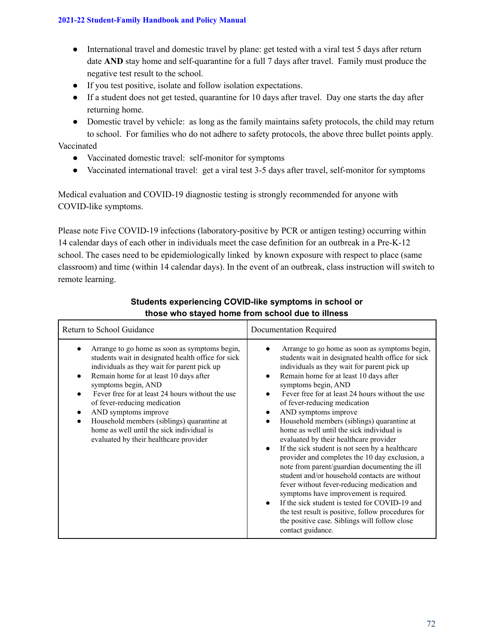#### **2021-22 Student-Family Handbook and Policy Manual**

- International travel and domestic travel by plane: get tested with a viral test 5 days after return date **AND** stay home and self-quarantine for a full 7 days after travel. Family must produce the negative test result to the school.
- If you test positive, isolate and follow isolation expectations.
- If a student does not get tested, quarantine for 10 days after travel. Day one starts the day after returning home.
- Domestic travel by vehicle: as long as the family maintains safety protocols, the child may return to school. For families who do not adhere to safety protocols, the above three bullet points apply.

## Vaccinated

- Vaccinated domestic travel: self-monitor for symptoms
- Vaccinated international travel: get a viral test 3-5 days after travel, self-monitor for symptoms

Medical evaluation and COVID-19 diagnostic testing is strongly recommended for anyone with COVID-like symptoms.

Please note Five COVID-19 infections (laboratory-positive by PCR or antigen testing) occurring within 14 calendar days of each other in individuals meet the case definition for an outbreak in a Pre-K-12 school. The cases need to be epidemiologically linked by known exposure with respect to place (same classroom) and time (within 14 calendar days). In the event of an outbreak, class instruction will switch to remote learning.

| Return to School Guidance                                                                                                                                                                                                                                                                                                                                                                                                                                            | Documentation Required                                                                                                                                                                                                                                                                                                                                                                                                                                                                                                                                                                                                                                                                                                                                                                                                                                                                                                                                                            |
|----------------------------------------------------------------------------------------------------------------------------------------------------------------------------------------------------------------------------------------------------------------------------------------------------------------------------------------------------------------------------------------------------------------------------------------------------------------------|-----------------------------------------------------------------------------------------------------------------------------------------------------------------------------------------------------------------------------------------------------------------------------------------------------------------------------------------------------------------------------------------------------------------------------------------------------------------------------------------------------------------------------------------------------------------------------------------------------------------------------------------------------------------------------------------------------------------------------------------------------------------------------------------------------------------------------------------------------------------------------------------------------------------------------------------------------------------------------------|
| Arrange to go home as soon as symptoms begin,<br>students wait in designated health office for sick<br>individuals as they wait for parent pick up<br>Remain home for at least 10 days after<br>symptoms begin, AND<br>Fever free for at least 24 hours without the use<br>of fever-reducing medication<br>AND symptoms improve<br>Household members (siblings) quarantine at<br>home as well until the sick individual is<br>evaluated by their healthcare provider | Arrange to go home as soon as symptoms begin,<br>students wait in designated health office for sick<br>individuals as they wait for parent pick up<br>Remain home for at least 10 days after<br>$\bullet$<br>symptoms begin, AND<br>Fever free for at least 24 hours without the use<br>of fever-reducing medication<br>AND symptoms improve<br>٠<br>Household members (siblings) quarantine at<br>home as well until the sick individual is<br>evaluated by their healthcare provider<br>If the sick student is not seen by a healthcare<br>$\bullet$<br>provider and completes the 10 day exclusion, a<br>note from parent/guardian documenting the ill<br>student and/or household contacts are without<br>fever without fever-reducing medication and<br>symptoms have improvement is required.<br>If the sick student is tested for COVID-19 and<br>the test result is positive, follow procedures for<br>the positive case. Siblings will follow close<br>contact guidance. |

# **Students experiencing COVID-like symptoms in school or those who stayed home from school due to illness**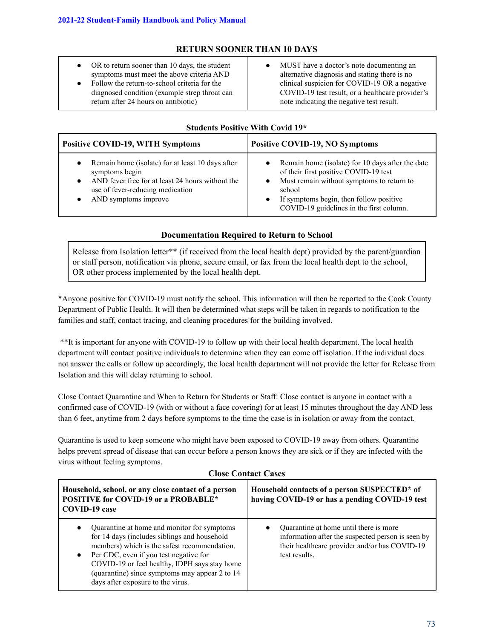# **RETURN SOONER THAN 10 DAYS**

- OR to return sooner than 10 days, the student symptoms must meet the above criteria AND
- Follow the return-to-school criteria for the diagnosed condition (example strep throat can return after 24 hours on antibiotic)
- MUST have a doctor's note documenting an alternative diagnosis and stating there is no clinical suspicion for COVID-19 OR a negative COVID-19 test result, or a healthcare provider's note indicating the negative test result.

## **Students Positive With Covid 19\***

| <b>Positive COVID-19, WITH Symptoms</b>          | <b>Positive COVID-19, NO Symptoms</b>            |
|--------------------------------------------------|--------------------------------------------------|
| Remain home (isolate) for at least 10 days after | Remain home (isolate) for 10 days after the date |
| $\bullet$                                        | of their first positive COVID-19 test            |
| symptoms begin                                   | Must remain without symptoms to return to        |
| AND fever free for at least 24 hours without the | school                                           |
| $\bullet$                                        | If symptoms begin, then follow positive          |
| use of fever-reducing medication                 | $\bullet$                                        |
| AND symptoms improve                             | COVID-19 guidelines in the first column.         |

#### **Documentation Required to Return to School**

Release from Isolation letter\*\* (if received from the local health dept) provided by the parent/guardian or staff person, notification via phone, secure email, or fax from the local health dept to the school, OR other process implemented by the local health dept.

\*Anyone positive for COVID-19 must notify the school. This information will then be reported to the Cook County Department of Public Health. It will then be determined what steps will be taken in regards to notification to the families and staff, contact tracing, and cleaning procedures for the building involved.

\*\*It is important for anyone with COVID-19 to follow up with their local health department. The local health department will contact positive individuals to determine when they can come off isolation. If the individual does not answer the calls or follow up accordingly, the local health department will not provide the letter for Release from Isolation and this will delay returning to school.

Close Contact Quarantine and When to Return for Students or Staff: Close contact is anyone in contact with a confirmed case of COVID-19 (with or without a face covering) for at least 15 minutes throughout the day AND less than 6 feet, anytime from 2 days before symptoms to the time the case is in isolation or away from the contact.

Quarantine is used to keep someone who might have been exposed to COVID-19 away from others. Quarantine helps prevent spread of disease that can occur before a person knows they are sick or if they are infected with the virus without feeling symptoms.

| Civec Contact Cases                                                                                                                                                                                                                                                                                                                                     |                                                                                                                                                               |  |
|---------------------------------------------------------------------------------------------------------------------------------------------------------------------------------------------------------------------------------------------------------------------------------------------------------------------------------------------------------|---------------------------------------------------------------------------------------------------------------------------------------------------------------|--|
| Household, school, or any close contact of a person<br><b>POSITIVE for COVID-19 or a PROBABLE*</b><br><b>COVID-19 case</b>                                                                                                                                                                                                                              | Household contacts of a person SUSPECTED* of<br>having COVID-19 or has a pending COVID-19 test                                                                |  |
| Quarantine at home and monitor for symptoms<br>$\bullet$<br>for 14 days (includes siblings and household<br>members) which is the safest recommendation.<br>Per CDC, even if you test negative for<br>$\bullet$<br>COVID-19 or feel healthy, IDPH says stay home<br>(quarantine) since symptoms may appear 2 to 14<br>days after exposure to the virus. | Quarantine at home until there is more<br>information after the suspected person is seen by<br>their healthcare provider and/or has COVID-19<br>test results. |  |

#### **Close Contact Cases**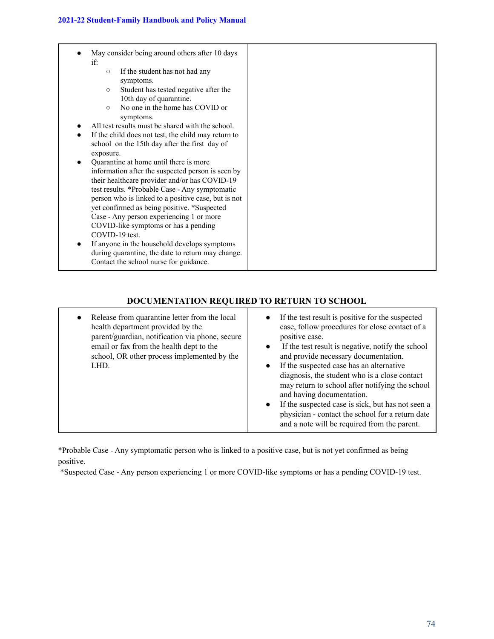| May consider being around others after 10 days<br>if:<br>If the student has not had any<br>$\circ$<br>symptoms.<br>Student has tested negative after the<br>$\circ$<br>10th day of quarantine.                                                                                                                                                                                           |  |
|------------------------------------------------------------------------------------------------------------------------------------------------------------------------------------------------------------------------------------------------------------------------------------------------------------------------------------------------------------------------------------------|--|
| No one in the home has COVID or<br>$\circ$<br>symptoms.                                                                                                                                                                                                                                                                                                                                  |  |
| All test results must be shared with the school.<br>If the child does not test, the child may return to<br>school on the 15th day after the first day of<br>exposure.                                                                                                                                                                                                                    |  |
| Quarantine at home until there is more<br>information after the suspected person is seen by<br>their healthcare provider and/or has COVID-19<br>test results. *Probable Case - Any symptomatic<br>person who is linked to a positive case, but is not<br>yet confirmed as being positive. *Suspected<br>Case - Any person experiencing 1 or more<br>COVID-like symptoms or has a pending |  |
| COVID-19 test.<br>If anyone in the household develops symptoms<br>during quarantine, the date to return may change.<br>Contact the school nurse for guidance.                                                                                                                                                                                                                            |  |

## **DOCUMENTATION REQUIRED TO RETURN TO SCHOOL**

| Release from quarantine letter from the local<br>$\bullet$<br>health department provided by the<br>parent/guardian, notification via phone, secure<br>email or fax from the health dept to the<br>school, OR other process implemented by the<br>LHD. | If the test result is positive for the suspected<br>case, follow procedures for close contact of a<br>positive case.<br>If the test result is negative, notify the school<br>$\bullet$<br>and provide necessary documentation.<br>If the suspected case has an alternative<br>$\bullet$<br>diagnosis, the student who is a close contact<br>may return to school after notifying the school<br>and having documentation.<br>If the suspected case is sick, but has not seen a<br>physician - contact the school for a return date<br>and a note will be required from the parent. |
|-------------------------------------------------------------------------------------------------------------------------------------------------------------------------------------------------------------------------------------------------------|-----------------------------------------------------------------------------------------------------------------------------------------------------------------------------------------------------------------------------------------------------------------------------------------------------------------------------------------------------------------------------------------------------------------------------------------------------------------------------------------------------------------------------------------------------------------------------------|
|-------------------------------------------------------------------------------------------------------------------------------------------------------------------------------------------------------------------------------------------------------|-----------------------------------------------------------------------------------------------------------------------------------------------------------------------------------------------------------------------------------------------------------------------------------------------------------------------------------------------------------------------------------------------------------------------------------------------------------------------------------------------------------------------------------------------------------------------------------|

\*Probable Case - Any symptomatic person who is linked to a positive case, but is not yet confirmed as being positive.

\*Suspected Case - Any person experiencing 1 or more COVID-like symptoms or has a pending COVID-19 test.